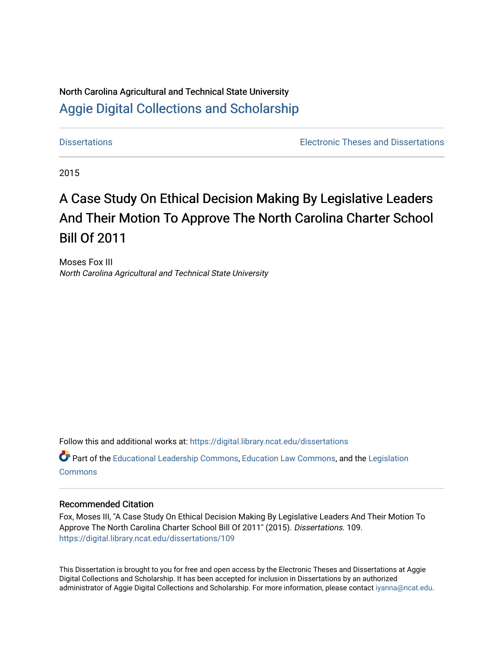# North Carolina Agricultural and Technical State University [Aggie Digital Collections and Scholarship](https://digital.library.ncat.edu/)

[Dissertations](https://digital.library.ncat.edu/dissertations) [Electronic Theses and Dissertations](https://digital.library.ncat.edu/etds) 

2015

# A Case Study On Ethical Decision Making By Legislative Leaders And Their Motion To Approve The North Carolina Charter School Bill Of 2011

Moses Fox III North Carolina Agricultural and Technical State University

Follow this and additional works at: [https://digital.library.ncat.edu/dissertations](https://digital.library.ncat.edu/dissertations?utm_source=digital.library.ncat.edu%2Fdissertations%2F109&utm_medium=PDF&utm_campaign=PDFCoverPages)

Part of the [Educational Leadership Commons,](http://network.bepress.com/hgg/discipline/1230?utm_source=digital.library.ncat.edu%2Fdissertations%2F109&utm_medium=PDF&utm_campaign=PDFCoverPages) [Education Law Commons,](http://network.bepress.com/hgg/discipline/596?utm_source=digital.library.ncat.edu%2Fdissertations%2F109&utm_medium=PDF&utm_campaign=PDFCoverPages) and the [Legislation](http://network.bepress.com/hgg/discipline/859?utm_source=digital.library.ncat.edu%2Fdissertations%2F109&utm_medium=PDF&utm_campaign=PDFCoverPages)  **[Commons](http://network.bepress.com/hgg/discipline/859?utm_source=digital.library.ncat.edu%2Fdissertations%2F109&utm_medium=PDF&utm_campaign=PDFCoverPages)** 

#### Recommended Citation

Fox, Moses III, "A Case Study On Ethical Decision Making By Legislative Leaders And Their Motion To Approve The North Carolina Charter School Bill Of 2011" (2015). Dissertations. 109. [https://digital.library.ncat.edu/dissertations/109](https://digital.library.ncat.edu/dissertations/109?utm_source=digital.library.ncat.edu%2Fdissertations%2F109&utm_medium=PDF&utm_campaign=PDFCoverPages)

This Dissertation is brought to you for free and open access by the Electronic Theses and Dissertations at Aggie Digital Collections and Scholarship. It has been accepted for inclusion in Dissertations by an authorized administrator of Aggie Digital Collections and Scholarship. For more information, please contact [iyanna@ncat.edu](mailto:iyanna@ncat.edu).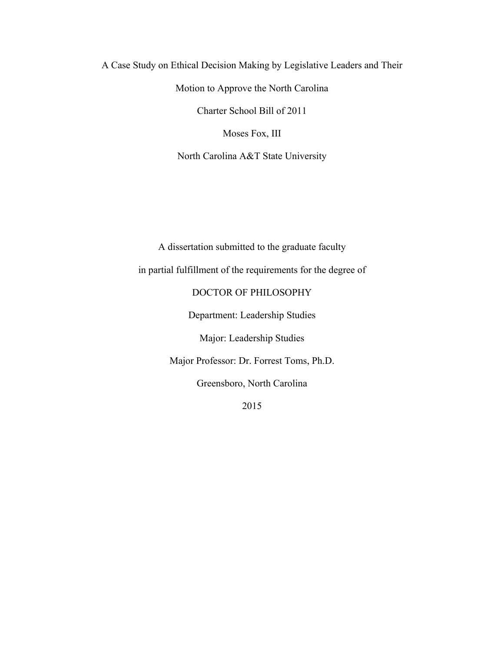A Case Study on Ethical Decision Making by Legislative Leaders and Their Motion to Approve the North Carolina Charter School Bill of 2011 Moses Fox, III North Carolina A&T State University

> A dissertation submitted to the graduate faculty in partial fulfillment of the requirements for the degree of DOCTOR OF PHILOSOPHY Department: Leadership Studies Major: Leadership Studies Major Professor: Dr. Forrest Toms, Ph.D. Greensboro, North Carolina

> > 2015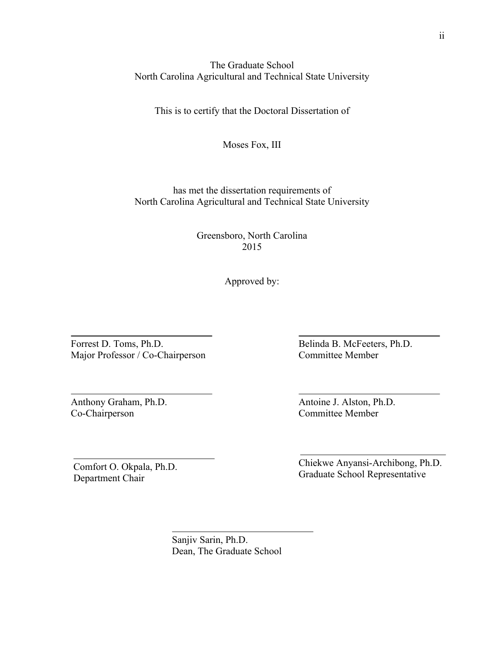### The Graduate School North Carolina Agricultural and Technical State University

This is to certify that the Doctoral Dissertation of

Moses Fox, III

has met the dissertation requirements of North Carolina Agricultural and Technical State University

> Greensboro, North Carolina 2015

> > Approved by:

Forrest D. Toms, Ph.D. Major Professor / Co-Chairperson

Anthony Graham, Ph.D. Co-Chairperson

Comfort O. Okpala, Ph.D. Department Chair

Belinda B. McFeeters, Ph.D. Committee Member

Antoine J. Alston, Ph.D. Committee Member

Chiekwe Anyansi-Archibong, Ph.D. Graduate School Representative

Sanjiv Sarin, Ph.D. Dean, The Graduate School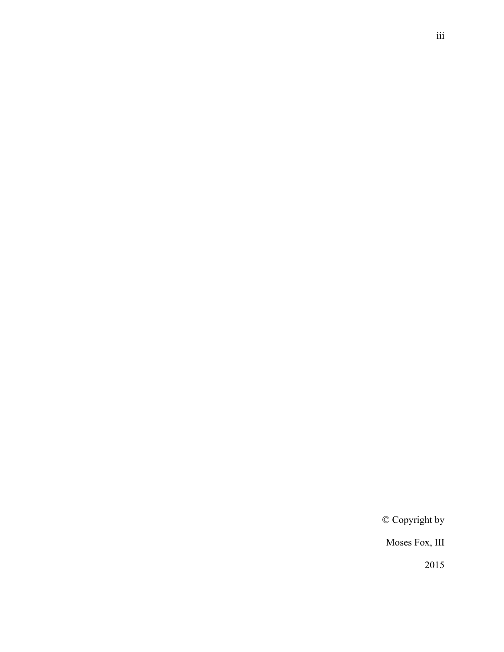© Copyright by

Moses Fox, III

2015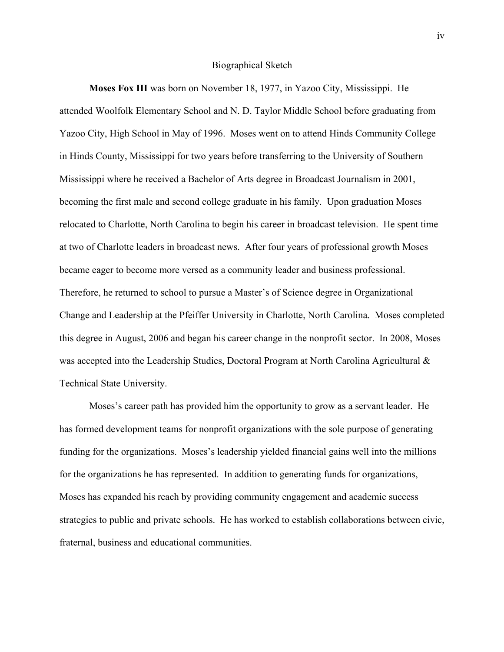#### Biographical Sketch

**Moses Fox III** was born on November 18, 1977, in Yazoo City, Mississippi. He attended Woolfolk Elementary School and N. D. Taylor Middle School before graduating from Yazoo City, High School in May of 1996. Moses went on to attend Hinds Community College in Hinds County, Mississippi for two years before transferring to the University of Southern Mississippi where he received a Bachelor of Arts degree in Broadcast Journalism in 2001, becoming the first male and second college graduate in his family. Upon graduation Moses relocated to Charlotte, North Carolina to begin his career in broadcast television. He spent time at two of Charlotte leaders in broadcast news. After four years of professional growth Moses became eager to become more versed as a community leader and business professional. Therefore, he returned to school to pursue a Master's of Science degree in Organizational Change and Leadership at the Pfeiffer University in Charlotte, North Carolina. Moses completed this degree in August, 2006 and began his career change in the nonprofit sector. In 2008, Moses was accepted into the Leadership Studies, Doctoral Program at North Carolina Agricultural & Technical State University.

Moses's career path has provided him the opportunity to grow as a servant leader. He has formed development teams for nonprofit organizations with the sole purpose of generating funding for the organizations. Moses's leadership yielded financial gains well into the millions for the organizations he has represented. In addition to generating funds for organizations, Moses has expanded his reach by providing community engagement and academic success strategies to public and private schools. He has worked to establish collaborations between civic, fraternal, business and educational communities.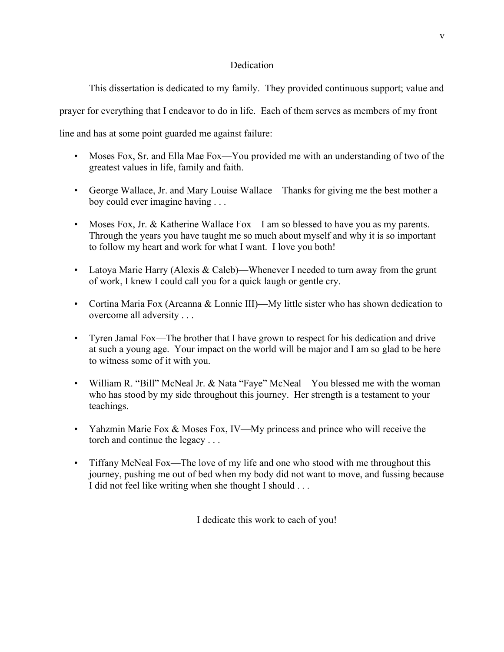### **Dedication**

This dissertation is dedicated to my family. They provided continuous support; value and

prayer for everything that I endeavor to do in life. Each of them serves as members of my front

line and has at some point guarded me against failure:

- Moses Fox, Sr. and Ella Mae Fox—You provided me with an understanding of two of the greatest values in life, family and faith.
- George Wallace, Jr. and Mary Louise Wallace—Thanks for giving me the best mother a boy could ever imagine having . . .
- Moses Fox, Jr. & Katherine Wallace Fox—I am so blessed to have you as my parents. Through the years you have taught me so much about myself and why it is so important to follow my heart and work for what I want. I love you both!
- Latoya Marie Harry (Alexis & Caleb)—Whenever I needed to turn away from the grunt of work, I knew I could call you for a quick laugh or gentle cry.
- Cortina Maria Fox (Areanna & Lonnie III)—My little sister who has shown dedication to overcome all adversity . . .
- Tyren Jamal Fox—The brother that I have grown to respect for his dedication and drive at such a young age. Your impact on the world will be major and I am so glad to be here to witness some of it with you.
- William R. "Bill" McNeal Jr. & Nata "Faye" McNeal—You blessed me with the woman who has stood by my side throughout this journey. Her strength is a testament to your teachings.
- Yahzmin Marie Fox & Moses Fox, IV—My princess and prince who will receive the torch and continue the legacy . . .
- Tiffany McNeal Fox—The love of my life and one who stood with me throughout this journey, pushing me out of bed when my body did not want to move, and fussing because I did not feel like writing when she thought I should . . .

I dedicate this work to each of you!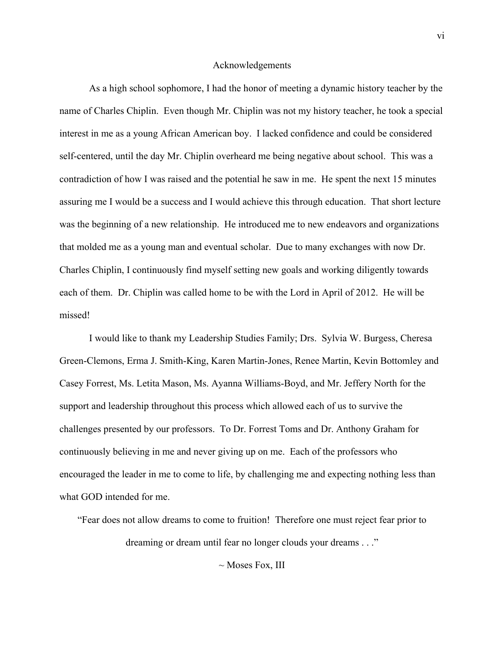#### Acknowledgements

As a high school sophomore, I had the honor of meeting a dynamic history teacher by the name of Charles Chiplin. Even though Mr. Chiplin was not my history teacher, he took a special interest in me as a young African American boy. I lacked confidence and could be considered self-centered, until the day Mr. Chiplin overheard me being negative about school. This was a contradiction of how I was raised and the potential he saw in me. He spent the next 15 minutes assuring me I would be a success and I would achieve this through education. That short lecture was the beginning of a new relationship. He introduced me to new endeavors and organizations that molded me as a young man and eventual scholar. Due to many exchanges with now Dr. Charles Chiplin, I continuously find myself setting new goals and working diligently towards each of them. Dr. Chiplin was called home to be with the Lord in April of 2012. He will be missed!

I would like to thank my Leadership Studies Family; Drs. Sylvia W. Burgess, Cheresa Green-Clemons, Erma J. Smith-King, Karen Martin-Jones, Renee Martin, Kevin Bottomley and Casey Forrest, Ms. Letita Mason, Ms. Ayanna Williams-Boyd, and Mr. Jeffery North for the support and leadership throughout this process which allowed each of us to survive the challenges presented by our professors. To Dr. Forrest Toms and Dr. Anthony Graham for continuously believing in me and never giving up on me. Each of the professors who encouraged the leader in me to come to life, by challenging me and expecting nothing less than what GOD intended for me.

"Fear does not allow dreams to come to fruition! Therefore one must reject fear prior to dreaming or dream until fear no longer clouds your dreams . . ."

 $\sim$  Moses Fox, III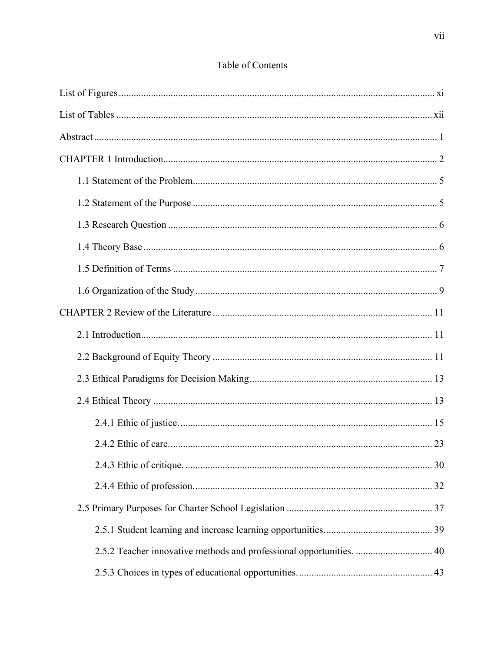# Table of Contents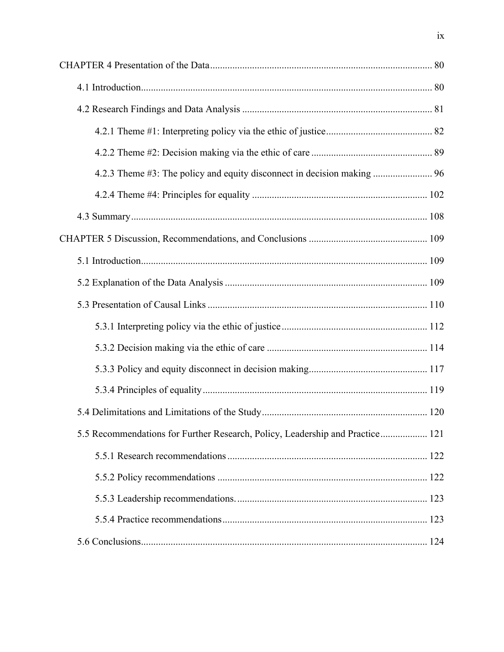| 4.2.3 Theme #3: The policy and equity disconnect in decision making  96       |  |
|-------------------------------------------------------------------------------|--|
|                                                                               |  |
|                                                                               |  |
|                                                                               |  |
|                                                                               |  |
|                                                                               |  |
|                                                                               |  |
|                                                                               |  |
|                                                                               |  |
|                                                                               |  |
|                                                                               |  |
|                                                                               |  |
| 5.5 Recommendations for Further Research, Policy, Leadership and Practice 121 |  |
|                                                                               |  |
|                                                                               |  |
|                                                                               |  |
|                                                                               |  |
|                                                                               |  |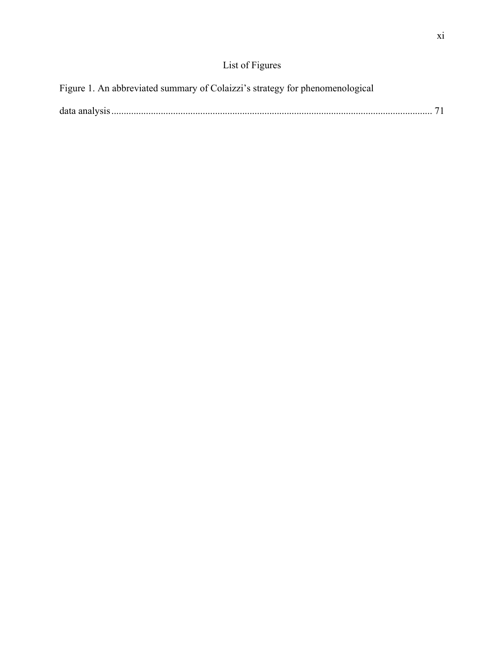# List of Figures

| Figure 1. An abbreviated summary of Colaizzi's strategy for phenomenological |  |
|------------------------------------------------------------------------------|--|
|                                                                              |  |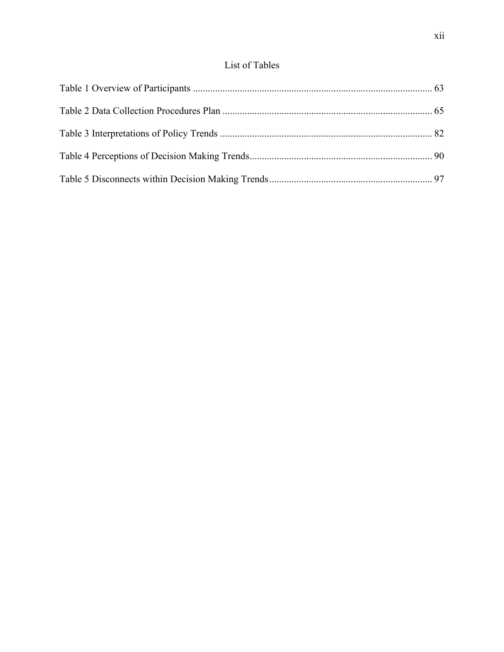## List of Tables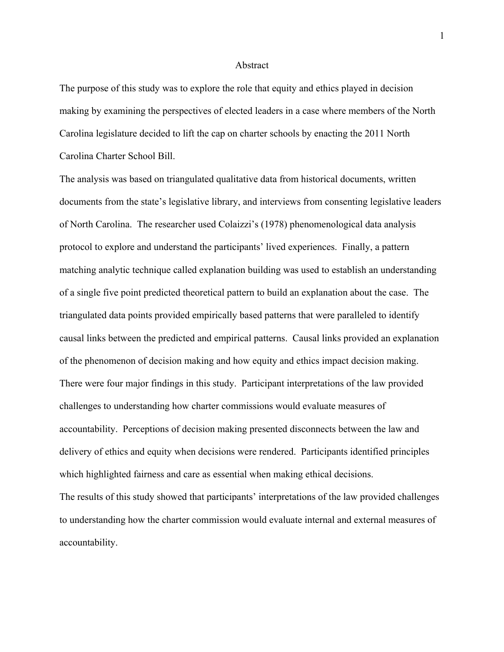#### Abstract

The purpose of this study was to explore the role that equity and ethics played in decision making by examining the perspectives of elected leaders in a case where members of the North Carolina legislature decided to lift the cap on charter schools by enacting the 2011 North Carolina Charter School Bill.

The analysis was based on triangulated qualitative data from historical documents, written documents from the state's legislative library, and interviews from consenting legislative leaders of North Carolina. The researcher used Colaizzi's (1978) phenomenological data analysis protocol to explore and understand the participants' lived experiences. Finally, a pattern matching analytic technique called explanation building was used to establish an understanding of a single five point predicted theoretical pattern to build an explanation about the case. The triangulated data points provided empirically based patterns that were paralleled to identify causal links between the predicted and empirical patterns. Causal links provided an explanation of the phenomenon of decision making and how equity and ethics impact decision making. There were four major findings in this study. Participant interpretations of the law provided challenges to understanding how charter commissions would evaluate measures of accountability. Perceptions of decision making presented disconnects between the law and delivery of ethics and equity when decisions were rendered. Participants identified principles which highlighted fairness and care as essential when making ethical decisions. The results of this study showed that participants' interpretations of the law provided challenges to understanding how the charter commission would evaluate internal and external measures of accountability.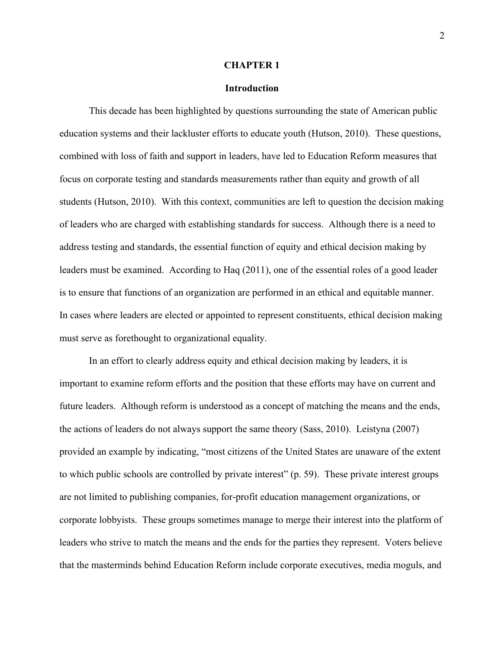#### **CHAPTER 1**

#### **Introduction**

This decade has been highlighted by questions surrounding the state of American public education systems and their lackluster efforts to educate youth (Hutson, 2010). These questions, combined with loss of faith and support in leaders, have led to Education Reform measures that focus on corporate testing and standards measurements rather than equity and growth of all students (Hutson, 2010). With this context, communities are left to question the decision making of leaders who are charged with establishing standards for success. Although there is a need to address testing and standards, the essential function of equity and ethical decision making by leaders must be examined. According to Haq (2011), one of the essential roles of a good leader is to ensure that functions of an organization are performed in an ethical and equitable manner. In cases where leaders are elected or appointed to represent constituents, ethical decision making must serve as forethought to organizational equality.

In an effort to clearly address equity and ethical decision making by leaders, it is important to examine reform efforts and the position that these efforts may have on current and future leaders. Although reform is understood as a concept of matching the means and the ends, the actions of leaders do not always support the same theory (Sass, 2010). Leistyna (2007) provided an example by indicating, "most citizens of the United States are unaware of the extent to which public schools are controlled by private interest" (p. 59). These private interest groups are not limited to publishing companies, for-profit education management organizations, or corporate lobbyists. These groups sometimes manage to merge their interest into the platform of leaders who strive to match the means and the ends for the parties they represent. Voters believe that the masterminds behind Education Reform include corporate executives, media moguls, and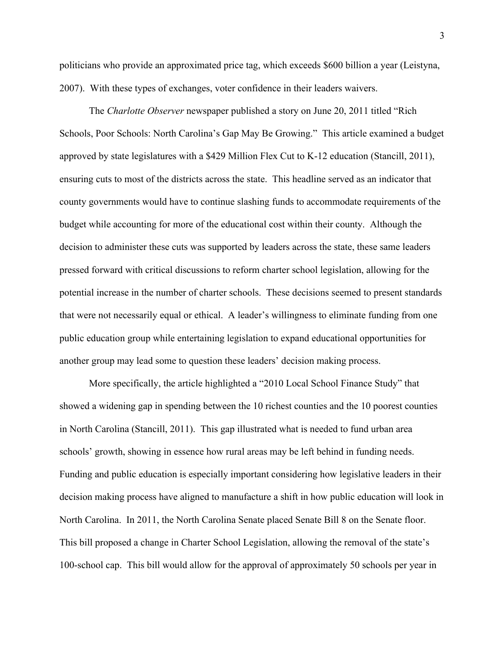politicians who provide an approximated price tag, which exceeds \$600 billion a year (Leistyna, 2007). With these types of exchanges, voter confidence in their leaders waivers.

The *Charlotte Observer* newspaper published a story on June 20, 2011 titled "Rich Schools, Poor Schools: North Carolina's Gap May Be Growing." This article examined a budget approved by state legislatures with a \$429 Million Flex Cut to K-12 education (Stancill, 2011), ensuring cuts to most of the districts across the state. This headline served as an indicator that county governments would have to continue slashing funds to accommodate requirements of the budget while accounting for more of the educational cost within their county. Although the decision to administer these cuts was supported by leaders across the state, these same leaders pressed forward with critical discussions to reform charter school legislation, allowing for the potential increase in the number of charter schools. These decisions seemed to present standards that were not necessarily equal or ethical. A leader's willingness to eliminate funding from one public education group while entertaining legislation to expand educational opportunities for another group may lead some to question these leaders' decision making process.

More specifically, the article highlighted a "2010 Local School Finance Study" that showed a widening gap in spending between the 10 richest counties and the 10 poorest counties in North Carolina (Stancill, 2011). This gap illustrated what is needed to fund urban area schools' growth, showing in essence how rural areas may be left behind in funding needs. Funding and public education is especially important considering how legislative leaders in their decision making process have aligned to manufacture a shift in how public education will look in North Carolina. In 2011, the North Carolina Senate placed Senate Bill 8 on the Senate floor. This bill proposed a change in Charter School Legislation, allowing the removal of the state's 100-school cap. This bill would allow for the approval of approximately 50 schools per year in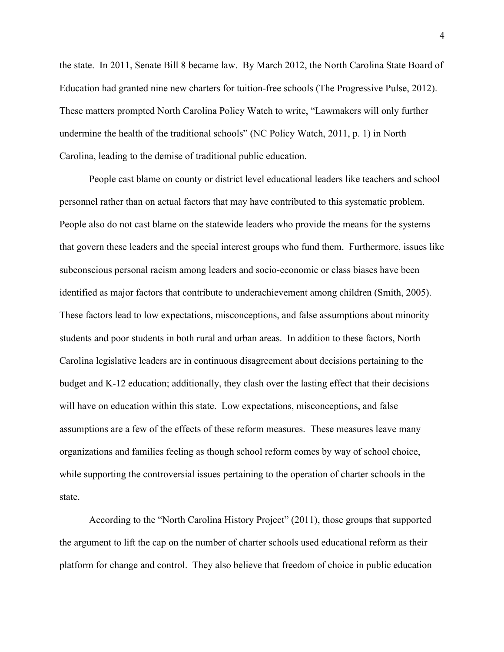the state. In 2011, Senate Bill 8 became law. By March 2012, the North Carolina State Board of Education had granted nine new charters for tuition-free schools (The Progressive Pulse, 2012). These matters prompted North Carolina Policy Watch to write, "Lawmakers will only further undermine the health of the traditional schools" (NC Policy Watch, 2011, p. 1) in North Carolina, leading to the demise of traditional public education.

People cast blame on county or district level educational leaders like teachers and school personnel rather than on actual factors that may have contributed to this systematic problem. People also do not cast blame on the statewide leaders who provide the means for the systems that govern these leaders and the special interest groups who fund them. Furthermore, issues like subconscious personal racism among leaders and socio-economic or class biases have been identified as major factors that contribute to underachievement among children (Smith, 2005). These factors lead to low expectations, misconceptions, and false assumptions about minority students and poor students in both rural and urban areas. In addition to these factors, North Carolina legislative leaders are in continuous disagreement about decisions pertaining to the budget and K-12 education; additionally, they clash over the lasting effect that their decisions will have on education within this state. Low expectations, misconceptions, and false assumptions are a few of the effects of these reform measures. These measures leave many organizations and families feeling as though school reform comes by way of school choice, while supporting the controversial issues pertaining to the operation of charter schools in the state.

According to the "North Carolina History Project" (2011), those groups that supported the argument to lift the cap on the number of charter schools used educational reform as their platform for change and control. They also believe that freedom of choice in public education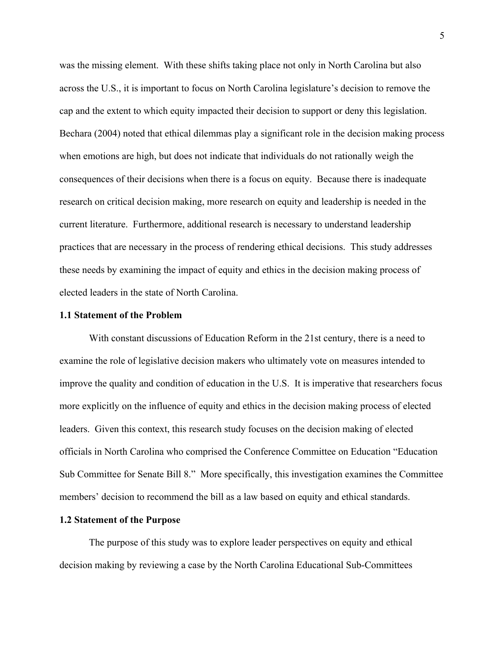was the missing element. With these shifts taking place not only in North Carolina but also across the U.S., it is important to focus on North Carolina legislature's decision to remove the cap and the extent to which equity impacted their decision to support or deny this legislation. Bechara (2004) noted that ethical dilemmas play a significant role in the decision making process when emotions are high, but does not indicate that individuals do not rationally weigh the consequences of their decisions when there is a focus on equity. Because there is inadequate research on critical decision making, more research on equity and leadership is needed in the current literature. Furthermore, additional research is necessary to understand leadership practices that are necessary in the process of rendering ethical decisions. This study addresses these needs by examining the impact of equity and ethics in the decision making process of elected leaders in the state of North Carolina.

#### **1.1 Statement of the Problem**

With constant discussions of Education Reform in the 21st century, there is a need to examine the role of legislative decision makers who ultimately vote on measures intended to improve the quality and condition of education in the U.S. It is imperative that researchers focus more explicitly on the influence of equity and ethics in the decision making process of elected leaders. Given this context, this research study focuses on the decision making of elected officials in North Carolina who comprised the Conference Committee on Education "Education Sub Committee for Senate Bill 8." More specifically, this investigation examines the Committee members' decision to recommend the bill as a law based on equity and ethical standards.

#### **1.2 Statement of the Purpose**

The purpose of this study was to explore leader perspectives on equity and ethical decision making by reviewing a case by the North Carolina Educational Sub-Committees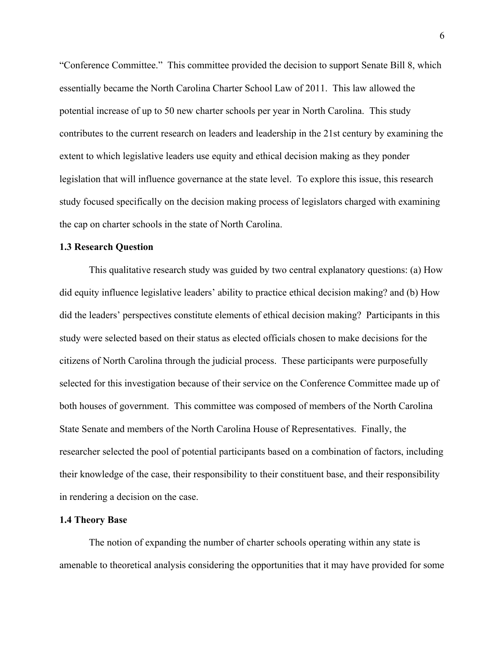"Conference Committee." This committee provided the decision to support Senate Bill 8, which essentially became the North Carolina Charter School Law of 2011. This law allowed the potential increase of up to 50 new charter schools per year in North Carolina. This study contributes to the current research on leaders and leadership in the 21st century by examining the extent to which legislative leaders use equity and ethical decision making as they ponder legislation that will influence governance at the state level. To explore this issue, this research study focused specifically on the decision making process of legislators charged with examining the cap on charter schools in the state of North Carolina.

#### **1.3 Research Question**

This qualitative research study was guided by two central explanatory questions: (a) How did equity influence legislative leaders' ability to practice ethical decision making? and (b) How did the leaders' perspectives constitute elements of ethical decision making? Participants in this study were selected based on their status as elected officials chosen to make decisions for the citizens of North Carolina through the judicial process. These participants were purposefully selected for this investigation because of their service on the Conference Committee made up of both houses of government. This committee was composed of members of the North Carolina State Senate and members of the North Carolina House of Representatives. Finally, the researcher selected the pool of potential participants based on a combination of factors, including their knowledge of the case, their responsibility to their constituent base, and their responsibility in rendering a decision on the case.

#### **1.4 Theory Base**

The notion of expanding the number of charter schools operating within any state is amenable to theoretical analysis considering the opportunities that it may have provided for some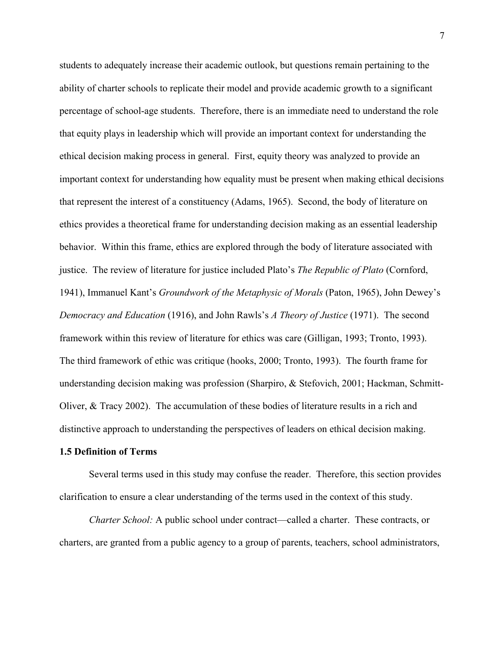students to adequately increase their academic outlook, but questions remain pertaining to the ability of charter schools to replicate their model and provide academic growth to a significant percentage of school-age students. Therefore, there is an immediate need to understand the role that equity plays in leadership which will provide an important context for understanding the ethical decision making process in general. First, equity theory was analyzed to provide an important context for understanding how equality must be present when making ethical decisions that represent the interest of a constituency (Adams, 1965). Second, the body of literature on ethics provides a theoretical frame for understanding decision making as an essential leadership behavior. Within this frame, ethics are explored through the body of literature associated with justice. The review of literature for justice included Plato's *The Republic of Plato* (Cornford, 1941), Immanuel Kant's *Groundwork of the Metaphysic of Morals* (Paton, 1965), John Dewey's *Democracy and Education* (1916), and John Rawls's *A Theory of Justice* (1971). The second framework within this review of literature for ethics was care (Gilligan, 1993; Tronto, 1993). The third framework of ethic was critique (hooks, 2000; Tronto, 1993). The fourth frame for understanding decision making was profession (Sharpiro, & Stefovich, 2001; Hackman, Schmitt-Oliver, & Tracy 2002). The accumulation of these bodies of literature results in a rich and distinctive approach to understanding the perspectives of leaders on ethical decision making.

#### **1.5 Definition of Terms**

Several terms used in this study may confuse the reader. Therefore, this section provides clarification to ensure a clear understanding of the terms used in the context of this study.

*Charter School:* A public school under contract—called a charter. These contracts, or charters, are granted from a public agency to a group of parents, teachers, school administrators,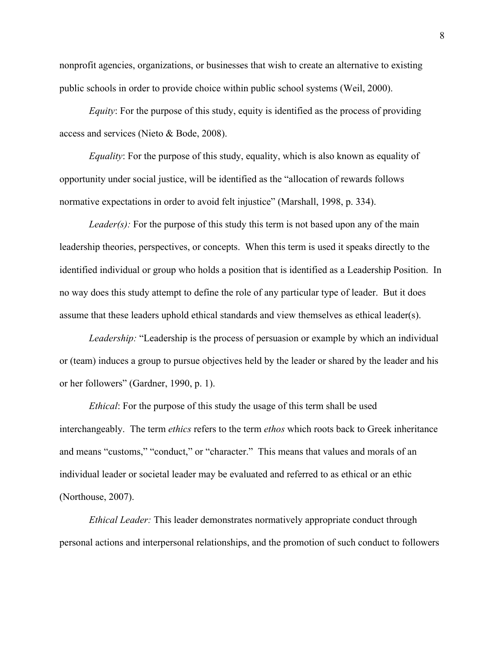nonprofit agencies, organizations, or businesses that wish to create an alternative to existing public schools in order to provide choice within public school systems (Weil, 2000).

*Equity*: For the purpose of this study, equity is identified as the process of providing access and services (Nieto & Bode, 2008).

*Equality*: For the purpose of this study, equality, which is also known as equality of opportunity under social justice, will be identified as the "allocation of rewards follows normative expectations in order to avoid felt injustice" (Marshall, 1998, p. 334).

*Leader(s)*: For the purpose of this study this term is not based upon any of the main leadership theories, perspectives, or concepts. When this term is used it speaks directly to the identified individual or group who holds a position that is identified as a Leadership Position. In no way does this study attempt to define the role of any particular type of leader. But it does assume that these leaders uphold ethical standards and view themselves as ethical leader(s).

*Leadership:* "Leadership is the process of persuasion or example by which an individual or (team) induces a group to pursue objectives held by the leader or shared by the leader and his or her followers" (Gardner, 1990, p. 1).

*Ethical*: For the purpose of this study the usage of this term shall be used interchangeably. The term *ethics* refers to the term *ethos* which roots back to Greek inheritance and means "customs," "conduct," or "character." This means that values and morals of an individual leader or societal leader may be evaluated and referred to as ethical or an ethic (Northouse, 2007).

*Ethical Leader:* This leader demonstrates normatively appropriate conduct through personal actions and interpersonal relationships, and the promotion of such conduct to followers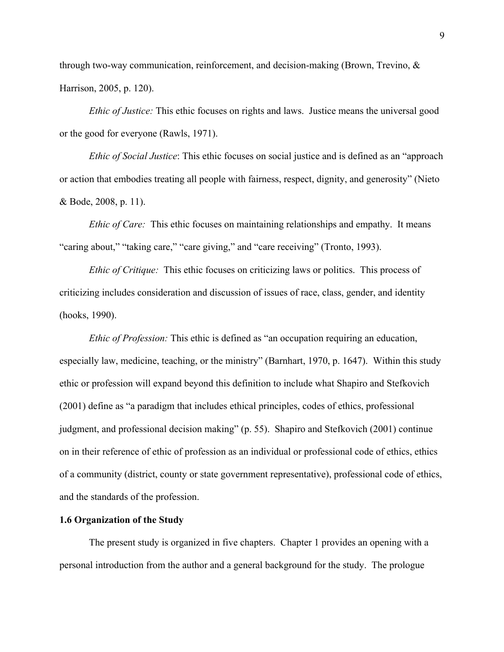through two-way communication, reinforcement, and decision-making (Brown, Trevino, & Harrison, 2005, p. 120).

*Ethic of Justice:* This ethic focuses on rights and laws. Justice means the universal good or the good for everyone (Rawls, 1971).

*Ethic of Social Justice*: This ethic focuses on social justice and is defined as an "approach or action that embodies treating all people with fairness, respect, dignity, and generosity" (Nieto & Bode, 2008, p. 11).

*Ethic of Care:* This ethic focuses on maintaining relationships and empathy. It means "caring about," "taking care," "care giving," and "care receiving" (Tronto, 1993).

*Ethic of Critique:* This ethic focuses on criticizing laws or politics. This process of criticizing includes consideration and discussion of issues of race, class, gender, and identity (hooks, 1990).

*Ethic of Profession:* This ethic is defined as "an occupation requiring an education, especially law, medicine, teaching, or the ministry" (Barnhart, 1970, p. 1647). Within this study ethic or profession will expand beyond this definition to include what Shapiro and Stefkovich (2001) define as "a paradigm that includes ethical principles, codes of ethics, professional judgment, and professional decision making" (p. 55). Shapiro and Stefkovich (2001) continue on in their reference of ethic of profession as an individual or professional code of ethics, ethics of a community (district, county or state government representative), professional code of ethics, and the standards of the profession.

#### **1.6 Organization of the Study**

The present study is organized in five chapters. Chapter 1 provides an opening with a personal introduction from the author and a general background for the study. The prologue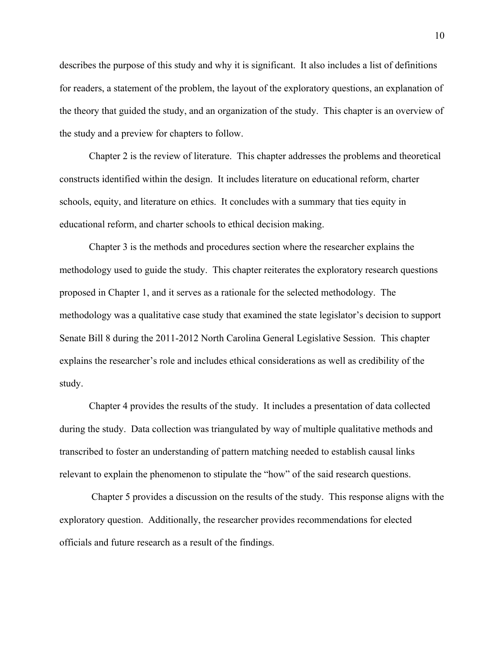describes the purpose of this study and why it is significant. It also includes a list of definitions for readers, a statement of the problem, the layout of the exploratory questions, an explanation of the theory that guided the study, and an organization of the study. This chapter is an overview of the study and a preview for chapters to follow.

Chapter 2 is the review of literature. This chapter addresses the problems and theoretical constructs identified within the design. It includes literature on educational reform, charter schools, equity, and literature on ethics. It concludes with a summary that ties equity in educational reform, and charter schools to ethical decision making.

Chapter 3 is the methods and procedures section where the researcher explains the methodology used to guide the study. This chapter reiterates the exploratory research questions proposed in Chapter 1, and it serves as a rationale for the selected methodology. The methodology was a qualitative case study that examined the state legislator's decision to support Senate Bill 8 during the 2011-2012 North Carolina General Legislative Session. This chapter explains the researcher's role and includes ethical considerations as well as credibility of the study.

Chapter 4 provides the results of the study. It includes a presentation of data collected during the study. Data collection was triangulated by way of multiple qualitative methods and transcribed to foster an understanding of pattern matching needed to establish causal links relevant to explain the phenomenon to stipulate the "how" of the said research questions.

 Chapter 5 provides a discussion on the results of the study. This response aligns with the exploratory question. Additionally, the researcher provides recommendations for elected officials and future research as a result of the findings.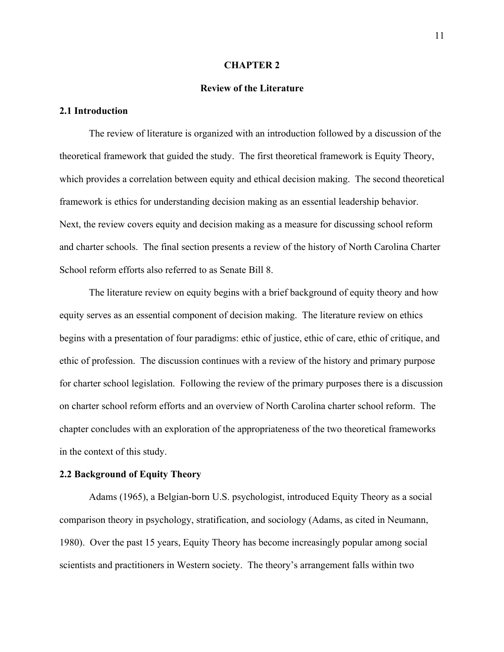#### **CHAPTER 2**

#### **Review of the Literature**

#### **2.1 Introduction**

The review of literature is organized with an introduction followed by a discussion of the theoretical framework that guided the study. The first theoretical framework is Equity Theory, which provides a correlation between equity and ethical decision making. The second theoretical framework is ethics for understanding decision making as an essential leadership behavior. Next, the review covers equity and decision making as a measure for discussing school reform and charter schools. The final section presents a review of the history of North Carolina Charter School reform efforts also referred to as Senate Bill 8.

The literature review on equity begins with a brief background of equity theory and how equity serves as an essential component of decision making. The literature review on ethics begins with a presentation of four paradigms: ethic of justice, ethic of care, ethic of critique, and ethic of profession. The discussion continues with a review of the history and primary purpose for charter school legislation. Following the review of the primary purposes there is a discussion on charter school reform efforts and an overview of North Carolina charter school reform. The chapter concludes with an exploration of the appropriateness of the two theoretical frameworks in the context of this study.

#### **2.2 Background of Equity Theory**

Adams (1965), a Belgian-born U.S. psychologist, introduced Equity Theory as a social comparison theory in psychology, stratification, and sociology (Adams, as cited in Neumann, 1980). Over the past 15 years, Equity Theory has become increasingly popular among social scientists and practitioners in Western society. The theory's arrangement falls within two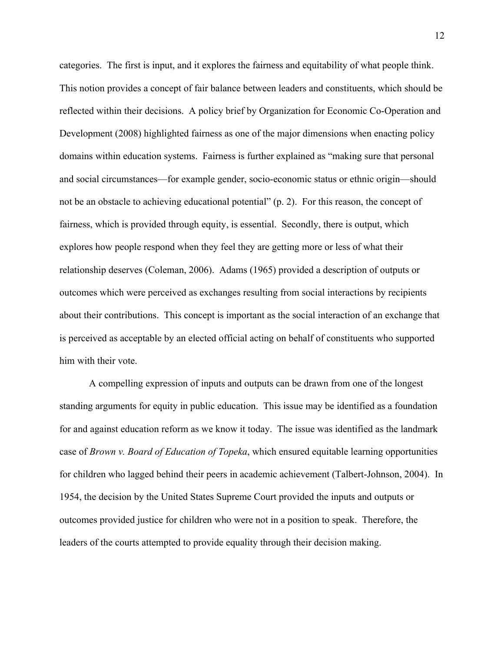categories. The first is input, and it explores the fairness and equitability of what people think. This notion provides a concept of fair balance between leaders and constituents, which should be reflected within their decisions. A policy brief by Organization for Economic Co-Operation and Development (2008) highlighted fairness as one of the major dimensions when enacting policy domains within education systems. Fairness is further explained as "making sure that personal and social circumstances—for example gender, socio-economic status or ethnic origin—should not be an obstacle to achieving educational potential" (p. 2). For this reason, the concept of fairness, which is provided through equity, is essential. Secondly, there is output, which explores how people respond when they feel they are getting more or less of what their relationship deserves (Coleman, 2006). Adams (1965) provided a description of outputs or outcomes which were perceived as exchanges resulting from social interactions by recipients about their contributions. This concept is important as the social interaction of an exchange that is perceived as acceptable by an elected official acting on behalf of constituents who supported him with their vote.

A compelling expression of inputs and outputs can be drawn from one of the longest standing arguments for equity in public education. This issue may be identified as a foundation for and against education reform as we know it today. The issue was identified as the landmark case of *Brown v. Board of Education of Topeka*, which ensured equitable learning opportunities for children who lagged behind their peers in academic achievement (Talbert-Johnson, 2004). In 1954, the decision by the United States Supreme Court provided the inputs and outputs or outcomes provided justice for children who were not in a position to speak. Therefore, the leaders of the courts attempted to provide equality through their decision making.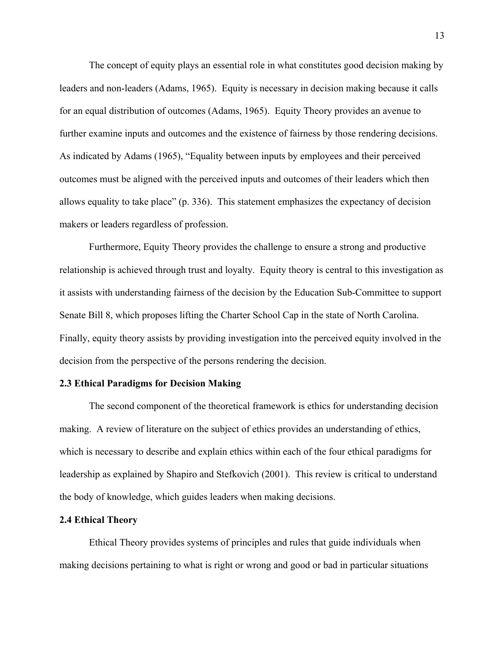The concept of equity plays an essential role in what constitutes good decision making by leaders and non-leaders (Adams, 1965). Equity is necessary in decision making because it calls for an equal distribution of outcomes (Adams, 1965). Equity Theory provides an avenue to further examine inputs and outcomes and the existence of fairness by those rendering decisions. As indicated by Adams (1965), "Equality between inputs by employees and their perceived outcomes must be aligned with the perceived inputs and outcomes of their leaders which then allows equality to take place" (p. 336). This statement emphasizes the expectancy of decision makers or leaders regardless of profession.

Furthermore, Equity Theory provides the challenge to ensure a strong and productive relationship is achieved through trust and loyalty. Equity theory is central to this investigation as it assists with understanding fairness of the decision by the Education Sub-Committee to support Senate Bill 8, which proposes lifting the Charter School Cap in the state of North Carolina. Finally, equity theory assists by providing investigation into the perceived equity involved in the decision from the perspective of the persons rendering the decision.

#### **2.3 Ethical Paradigms for Decision Making**

The second component of the theoretical framework is ethics for understanding decision making. A review of literature on the subject of ethics provides an understanding of ethics, which is necessary to describe and explain ethics within each of the four ethical paradigms for leadership as explained by Shapiro and Stefkovich (2001). This review is critical to understand the body of knowledge, which guides leaders when making decisions.

#### **2.4 Ethical Theory**

Ethical Theory provides systems of principles and rules that guide individuals when making decisions pertaining to what is right or wrong and good or bad in particular situations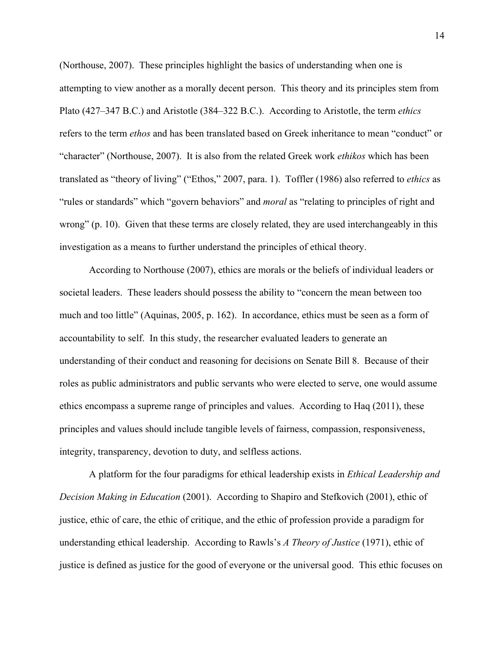(Northouse, 2007). These principles highlight the basics of understanding when one is attempting to view another as a morally decent person. This theory and its principles stem from Plato (427–347 B.C.) and Aristotle (384–322 B.C.). According to Aristotle, the term *ethics* refers to the term *ethos* and has been translated based on Greek inheritance to mean "conduct" or "character" (Northouse, 2007). It is also from the related Greek work *ethikos* which has been translated as "theory of living" ("Ethos," 2007, para. 1). Toffler (1986) also referred to *ethics* as "rules or standards" which "govern behaviors" and *moral* as "relating to principles of right and wrong" (p. 10). Given that these terms are closely related, they are used interchangeably in this investigation as a means to further understand the principles of ethical theory.

According to Northouse (2007), ethics are morals or the beliefs of individual leaders or societal leaders. These leaders should possess the ability to "concern the mean between too much and too little" (Aquinas, 2005, p. 162). In accordance, ethics must be seen as a form of accountability to self. In this study, the researcher evaluated leaders to generate an understanding of their conduct and reasoning for decisions on Senate Bill 8. Because of their roles as public administrators and public servants who were elected to serve, one would assume ethics encompass a supreme range of principles and values. According to Haq (2011), these principles and values should include tangible levels of fairness, compassion, responsiveness, integrity, transparency, devotion to duty, and selfless actions.

A platform for the four paradigms for ethical leadership exists in *Ethical Leadership and Decision Making in Education* (2001). According to Shapiro and Stefkovich (2001), ethic of justice, ethic of care, the ethic of critique, and the ethic of profession provide a paradigm for understanding ethical leadership. According to Rawls's *A Theory of Justice* (1971), ethic of justice is defined as justice for the good of everyone or the universal good. This ethic focuses on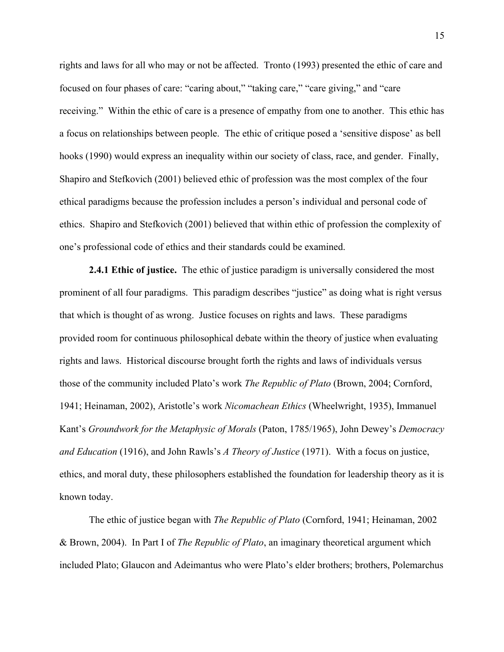rights and laws for all who may or not be affected. Tronto (1993) presented the ethic of care and focused on four phases of care: "caring about," "taking care," "care giving," and "care receiving." Within the ethic of care is a presence of empathy from one to another. This ethic has a focus on relationships between people. The ethic of critique posed a 'sensitive dispose' as bell hooks (1990) would express an inequality within our society of class, race, and gender. Finally, Shapiro and Stefkovich (2001) believed ethic of profession was the most complex of the four ethical paradigms because the profession includes a person's individual and personal code of ethics. Shapiro and Stefkovich (2001) believed that within ethic of profession the complexity of one's professional code of ethics and their standards could be examined.

**2.4.1 Ethic of justice.** The ethic of justice paradigm is universally considered the most prominent of all four paradigms. This paradigm describes "justice" as doing what is right versus that which is thought of as wrong. Justice focuses on rights and laws. These paradigms provided room for continuous philosophical debate within the theory of justice when evaluating rights and laws. Historical discourse brought forth the rights and laws of individuals versus those of the community included Plato's work *The Republic of Plato* (Brown, 2004; Cornford, 1941; Heinaman, 2002), Aristotle's work *Nicomachean Ethics* (Wheelwright, 1935), Immanuel Kant's *Groundwork for the Metaphysic of Morals* (Paton, 1785/1965), John Dewey's *Democracy and Education* (1916), and John Rawls's *A Theory of Justice* (1971). With a focus on justice, ethics, and moral duty, these philosophers established the foundation for leadership theory as it is known today.

The ethic of justice began with *The Republic of Plato* (Cornford, 1941; Heinaman, 2002 & Brown, 2004). In Part I of *The Republic of Plato*, an imaginary theoretical argument which included Plato; Glaucon and Adeimantus who were Plato's elder brothers; brothers, Polemarchus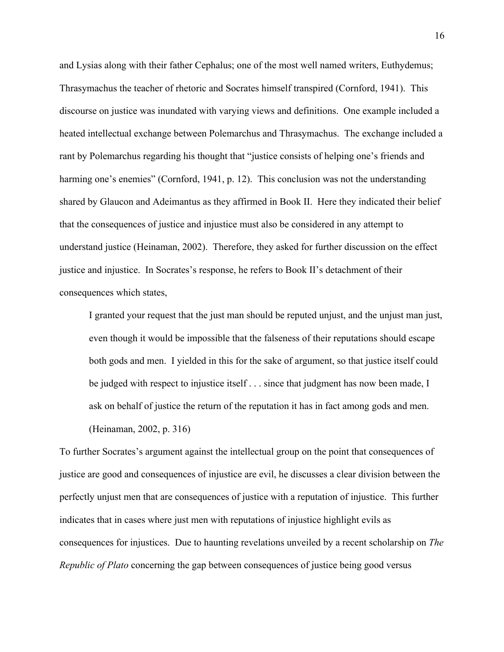and Lysias along with their father Cephalus; one of the most well named writers, Euthydemus; Thrasymachus the teacher of rhetoric and Socrates himself transpired (Cornford, 1941). This discourse on justice was inundated with varying views and definitions. One example included a heated intellectual exchange between Polemarchus and Thrasymachus. The exchange included a rant by Polemarchus regarding his thought that "justice consists of helping one's friends and harming one's enemies" (Cornford, 1941, p. 12). This conclusion was not the understanding shared by Glaucon and Adeimantus as they affirmed in Book II. Here they indicated their belief that the consequences of justice and injustice must also be considered in any attempt to understand justice (Heinaman, 2002). Therefore, they asked for further discussion on the effect justice and injustice. In Socrates's response, he refers to Book II's detachment of their consequences which states,

I granted your request that the just man should be reputed unjust, and the unjust man just, even though it would be impossible that the falseness of their reputations should escape both gods and men. I yielded in this for the sake of argument, so that justice itself could be judged with respect to injustice itself . . . since that judgment has now been made, I ask on behalf of justice the return of the reputation it has in fact among gods and men. (Heinaman, 2002, p. 316)

To further Socrates's argument against the intellectual group on the point that consequences of justice are good and consequences of injustice are evil, he discusses a clear division between the perfectly unjust men that are consequences of justice with a reputation of injustice. This further indicates that in cases where just men with reputations of injustice highlight evils as consequences for injustices. Due to haunting revelations unveiled by a recent scholarship on *The Republic of Plato* concerning the gap between consequences of justice being good versus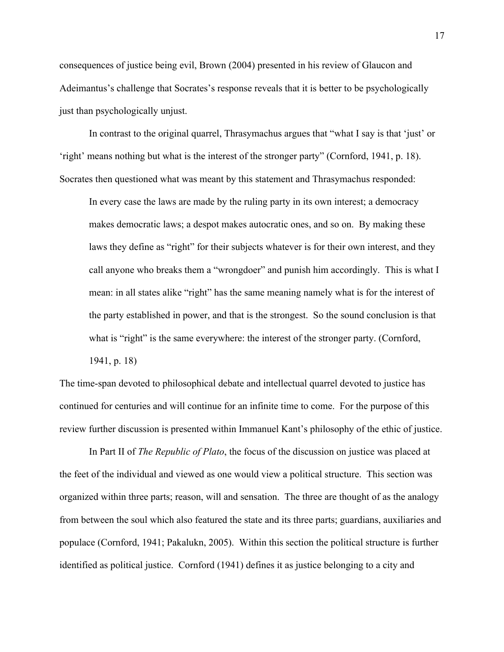consequences of justice being evil, Brown (2004) presented in his review of Glaucon and Adeimantus's challenge that Socrates's response reveals that it is better to be psychologically just than psychologically unjust.

In contrast to the original quarrel, Thrasymachus argues that "what I say is that 'just' or 'right' means nothing but what is the interest of the stronger party" (Cornford, 1941, p. 18). Socrates then questioned what was meant by this statement and Thrasymachus responded:

In every case the laws are made by the ruling party in its own interest; a democracy makes democratic laws; a despot makes autocratic ones, and so on. By making these laws they define as "right" for their subjects whatever is for their own interest, and they call anyone who breaks them a "wrongdoer" and punish him accordingly. This is what I mean: in all states alike "right" has the same meaning namely what is for the interest of the party established in power, and that is the strongest. So the sound conclusion is that what is "right" is the same everywhere: the interest of the stronger party. (Cornford, 1941, p. 18)

The time-span devoted to philosophical debate and intellectual quarrel devoted to justice has continued for centuries and will continue for an infinite time to come. For the purpose of this review further discussion is presented within Immanuel Kant's philosophy of the ethic of justice.

In Part II of *The Republic of Plato*, the focus of the discussion on justice was placed at the feet of the individual and viewed as one would view a political structure. This section was organized within three parts; reason, will and sensation. The three are thought of as the analogy from between the soul which also featured the state and its three parts; guardians, auxiliaries and populace (Cornford, 1941; Pakalukn, 2005). Within this section the political structure is further identified as political justice. Cornford (1941) defines it as justice belonging to a city and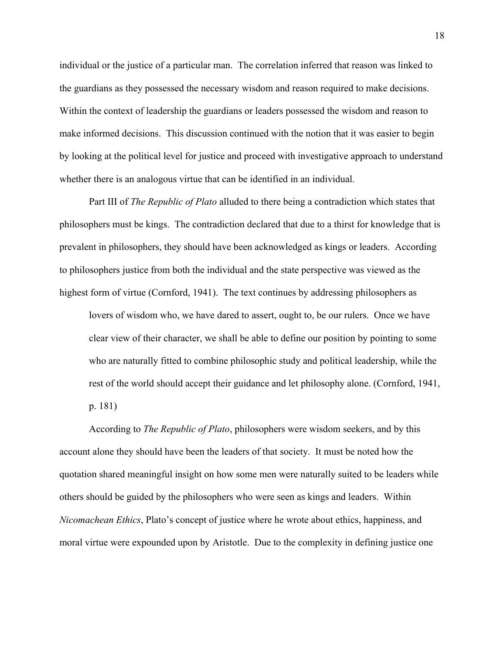individual or the justice of a particular man. The correlation inferred that reason was linked to the guardians as they possessed the necessary wisdom and reason required to make decisions. Within the context of leadership the guardians or leaders possessed the wisdom and reason to make informed decisions. This discussion continued with the notion that it was easier to begin by looking at the political level for justice and proceed with investigative approach to understand whether there is an analogous virtue that can be identified in an individual.

Part III of *The Republic of Plato* alluded to there being a contradiction which states that philosophers must be kings. The contradiction declared that due to a thirst for knowledge that is prevalent in philosophers, they should have been acknowledged as kings or leaders. According to philosophers justice from both the individual and the state perspective was viewed as the highest form of virtue (Cornford, 1941). The text continues by addressing philosophers as

lovers of wisdom who, we have dared to assert, ought to, be our rulers. Once we have clear view of their character, we shall be able to define our position by pointing to some who are naturally fitted to combine philosophic study and political leadership, while the rest of the world should accept their guidance and let philosophy alone. (Cornford, 1941, p. 181)

According to *The Republic of Plato*, philosophers were wisdom seekers, and by this account alone they should have been the leaders of that society. It must be noted how the quotation shared meaningful insight on how some men were naturally suited to be leaders while others should be guided by the philosophers who were seen as kings and leaders. Within *Nicomachean Ethics*, Plato's concept of justice where he wrote about ethics, happiness, and moral virtue were expounded upon by Aristotle. Due to the complexity in defining justice one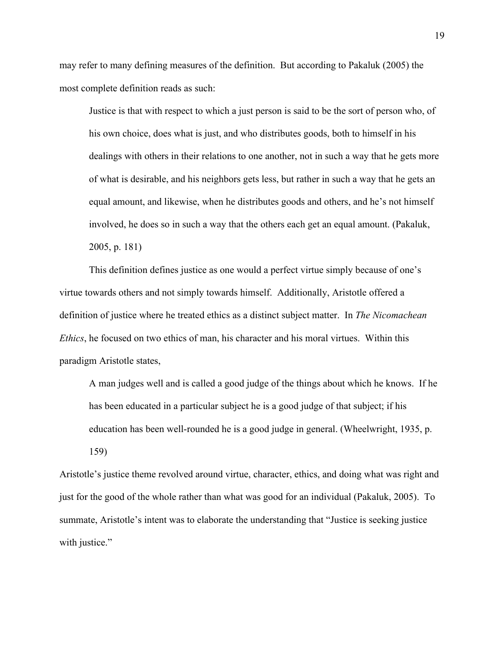may refer to many defining measures of the definition. But according to Pakaluk (2005) the most complete definition reads as such:

Justice is that with respect to which a just person is said to be the sort of person who, of his own choice, does what is just, and who distributes goods, both to himself in his dealings with others in their relations to one another, not in such a way that he gets more of what is desirable, and his neighbors gets less, but rather in such a way that he gets an equal amount, and likewise, when he distributes goods and others, and he's not himself involved, he does so in such a way that the others each get an equal amount. (Pakaluk, 2005, p. 181)

This definition defines justice as one would a perfect virtue simply because of one's virtue towards others and not simply towards himself. Additionally, Aristotle offered a definition of justice where he treated ethics as a distinct subject matter. In *The Nicomachean Ethics*, he focused on two ethics of man, his character and his moral virtues. Within this paradigm Aristotle states,

A man judges well and is called a good judge of the things about which he knows. If he has been educated in a particular subject he is a good judge of that subject; if his education has been well-rounded he is a good judge in general. (Wheelwright, 1935, p. 159)

Aristotle's justice theme revolved around virtue, character, ethics, and doing what was right and just for the good of the whole rather than what was good for an individual (Pakaluk, 2005). To summate, Aristotle's intent was to elaborate the understanding that "Justice is seeking justice with justice."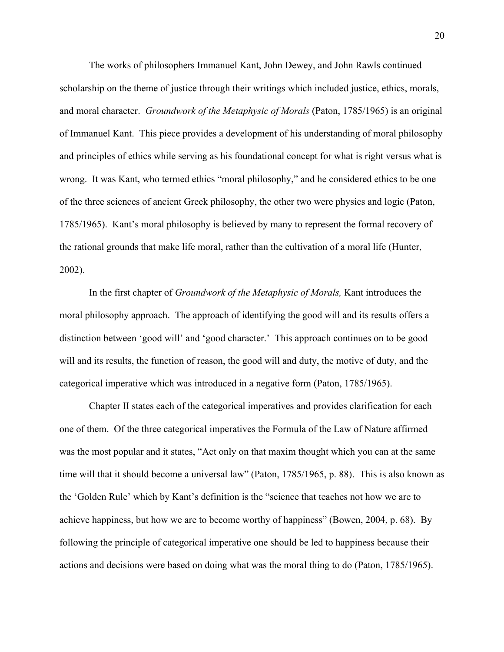The works of philosophers Immanuel Kant, John Dewey, and John Rawls continued scholarship on the theme of justice through their writings which included justice, ethics, morals, and moral character. *Groundwork of the Metaphysic of Morals* (Paton, 1785/1965) is an original of Immanuel Kant. This piece provides a development of his understanding of moral philosophy and principles of ethics while serving as his foundational concept for what is right versus what is wrong. It was Kant, who termed ethics "moral philosophy," and he considered ethics to be one of the three sciences of ancient Greek philosophy, the other two were physics and logic (Paton, 1785/1965). Kant's moral philosophy is believed by many to represent the formal recovery of the rational grounds that make life moral, rather than the cultivation of a moral life (Hunter, 2002).

In the first chapter of *Groundwork of the Metaphysic of Morals,* Kant introduces the moral philosophy approach. The approach of identifying the good will and its results offers a distinction between 'good will' and 'good character.' This approach continues on to be good will and its results, the function of reason, the good will and duty, the motive of duty, and the categorical imperative which was introduced in a negative form (Paton, 1785/1965).

Chapter II states each of the categorical imperatives and provides clarification for each one of them. Of the three categorical imperatives the Formula of the Law of Nature affirmed was the most popular and it states, "Act only on that maxim thought which you can at the same time will that it should become a universal law" (Paton, 1785/1965, p. 88). This is also known as the 'Golden Rule' which by Kant's definition is the "science that teaches not how we are to achieve happiness, but how we are to become worthy of happiness" (Bowen, 2004, p. 68). By following the principle of categorical imperative one should be led to happiness because their actions and decisions were based on doing what was the moral thing to do (Paton, 1785/1965).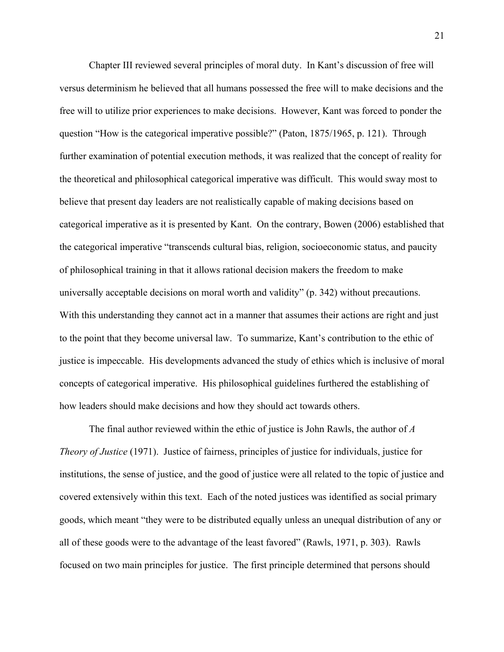Chapter III reviewed several principles of moral duty. In Kant's discussion of free will versus determinism he believed that all humans possessed the free will to make decisions and the free will to utilize prior experiences to make decisions. However, Kant was forced to ponder the question "How is the categorical imperative possible?" (Paton, 1875/1965, p. 121). Through further examination of potential execution methods, it was realized that the concept of reality for the theoretical and philosophical categorical imperative was difficult. This would sway most to believe that present day leaders are not realistically capable of making decisions based on categorical imperative as it is presented by Kant. On the contrary, Bowen (2006) established that the categorical imperative "transcends cultural bias, religion, socioeconomic status, and paucity of philosophical training in that it allows rational decision makers the freedom to make universally acceptable decisions on moral worth and validity" (p. 342) without precautions. With this understanding they cannot act in a manner that assumes their actions are right and just to the point that they become universal law. To summarize, Kant's contribution to the ethic of justice is impeccable. His developments advanced the study of ethics which is inclusive of moral concepts of categorical imperative. His philosophical guidelines furthered the establishing of how leaders should make decisions and how they should act towards others.

The final author reviewed within the ethic of justice is John Rawls, the author of *A Theory of Justice* (1971). Justice of fairness, principles of justice for individuals, justice for institutions, the sense of justice, and the good of justice were all related to the topic of justice and covered extensively within this text. Each of the noted justices was identified as social primary goods, which meant "they were to be distributed equally unless an unequal distribution of any or all of these goods were to the advantage of the least favored" (Rawls, 1971, p. 303). Rawls focused on two main principles for justice. The first principle determined that persons should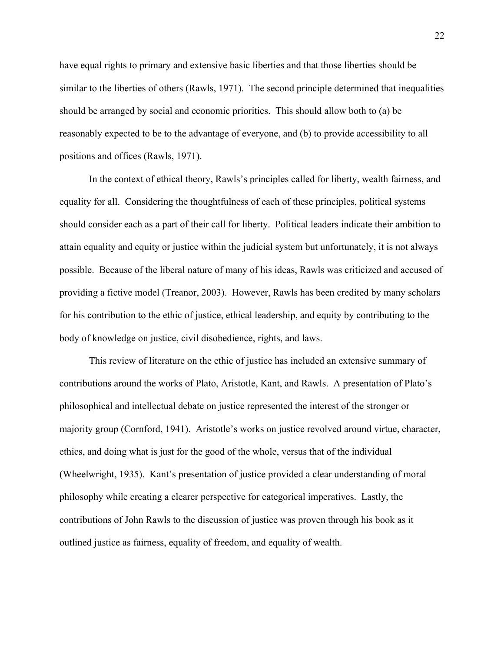have equal rights to primary and extensive basic liberties and that those liberties should be similar to the liberties of others (Rawls, 1971). The second principle determined that inequalities should be arranged by social and economic priorities. This should allow both to (a) be reasonably expected to be to the advantage of everyone, and (b) to provide accessibility to all positions and offices (Rawls, 1971).

In the context of ethical theory, Rawls's principles called for liberty, wealth fairness, and equality for all. Considering the thoughtfulness of each of these principles, political systems should consider each as a part of their call for liberty. Political leaders indicate their ambition to attain equality and equity or justice within the judicial system but unfortunately, it is not always possible. Because of the liberal nature of many of his ideas, Rawls was criticized and accused of providing a fictive model (Treanor, 2003). However, Rawls has been credited by many scholars for his contribution to the ethic of justice, ethical leadership, and equity by contributing to the body of knowledge on justice, civil disobedience, rights, and laws.

This review of literature on the ethic of justice has included an extensive summary of contributions around the works of Plato, Aristotle, Kant, and Rawls. A presentation of Plato's philosophical and intellectual debate on justice represented the interest of the stronger or majority group (Cornford, 1941). Aristotle's works on justice revolved around virtue, character, ethics, and doing what is just for the good of the whole, versus that of the individual (Wheelwright, 1935). Kant's presentation of justice provided a clear understanding of moral philosophy while creating a clearer perspective for categorical imperatives. Lastly, the contributions of John Rawls to the discussion of justice was proven through his book as it outlined justice as fairness, equality of freedom, and equality of wealth.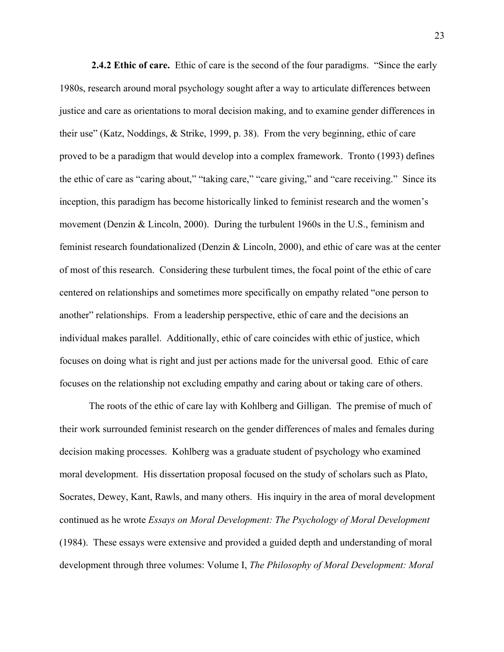**2.4.2 Ethic of care.** Ethic of care is the second of the four paradigms. "Since the early 1980s, research around moral psychology sought after a way to articulate differences between justice and care as orientations to moral decision making, and to examine gender differences in their use" (Katz, Noddings, & Strike, 1999, p. 38). From the very beginning, ethic of care proved to be a paradigm that would develop into a complex framework. Tronto (1993) defines the ethic of care as "caring about," "taking care," "care giving," and "care receiving." Since its inception, this paradigm has become historically linked to feminist research and the women's movement (Denzin & Lincoln, 2000). During the turbulent 1960s in the U.S., feminism and feminist research foundationalized (Denzin & Lincoln, 2000), and ethic of care was at the center of most of this research. Considering these turbulent times, the focal point of the ethic of care centered on relationships and sometimes more specifically on empathy related "one person to another" relationships. From a leadership perspective, ethic of care and the decisions an individual makes parallel. Additionally, ethic of care coincides with ethic of justice, which focuses on doing what is right and just per actions made for the universal good. Ethic of care focuses on the relationship not excluding empathy and caring about or taking care of others.

The roots of the ethic of care lay with Kohlberg and Gilligan. The premise of much of their work surrounded feminist research on the gender differences of males and females during decision making processes. Kohlberg was a graduate student of psychology who examined moral development. His dissertation proposal focused on the study of scholars such as Plato, Socrates, Dewey, Kant, Rawls, and many others. His inquiry in the area of moral development continued as he wrote *Essays on Moral Development: The Psychology of Moral Development*  (1984). These essays were extensive and provided a guided depth and understanding of moral development through three volumes: Volume I, *The Philosophy of Moral Development: Moral*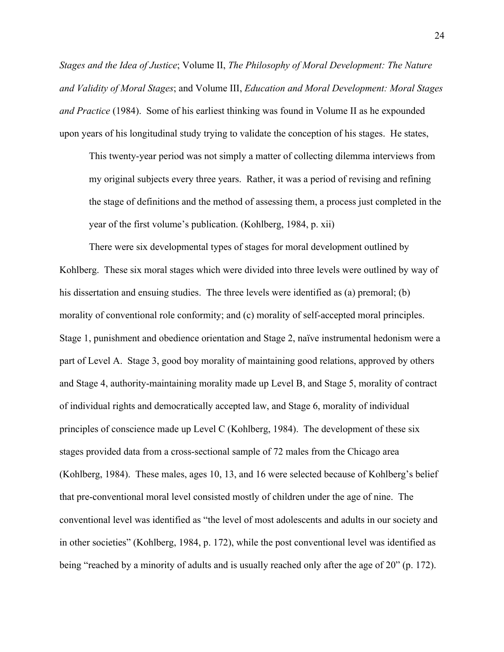*Stages and the Idea of Justice*; Volume II, *The Philosophy of Moral Development: The Nature and Validity of Moral Stages*; and Volume III, *Education and Moral Development: Moral Stages and Practice* (1984). Some of his earliest thinking was found in Volume II as he expounded upon years of his longitudinal study trying to validate the conception of his stages. He states,

This twenty-year period was not simply a matter of collecting dilemma interviews from my original subjects every three years. Rather, it was a period of revising and refining the stage of definitions and the method of assessing them, a process just completed in the year of the first volume's publication. (Kohlberg, 1984, p. xii)

There were six developmental types of stages for moral development outlined by Kohlberg. These six moral stages which were divided into three levels were outlined by way of his dissertation and ensuing studies. The three levels were identified as (a) premoral; (b) morality of conventional role conformity; and (c) morality of self-accepted moral principles. Stage 1, punishment and obedience orientation and Stage 2, naïve instrumental hedonism were a part of Level A. Stage 3, good boy morality of maintaining good relations, approved by others and Stage 4, authority-maintaining morality made up Level B, and Stage 5, morality of contract of individual rights and democratically accepted law, and Stage 6, morality of individual principles of conscience made up Level C (Kohlberg, 1984). The development of these six stages provided data from a cross-sectional sample of 72 males from the Chicago area (Kohlberg, 1984). These males, ages 10, 13, and 16 were selected because of Kohlberg's belief that pre-conventional moral level consisted mostly of children under the age of nine. The conventional level was identified as "the level of most adolescents and adults in our society and in other societies" (Kohlberg, 1984, p. 172), while the post conventional level was identified as being "reached by a minority of adults and is usually reached only after the age of 20" (p. 172).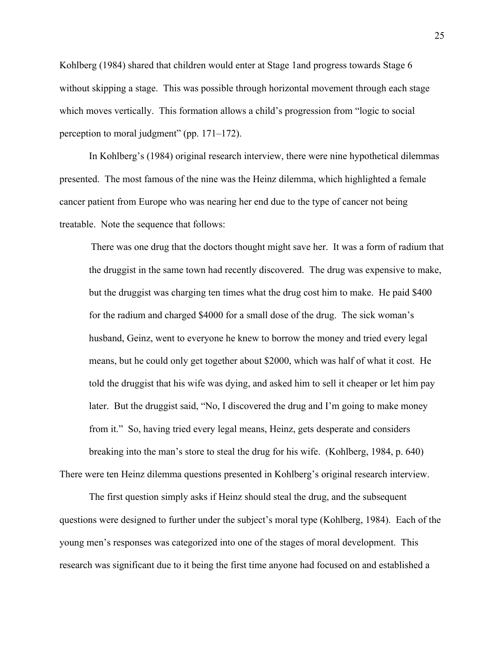Kohlberg (1984) shared that children would enter at Stage 1and progress towards Stage 6 without skipping a stage. This was possible through horizontal movement through each stage which moves vertically. This formation allows a child's progression from "logic to social perception to moral judgment" (pp. 171–172).

In Kohlberg's (1984) original research interview, there were nine hypothetical dilemmas presented. The most famous of the nine was the Heinz dilemma, which highlighted a female cancer patient from Europe who was nearing her end due to the type of cancer not being treatable. Note the sequence that follows:

There was one drug that the doctors thought might save her. It was a form of radium that the druggist in the same town had recently discovered. The drug was expensive to make, but the druggist was charging ten times what the drug cost him to make. He paid \$400 for the radium and charged \$4000 for a small dose of the drug. The sick woman's husband, Geinz, went to everyone he knew to borrow the money and tried every legal means, but he could only get together about \$2000, which was half of what it cost. He told the druggist that his wife was dying, and asked him to sell it cheaper or let him pay later. But the druggist said, "No, I discovered the drug and I'm going to make money from it." So, having tried every legal means, Heinz, gets desperate and considers breaking into the man's store to steal the drug for his wife. (Kohlberg, 1984, p. 640)

There were ten Heinz dilemma questions presented in Kohlberg's original research interview.

The first question simply asks if Heinz should steal the drug, and the subsequent questions were designed to further under the subject's moral type (Kohlberg, 1984). Each of the young men's responses was categorized into one of the stages of moral development. This research was significant due to it being the first time anyone had focused on and established a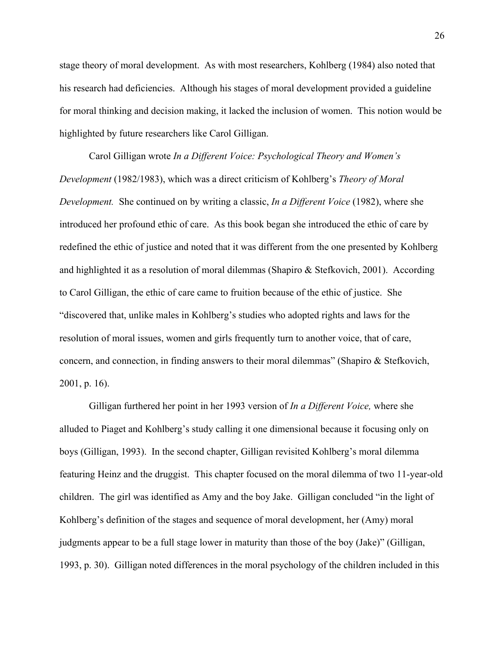stage theory of moral development. As with most researchers, Kohlberg (1984) also noted that his research had deficiencies. Although his stages of moral development provided a guideline for moral thinking and decision making, it lacked the inclusion of women. This notion would be highlighted by future researchers like Carol Gilligan.

Carol Gilligan wrote *In a Different Voice: Psychological Theory and Women's Development* (1982/1983), which was a direct criticism of Kohlberg's *Theory of Moral Development.* She continued on by writing a classic, *In a Different Voice* (1982), where she introduced her profound ethic of care. As this book began she introduced the ethic of care by redefined the ethic of justice and noted that it was different from the one presented by Kohlberg and highlighted it as a resolution of moral dilemmas (Shapiro & Stefkovich, 2001). According to Carol Gilligan, the ethic of care came to fruition because of the ethic of justice. She "discovered that, unlike males in Kohlberg's studies who adopted rights and laws for the resolution of moral issues, women and girls frequently turn to another voice, that of care, concern, and connection, in finding answers to their moral dilemmas" (Shapiro & Stefkovich, 2001, p. 16).

Gilligan furthered her point in her 1993 version of *In a Different Voice,* where she alluded to Piaget and Kohlberg's study calling it one dimensional because it focusing only on boys (Gilligan, 1993). In the second chapter, Gilligan revisited Kohlberg's moral dilemma featuring Heinz and the druggist. This chapter focused on the moral dilemma of two 11-year-old children. The girl was identified as Amy and the boy Jake. Gilligan concluded "in the light of Kohlberg's definition of the stages and sequence of moral development, her (Amy) moral judgments appear to be a full stage lower in maturity than those of the boy (Jake)" (Gilligan, 1993, p. 30). Gilligan noted differences in the moral psychology of the children included in this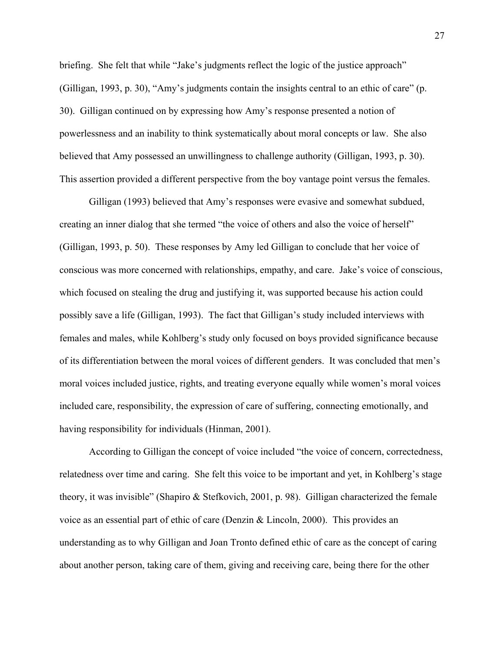briefing. She felt that while "Jake's judgments reflect the logic of the justice approach" (Gilligan, 1993, p. 30), "Amy's judgments contain the insights central to an ethic of care" (p. 30). Gilligan continued on by expressing how Amy's response presented a notion of powerlessness and an inability to think systematically about moral concepts or law. She also believed that Amy possessed an unwillingness to challenge authority (Gilligan, 1993, p. 30). This assertion provided a different perspective from the boy vantage point versus the females.

Gilligan (1993) believed that Amy's responses were evasive and somewhat subdued, creating an inner dialog that she termed "the voice of others and also the voice of herself" (Gilligan, 1993, p. 50). These responses by Amy led Gilligan to conclude that her voice of conscious was more concerned with relationships, empathy, and care. Jake's voice of conscious, which focused on stealing the drug and justifying it, was supported because his action could possibly save a life (Gilligan, 1993). The fact that Gilligan's study included interviews with females and males, while Kohlberg's study only focused on boys provided significance because of its differentiation between the moral voices of different genders. It was concluded that men's moral voices included justice, rights, and treating everyone equally while women's moral voices included care, responsibility, the expression of care of suffering, connecting emotionally, and having responsibility for individuals (Hinman, 2001).

According to Gilligan the concept of voice included "the voice of concern, correctedness, relatedness over time and caring. She felt this voice to be important and yet, in Kohlberg's stage theory, it was invisible" (Shapiro & Stefkovich, 2001, p. 98). Gilligan characterized the female voice as an essential part of ethic of care (Denzin & Lincoln, 2000). This provides an understanding as to why Gilligan and Joan Tronto defined ethic of care as the concept of caring about another person, taking care of them, giving and receiving care, being there for the other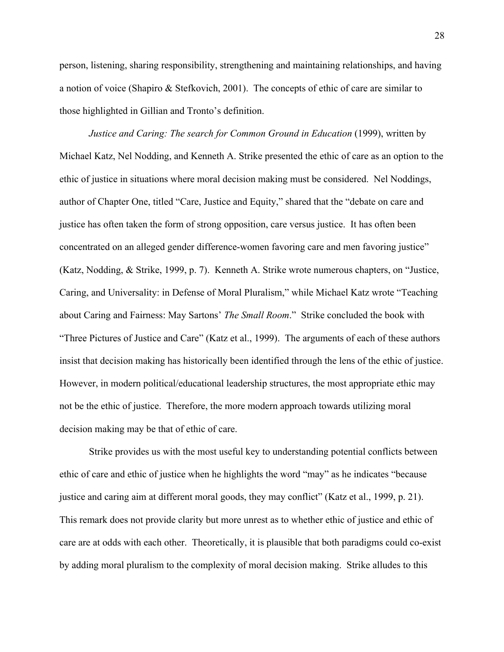person, listening, sharing responsibility, strengthening and maintaining relationships, and having a notion of voice (Shapiro & Stefkovich, 2001). The concepts of ethic of care are similar to those highlighted in Gillian and Tronto's definition.

*Justice and Caring: The search for Common Ground in Education* (1999), written by Michael Katz, Nel Nodding, and Kenneth A. Strike presented the ethic of care as an option to the ethic of justice in situations where moral decision making must be considered. Nel Noddings, author of Chapter One, titled "Care, Justice and Equity," shared that the "debate on care and justice has often taken the form of strong opposition, care versus justice. It has often been concentrated on an alleged gender difference-women favoring care and men favoring justice" (Katz, Nodding, & Strike, 1999, p. 7). Kenneth A. Strike wrote numerous chapters, on "Justice, Caring, and Universality: in Defense of Moral Pluralism," while Michael Katz wrote "Teaching about Caring and Fairness: May Sartons' *The Small Room*." Strike concluded the book with "Three Pictures of Justice and Care" (Katz et al., 1999). The arguments of each of these authors insist that decision making has historically been identified through the lens of the ethic of justice. However, in modern political/educational leadership structures, the most appropriate ethic may not be the ethic of justice. Therefore, the more modern approach towards utilizing moral decision making may be that of ethic of care.

Strike provides us with the most useful key to understanding potential conflicts between ethic of care and ethic of justice when he highlights the word "may" as he indicates "because justice and caring aim at different moral goods, they may conflict" (Katz et al., 1999, p. 21). This remark does not provide clarity but more unrest as to whether ethic of justice and ethic of care are at odds with each other. Theoretically, it is plausible that both paradigms could co-exist by adding moral pluralism to the complexity of moral decision making. Strike alludes to this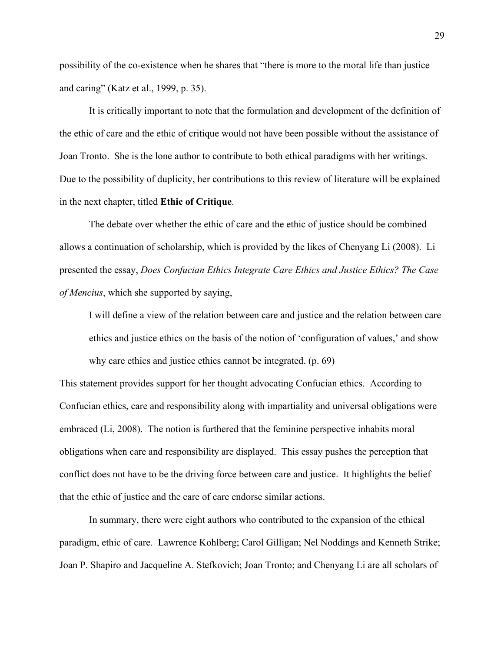possibility of the co-existence when he shares that "there is more to the moral life than justice and caring" (Katz et al., 1999, p. 35).

It is critically important to note that the formulation and development of the definition of the ethic of care and the ethic of critique would not have been possible without the assistance of Joan Tronto. She is the lone author to contribute to both ethical paradigms with her writings. Due to the possibility of duplicity, her contributions to this review of literature will be explained in the next chapter, titled **Ethic of Critique**.

The debate over whether the ethic of care and the ethic of justice should be combined allows a continuation of scholarship, which is provided by the likes of Chenyang Li (2008). Li presented the essay, *Does Confucian Ethics Integrate Care Ethics and Justice Ethics? The Case of Mencius*, which she supported by saying,

I will define a view of the relation between care and justice and the relation between care ethics and justice ethics on the basis of the notion of 'configuration of values,' and show why care ethics and justice ethics cannot be integrated. (p. 69)

This statement provides support for her thought advocating Confucian ethics. According to Confucian ethics, care and responsibility along with impartiality and universal obligations were embraced (Li, 2008). The notion is furthered that the feminine perspective inhabits moral obligations when care and responsibility are displayed. This essay pushes the perception that conflict does not have to be the driving force between care and justice. It highlights the belief that the ethic of justice and the care of care endorse similar actions.

In summary, there were eight authors who contributed to the expansion of the ethical paradigm, ethic of care. Lawrence Kohlberg; Carol Gilligan; Nel Noddings and Kenneth Strike; Joan P. Shapiro and Jacqueline A. Stefkovich; Joan Tronto; and Chenyang Li are all scholars of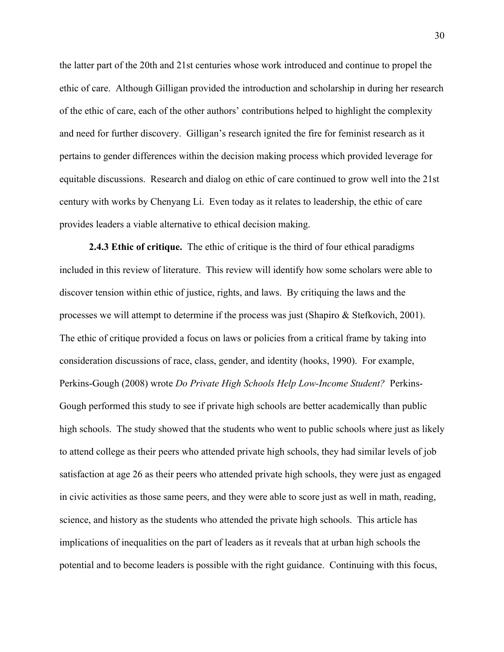the latter part of the 20th and 21st centuries whose work introduced and continue to propel the ethic of care. Although Gilligan provided the introduction and scholarship in during her research of the ethic of care, each of the other authors' contributions helped to highlight the complexity and need for further discovery. Gilligan's research ignited the fire for feminist research as it pertains to gender differences within the decision making process which provided leverage for equitable discussions. Research and dialog on ethic of care continued to grow well into the 21st century with works by Chenyang Li. Even today as it relates to leadership, the ethic of care provides leaders a viable alternative to ethical decision making.

**2.4.3 Ethic of critique.** The ethic of critique is the third of four ethical paradigms included in this review of literature. This review will identify how some scholars were able to discover tension within ethic of justice, rights, and laws. By critiquing the laws and the processes we will attempt to determine if the process was just (Shapiro & Stefkovich, 2001). The ethic of critique provided a focus on laws or policies from a critical frame by taking into consideration discussions of race, class, gender, and identity (hooks, 1990). For example, Perkins-Gough (2008) wrote *Do Private High Schools Help Low-Income Student?* Perkins-Gough performed this study to see if private high schools are better academically than public high schools. The study showed that the students who went to public schools where just as likely to attend college as their peers who attended private high schools, they had similar levels of job satisfaction at age 26 as their peers who attended private high schools, they were just as engaged in civic activities as those same peers, and they were able to score just as well in math, reading, science, and history as the students who attended the private high schools. This article has implications of inequalities on the part of leaders as it reveals that at urban high schools the potential and to become leaders is possible with the right guidance. Continuing with this focus,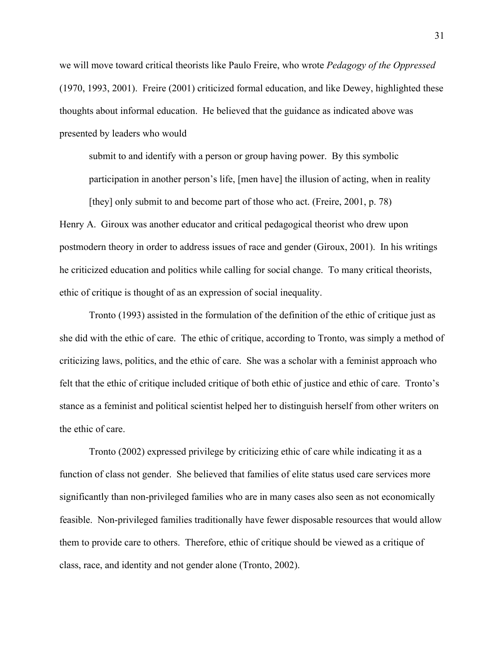we will move toward critical theorists like Paulo Freire, who wrote *Pedagogy of the Oppressed* (1970, 1993, 2001). Freire (2001) criticized formal education, and like Dewey, highlighted these thoughts about informal education. He believed that the guidance as indicated above was presented by leaders who would

submit to and identify with a person or group having power. By this symbolic participation in another person's life, [men have] the illusion of acting, when in reality

Henry A. Giroux was another educator and critical pedagogical theorist who drew upon postmodern theory in order to address issues of race and gender (Giroux, 2001). In his writings he criticized education and politics while calling for social change. To many critical theorists, ethic of critique is thought of as an expression of social inequality.

[they] only submit to and become part of those who act. (Freire, 2001, p. 78)

Tronto (1993) assisted in the formulation of the definition of the ethic of critique just as she did with the ethic of care. The ethic of critique, according to Tronto, was simply a method of criticizing laws, politics, and the ethic of care. She was a scholar with a feminist approach who felt that the ethic of critique included critique of both ethic of justice and ethic of care. Tronto's stance as a feminist and political scientist helped her to distinguish herself from other writers on the ethic of care.

Tronto (2002) expressed privilege by criticizing ethic of care while indicating it as a function of class not gender. She believed that families of elite status used care services more significantly than non-privileged families who are in many cases also seen as not economically feasible. Non-privileged families traditionally have fewer disposable resources that would allow them to provide care to others. Therefore, ethic of critique should be viewed as a critique of class, race, and identity and not gender alone (Tronto, 2002).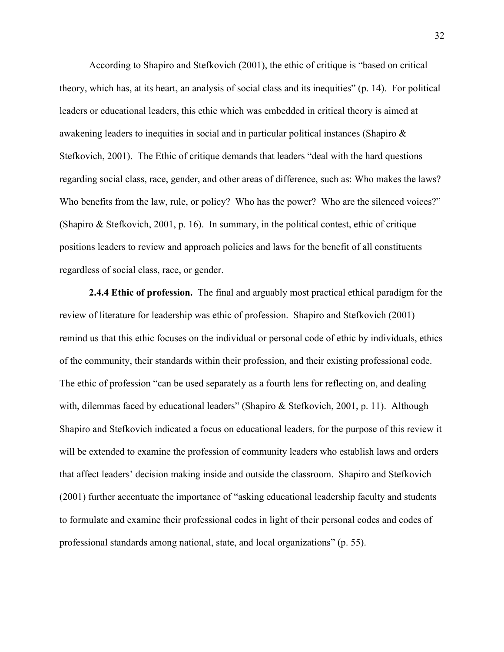According to Shapiro and Stefkovich (2001), the ethic of critique is "based on critical theory, which has, at its heart, an analysis of social class and its inequities" (p. 14). For political leaders or educational leaders, this ethic which was embedded in critical theory is aimed at awakening leaders to inequities in social and in particular political instances (Shapiro & Stefkovich, 2001). The Ethic of critique demands that leaders "deal with the hard questions regarding social class, race, gender, and other areas of difference, such as: Who makes the laws? Who benefits from the law, rule, or policy? Who has the power? Who are the silenced voices?" (Shapiro & Stefkovich, 2001, p. 16). In summary, in the political contest, ethic of critique positions leaders to review and approach policies and laws for the benefit of all constituents regardless of social class, race, or gender.

**2.4.4 Ethic of profession.** The final and arguably most practical ethical paradigm for the review of literature for leadership was ethic of profession. Shapiro and Stefkovich (2001) remind us that this ethic focuses on the individual or personal code of ethic by individuals, ethics of the community, their standards within their profession, and their existing professional code. The ethic of profession "can be used separately as a fourth lens for reflecting on, and dealing with, dilemmas faced by educational leaders" (Shapiro & Stefkovich, 2001, p. 11). Although Shapiro and Stefkovich indicated a focus on educational leaders, for the purpose of this review it will be extended to examine the profession of community leaders who establish laws and orders that affect leaders' decision making inside and outside the classroom. Shapiro and Stefkovich (2001) further accentuate the importance of "asking educational leadership faculty and students to formulate and examine their professional codes in light of their personal codes and codes of professional standards among national, state, and local organizations" (p. 55).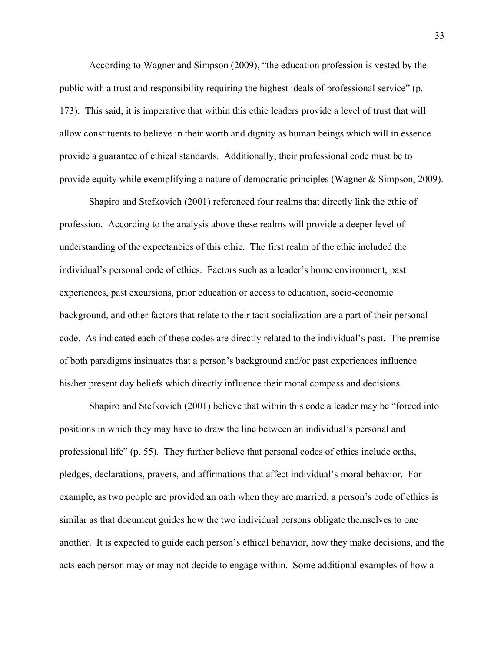According to Wagner and Simpson (2009), "the education profession is vested by the public with a trust and responsibility requiring the highest ideals of professional service" (p. 173). This said, it is imperative that within this ethic leaders provide a level of trust that will allow constituents to believe in their worth and dignity as human beings which will in essence provide a guarantee of ethical standards. Additionally, their professional code must be to provide equity while exemplifying a nature of democratic principles (Wagner & Simpson, 2009).

Shapiro and Stefkovich (2001) referenced four realms that directly link the ethic of profession. According to the analysis above these realms will provide a deeper level of understanding of the expectancies of this ethic. The first realm of the ethic included the individual's personal code of ethics. Factors such as a leader's home environment, past experiences, past excursions, prior education or access to education, socio-economic background, and other factors that relate to their tacit socialization are a part of their personal code. As indicated each of these codes are directly related to the individual's past. The premise of both paradigms insinuates that a person's background and/or past experiences influence his/her present day beliefs which directly influence their moral compass and decisions.

Shapiro and Stefkovich (2001) believe that within this code a leader may be "forced into positions in which they may have to draw the line between an individual's personal and professional life" (p. 55). They further believe that personal codes of ethics include oaths, pledges, declarations, prayers, and affirmations that affect individual's moral behavior. For example, as two people are provided an oath when they are married, a person's code of ethics is similar as that document guides how the two individual persons obligate themselves to one another. It is expected to guide each person's ethical behavior, how they make decisions, and the acts each person may or may not decide to engage within. Some additional examples of how a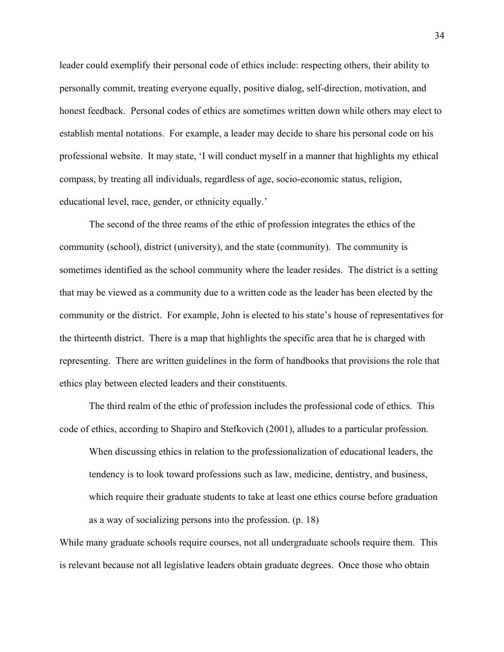leader could exemplify their personal code of ethics include: respecting others, their ability to personally commit, treating everyone equally, positive dialog, self-direction, motivation, and honest feedback. Personal codes of ethics are sometimes written down while others may elect to establish mental notations. For example, a leader may decide to share his personal code on his professional website. It may state, 'I will conduct myself in a manner that highlights my ethical compass, by treating all individuals, regardless of age, socio-economic status, religion, educational level, race, gender, or ethnicity equally.'

The second of the three reams of the ethic of profession integrates the ethics of the community (school), district (university), and the state (community). The community is sometimes identified as the school community where the leader resides. The district is a setting that may be viewed as a community due to a written code as the leader has been elected by the community or the district. For example, John is elected to his state's house of representatives for the thirteenth district. There is a map that highlights the specific area that he is charged with representing. There are written guidelines in the form of handbooks that provisions the role that ethics play between elected leaders and their constituents.

The third realm of the ethic of profession includes the professional code of ethics. This code of ethics, according to Shapiro and Stefkovich (2001), alludes to a particular profession.

When discussing ethics in relation to the professionalization of educational leaders, the tendency is to look toward professions such as law, medicine, dentistry, and business, which require their graduate students to take at least one ethics course before graduation as a way of socializing persons into the profession. (p. 18)

While many graduate schools require courses, not all undergraduate schools require them. This is relevant because not all legislative leaders obtain graduate degrees. Once those who obtain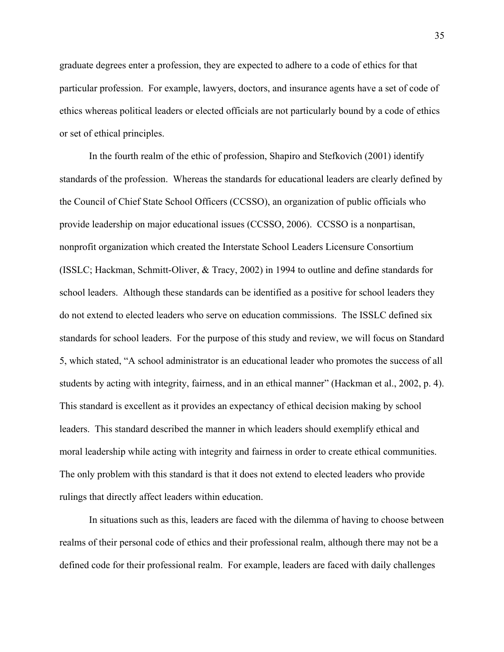graduate degrees enter a profession, they are expected to adhere to a code of ethics for that particular profession. For example, lawyers, doctors, and insurance agents have a set of code of ethics whereas political leaders or elected officials are not particularly bound by a code of ethics or set of ethical principles.

In the fourth realm of the ethic of profession, Shapiro and Stefkovich (2001) identify standards of the profession. Whereas the standards for educational leaders are clearly defined by the Council of Chief State School Officers (CCSSO), an organization of public officials who provide leadership on major educational issues (CCSSO, 2006). CCSSO is a nonpartisan, nonprofit organization which created the Interstate School Leaders Licensure Consortium (ISSLC; Hackman, Schmitt-Oliver, & Tracy, 2002) in 1994 to outline and define standards for school leaders. Although these standards can be identified as a positive for school leaders they do not extend to elected leaders who serve on education commissions. The ISSLC defined six standards for school leaders. For the purpose of this study and review, we will focus on Standard 5, which stated, "A school administrator is an educational leader who promotes the success of all students by acting with integrity, fairness, and in an ethical manner" (Hackman et al., 2002, p. 4). This standard is excellent as it provides an expectancy of ethical decision making by school leaders. This standard described the manner in which leaders should exemplify ethical and moral leadership while acting with integrity and fairness in order to create ethical communities. The only problem with this standard is that it does not extend to elected leaders who provide rulings that directly affect leaders within education.

In situations such as this, leaders are faced with the dilemma of having to choose between realms of their personal code of ethics and their professional realm, although there may not be a defined code for their professional realm. For example, leaders are faced with daily challenges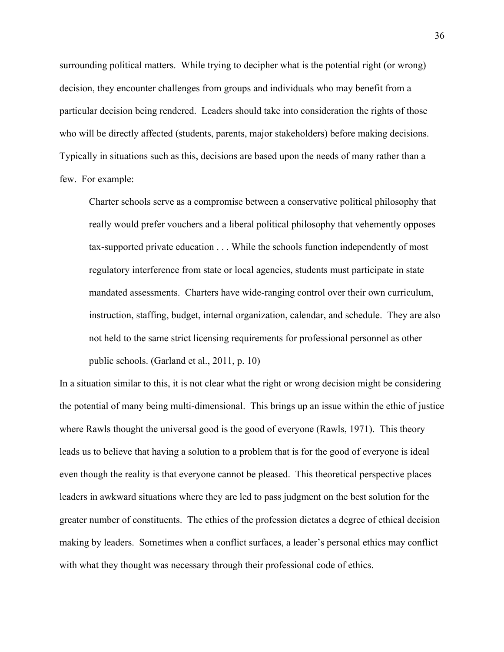surrounding political matters. While trying to decipher what is the potential right (or wrong) decision, they encounter challenges from groups and individuals who may benefit from a particular decision being rendered. Leaders should take into consideration the rights of those who will be directly affected (students, parents, major stakeholders) before making decisions. Typically in situations such as this, decisions are based upon the needs of many rather than a few. For example:

Charter schools serve as a compromise between a conservative political philosophy that really would prefer vouchers and a liberal political philosophy that vehemently opposes tax-supported private education . . . While the schools function independently of most regulatory interference from state or local agencies, students must participate in state mandated assessments. Charters have wide-ranging control over their own curriculum, instruction, staffing, budget, internal organization, calendar, and schedule. They are also not held to the same strict licensing requirements for professional personnel as other public schools. (Garland et al., 2011, p. 10)

In a situation similar to this, it is not clear what the right or wrong decision might be considering the potential of many being multi-dimensional. This brings up an issue within the ethic of justice where Rawls thought the universal good is the good of everyone (Rawls, 1971). This theory leads us to believe that having a solution to a problem that is for the good of everyone is ideal even though the reality is that everyone cannot be pleased. This theoretical perspective places leaders in awkward situations where they are led to pass judgment on the best solution for the greater number of constituents. The ethics of the profession dictates a degree of ethical decision making by leaders. Sometimes when a conflict surfaces, a leader's personal ethics may conflict with what they thought was necessary through their professional code of ethics.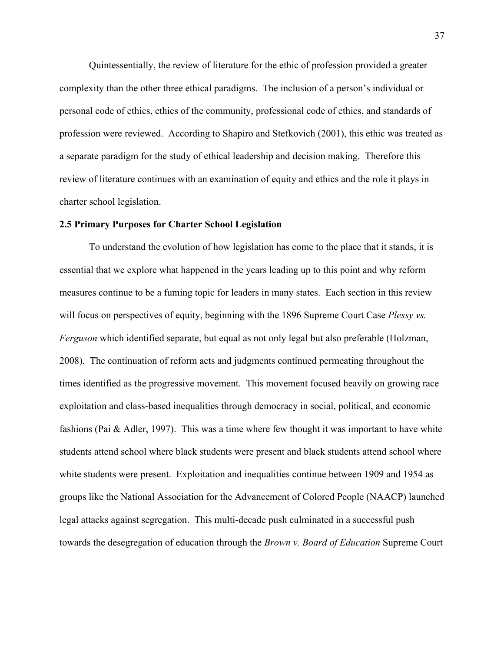Quintessentially, the review of literature for the ethic of profession provided a greater complexity than the other three ethical paradigms. The inclusion of a person's individual or personal code of ethics, ethics of the community, professional code of ethics, and standards of profession were reviewed. According to Shapiro and Stefkovich (2001), this ethic was treated as a separate paradigm for the study of ethical leadership and decision making. Therefore this review of literature continues with an examination of equity and ethics and the role it plays in charter school legislation.

#### **2.5 Primary Purposes for Charter School Legislation**

To understand the evolution of how legislation has come to the place that it stands, it is essential that we explore what happened in the years leading up to this point and why reform measures continue to be a fuming topic for leaders in many states. Each section in this review will focus on perspectives of equity, beginning with the 1896 Supreme Court Case *Plessy vs. Ferguson* which identified separate, but equal as not only legal but also preferable (Holzman, 2008). The continuation of reform acts and judgments continued permeating throughout the times identified as the progressive movement. This movement focused heavily on growing race exploitation and class-based inequalities through democracy in social, political, and economic fashions (Pai & Adler, 1997). This was a time where few thought it was important to have white students attend school where black students were present and black students attend school where white students were present. Exploitation and inequalities continue between 1909 and 1954 as groups like the National Association for the Advancement of Colored People (NAACP) launched legal attacks against segregation. This multi-decade push culminated in a successful push towards the desegregation of education through the *Brown v. Board of Education* Supreme Court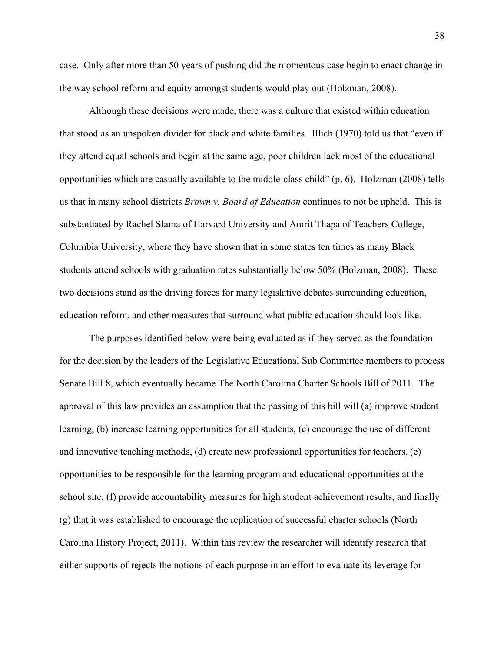case. Only after more than 50 years of pushing did the momentous case begin to enact change in the way school reform and equity amongst students would play out (Holzman, 2008).

Although these decisions were made, there was a culture that existed within education that stood as an unspoken divider for black and white families. Illich (1970) told us that "even if they attend equal schools and begin at the same age, poor children lack most of the educational opportunities which are casually available to the middle-class child" (p. 6). Holzman (2008) tells us that in many school districts *Brown v. Board of Education* continues to not be upheld. This is substantiated by Rachel Slama of Harvard University and Amrit Thapa of Teachers College, Columbia University, where they have shown that in some states ten times as many Black students attend schools with graduation rates substantially below 50% (Holzman, 2008). These two decisions stand as the driving forces for many legislative debates surrounding education, education reform, and other measures that surround what public education should look like.

The purposes identified below were being evaluated as if they served as the foundation for the decision by the leaders of the Legislative Educational Sub Committee members to process Senate Bill 8, which eventually became The North Carolina Charter Schools Bill of 2011. The approval of this law provides an assumption that the passing of this bill will (a) improve student learning, (b) increase learning opportunities for all students, (c) encourage the use of different and innovative teaching methods, (d) create new professional opportunities for teachers, (e) opportunities to be responsible for the learning program and educational opportunities at the school site, (f) provide accountability measures for high student achievement results, and finally (g) that it was established to encourage the replication of successful charter schools (North Carolina History Project, 2011). Within this review the researcher will identify research that either supports of rejects the notions of each purpose in an effort to evaluate its leverage for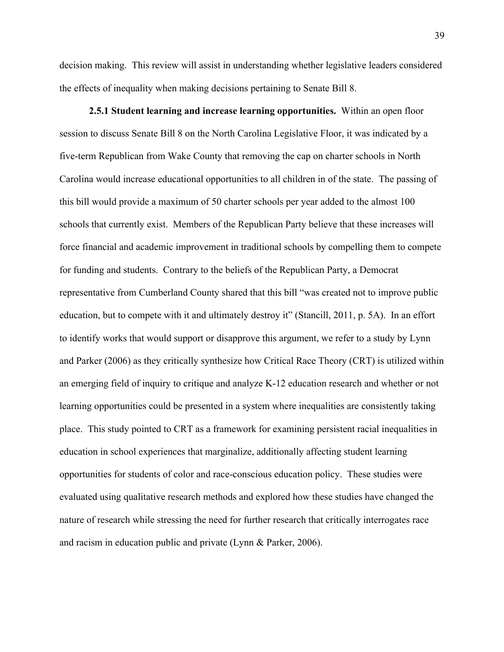decision making. This review will assist in understanding whether legislative leaders considered the effects of inequality when making decisions pertaining to Senate Bill 8.

**2.5.1 Student learning and increase learning opportunities.** Within an open floor session to discuss Senate Bill 8 on the North Carolina Legislative Floor, it was indicated by a five-term Republican from Wake County that removing the cap on charter schools in North Carolina would increase educational opportunities to all children in of the state. The passing of this bill would provide a maximum of 50 charter schools per year added to the almost 100 schools that currently exist. Members of the Republican Party believe that these increases will force financial and academic improvement in traditional schools by compelling them to compete for funding and students. Contrary to the beliefs of the Republican Party, a Democrat representative from Cumberland County shared that this bill "was created not to improve public education, but to compete with it and ultimately destroy it" (Stancill, 2011, p. 5A). In an effort to identify works that would support or disapprove this argument, we refer to a study by Lynn and Parker (2006) as they critically synthesize how Critical Race Theory (CRT) is utilized within an emerging field of inquiry to critique and analyze K-12 education research and whether or not learning opportunities could be presented in a system where inequalities are consistently taking place. This study pointed to CRT as a framework for examining persistent racial inequalities in education in school experiences that marginalize, additionally affecting student learning opportunities for students of color and race-conscious education policy. These studies were evaluated using qualitative research methods and explored how these studies have changed the nature of research while stressing the need for further research that critically interrogates race and racism in education public and private (Lynn & Parker, 2006).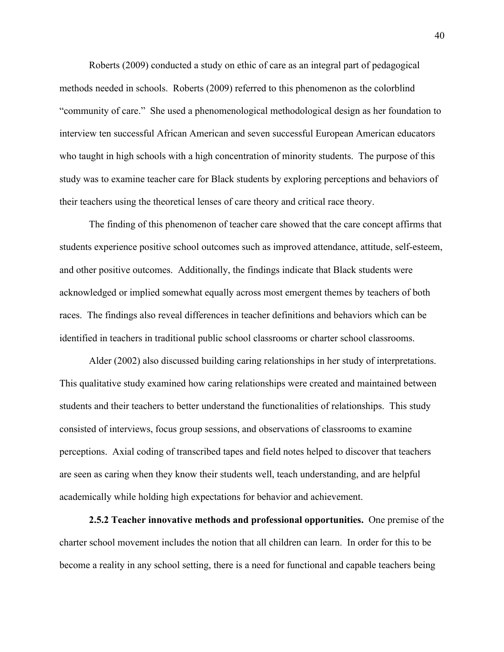Roberts (2009) conducted a study on ethic of care as an integral part of pedagogical methods needed in schools. Roberts (2009) referred to this phenomenon as the colorblind "community of care." She used a phenomenological methodological design as her foundation to interview ten successful African American and seven successful European American educators who taught in high schools with a high concentration of minority students. The purpose of this study was to examine teacher care for Black students by exploring perceptions and behaviors of their teachers using the theoretical lenses of care theory and critical race theory.

The finding of this phenomenon of teacher care showed that the care concept affirms that students experience positive school outcomes such as improved attendance, attitude, self-esteem, and other positive outcomes. Additionally, the findings indicate that Black students were acknowledged or implied somewhat equally across most emergent themes by teachers of both races. The findings also reveal differences in teacher definitions and behaviors which can be identified in teachers in traditional public school classrooms or charter school classrooms.

Alder (2002) also discussed building caring relationships in her study of interpretations. This qualitative study examined how caring relationships were created and maintained between students and their teachers to better understand the functionalities of relationships. This study consisted of interviews, focus group sessions, and observations of classrooms to examine perceptions. Axial coding of transcribed tapes and field notes helped to discover that teachers are seen as caring when they know their students well, teach understanding, and are helpful academically while holding high expectations for behavior and achievement.

**2.5.2 Teacher innovative methods and professional opportunities.** One premise of the charter school movement includes the notion that all children can learn. In order for this to be become a reality in any school setting, there is a need for functional and capable teachers being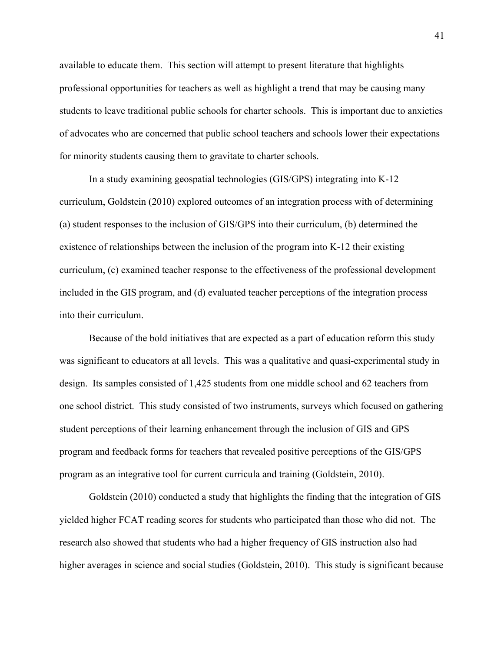available to educate them. This section will attempt to present literature that highlights professional opportunities for teachers as well as highlight a trend that may be causing many students to leave traditional public schools for charter schools. This is important due to anxieties of advocates who are concerned that public school teachers and schools lower their expectations for minority students causing them to gravitate to charter schools.

In a study examining geospatial technologies (GIS/GPS) integrating into K-12 curriculum, Goldstein (2010) explored outcomes of an integration process with of determining (a) student responses to the inclusion of GIS/GPS into their curriculum, (b) determined the existence of relationships between the inclusion of the program into K-12 their existing curriculum, (c) examined teacher response to the effectiveness of the professional development included in the GIS program, and (d) evaluated teacher perceptions of the integration process into their curriculum.

Because of the bold initiatives that are expected as a part of education reform this study was significant to educators at all levels. This was a qualitative and quasi-experimental study in design. Its samples consisted of 1,425 students from one middle school and 62 teachers from one school district. This study consisted of two instruments, surveys which focused on gathering student perceptions of their learning enhancement through the inclusion of GIS and GPS program and feedback forms for teachers that revealed positive perceptions of the GIS/GPS program as an integrative tool for current curricula and training (Goldstein, 2010).

Goldstein (2010) conducted a study that highlights the finding that the integration of GIS yielded higher FCAT reading scores for students who participated than those who did not. The research also showed that students who had a higher frequency of GIS instruction also had higher averages in science and social studies (Goldstein, 2010). This study is significant because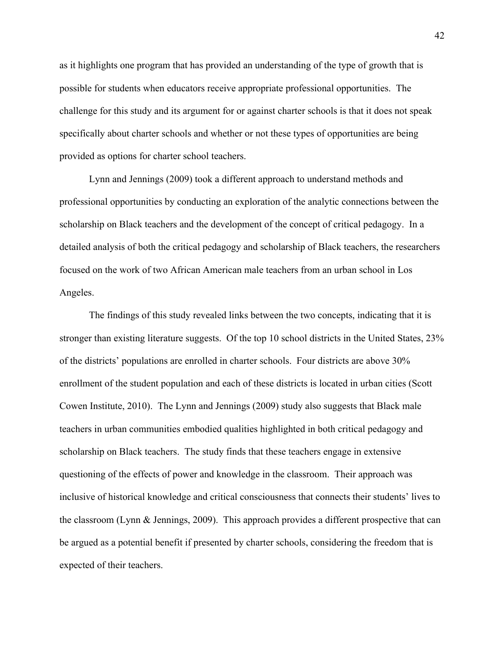as it highlights one program that has provided an understanding of the type of growth that is possible for students when educators receive appropriate professional opportunities. The challenge for this study and its argument for or against charter schools is that it does not speak specifically about charter schools and whether or not these types of opportunities are being provided as options for charter school teachers.

Lynn and Jennings (2009) took a different approach to understand methods and professional opportunities by conducting an exploration of the analytic connections between the scholarship on Black teachers and the development of the concept of critical pedagogy. In a detailed analysis of both the critical pedagogy and scholarship of Black teachers, the researchers focused on the work of two African American male teachers from an urban school in Los Angeles.

The findings of this study revealed links between the two concepts, indicating that it is stronger than existing literature suggests. Of the top 10 school districts in the United States, 23% of the districts' populations are enrolled in charter schools. Four districts are above 30% enrollment of the student population and each of these districts is located in urban cities (Scott Cowen Institute, 2010). The Lynn and Jennings (2009) study also suggests that Black male teachers in urban communities embodied qualities highlighted in both critical pedagogy and scholarship on Black teachers. The study finds that these teachers engage in extensive questioning of the effects of power and knowledge in the classroom. Their approach was inclusive of historical knowledge and critical consciousness that connects their students' lives to the classroom (Lynn & Jennings, 2009). This approach provides a different prospective that can be argued as a potential benefit if presented by charter schools, considering the freedom that is expected of their teachers.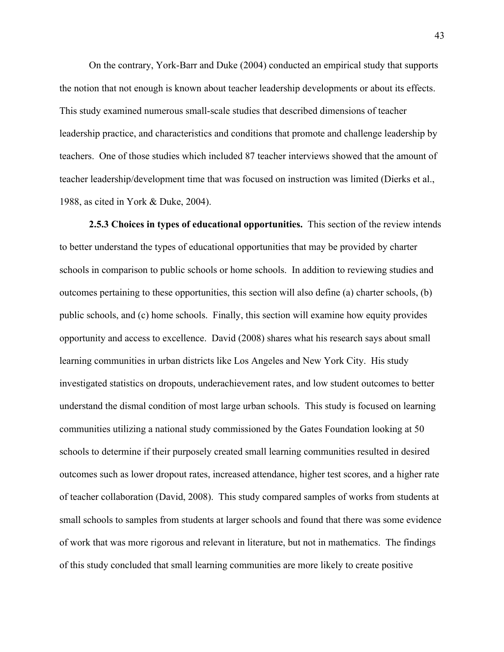On the contrary, York-Barr and Duke (2004) conducted an empirical study that supports the notion that not enough is known about teacher leadership developments or about its effects. This study examined numerous small-scale studies that described dimensions of teacher leadership practice, and characteristics and conditions that promote and challenge leadership by teachers. One of those studies which included 87 teacher interviews showed that the amount of teacher leadership/development time that was focused on instruction was limited (Dierks et al., 1988, as cited in York & Duke, 2004).

**2.5.3 Choices in types of educational opportunities.** This section of the review intends to better understand the types of educational opportunities that may be provided by charter schools in comparison to public schools or home schools. In addition to reviewing studies and outcomes pertaining to these opportunities, this section will also define (a) charter schools, (b) public schools, and (c) home schools. Finally, this section will examine how equity provides opportunity and access to excellence. David (2008) shares what his research says about small learning communities in urban districts like Los Angeles and New York City. His study investigated statistics on dropouts, underachievement rates, and low student outcomes to better understand the dismal condition of most large urban schools. This study is focused on learning communities utilizing a national study commissioned by the Gates Foundation looking at 50 schools to determine if their purposely created small learning communities resulted in desired outcomes such as lower dropout rates, increased attendance, higher test scores, and a higher rate of teacher collaboration (David, 2008). This study compared samples of works from students at small schools to samples from students at larger schools and found that there was some evidence of work that was more rigorous and relevant in literature, but not in mathematics. The findings of this study concluded that small learning communities are more likely to create positive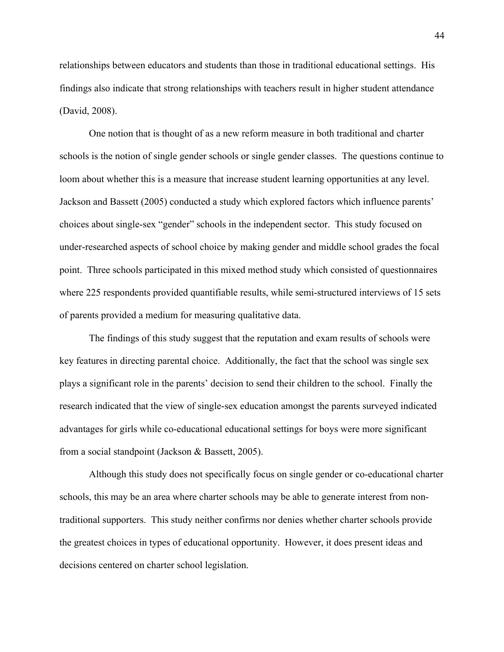relationships between educators and students than those in traditional educational settings. His findings also indicate that strong relationships with teachers result in higher student attendance (David, 2008).

One notion that is thought of as a new reform measure in both traditional and charter schools is the notion of single gender schools or single gender classes. The questions continue to loom about whether this is a measure that increase student learning opportunities at any level. Jackson and Bassett (2005) conducted a study which explored factors which influence parents' choices about single-sex "gender" schools in the independent sector. This study focused on under-researched aspects of school choice by making gender and middle school grades the focal point. Three schools participated in this mixed method study which consisted of questionnaires where 225 respondents provided quantifiable results, while semi-structured interviews of 15 sets of parents provided a medium for measuring qualitative data.

The findings of this study suggest that the reputation and exam results of schools were key features in directing parental choice. Additionally, the fact that the school was single sex plays a significant role in the parents' decision to send their children to the school. Finally the research indicated that the view of single-sex education amongst the parents surveyed indicated advantages for girls while co-educational educational settings for boys were more significant from a social standpoint (Jackson & Bassett, 2005).

Although this study does not specifically focus on single gender or co-educational charter schools, this may be an area where charter schools may be able to generate interest from nontraditional supporters. This study neither confirms nor denies whether charter schools provide the greatest choices in types of educational opportunity. However, it does present ideas and decisions centered on charter school legislation.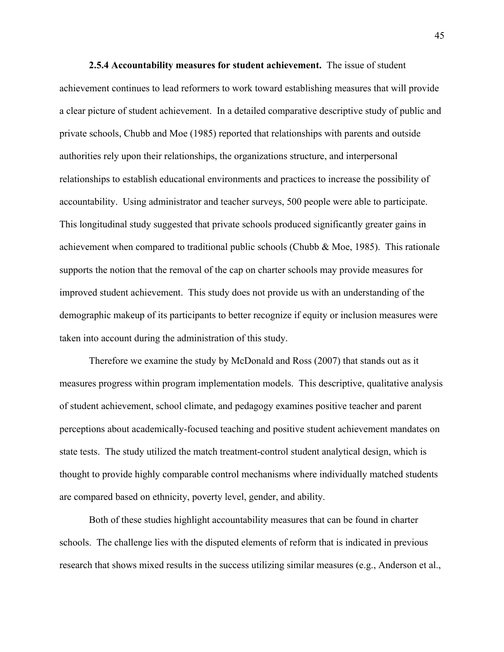**2.5.4 Accountability measures for student achievement.** The issue of student achievement continues to lead reformers to work toward establishing measures that will provide a clear picture of student achievement. In a detailed comparative descriptive study of public and private schools, Chubb and Moe (1985) reported that relationships with parents and outside authorities rely upon their relationships, the organizations structure, and interpersonal relationships to establish educational environments and practices to increase the possibility of accountability. Using administrator and teacher surveys, 500 people were able to participate. This longitudinal study suggested that private schools produced significantly greater gains in achievement when compared to traditional public schools (Chubb & Moe, 1985). This rationale supports the notion that the removal of the cap on charter schools may provide measures for improved student achievement. This study does not provide us with an understanding of the demographic makeup of its participants to better recognize if equity or inclusion measures were taken into account during the administration of this study.

Therefore we examine the study by McDonald and Ross (2007) that stands out as it measures progress within program implementation models. This descriptive, qualitative analysis of student achievement, school climate, and pedagogy examines positive teacher and parent perceptions about academically-focused teaching and positive student achievement mandates on state tests. The study utilized the match treatment-control student analytical design, which is thought to provide highly comparable control mechanisms where individually matched students are compared based on ethnicity, poverty level, gender, and ability.

Both of these studies highlight accountability measures that can be found in charter schools. The challenge lies with the disputed elements of reform that is indicated in previous research that shows mixed results in the success utilizing similar measures (e.g., Anderson et al.,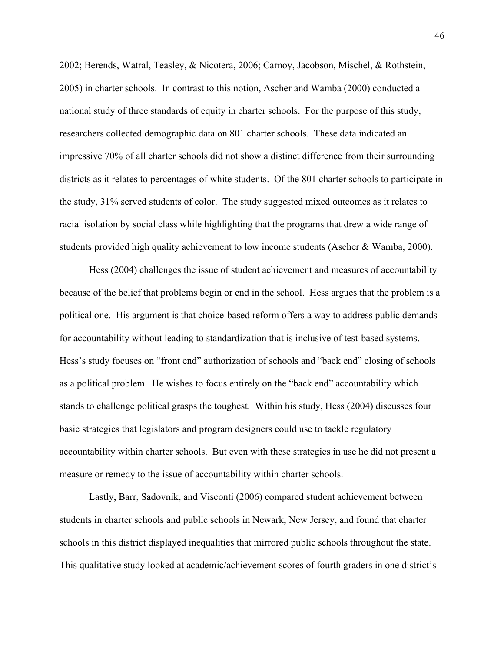2002; Berends, Watral, Teasley, & Nicotera, 2006; Carnoy, Jacobson, Mischel, & Rothstein, 2005) in charter schools. In contrast to this notion, Ascher and Wamba (2000) conducted a national study of three standards of equity in charter schools. For the purpose of this study, researchers collected demographic data on 801 charter schools. These data indicated an impressive 70% of all charter schools did not show a distinct difference from their surrounding districts as it relates to percentages of white students. Of the 801 charter schools to participate in the study, 31% served students of color. The study suggested mixed outcomes as it relates to racial isolation by social class while highlighting that the programs that drew a wide range of students provided high quality achievement to low income students (Ascher & Wamba, 2000).

Hess (2004) challenges the issue of student achievement and measures of accountability because of the belief that problems begin or end in the school. Hess argues that the problem is a political one. His argument is that choice-based reform offers a way to address public demands for accountability without leading to standardization that is inclusive of test-based systems. Hess's study focuses on "front end" authorization of schools and "back end" closing of schools as a political problem. He wishes to focus entirely on the "back end" accountability which stands to challenge political grasps the toughest. Within his study, Hess (2004) discusses four basic strategies that legislators and program designers could use to tackle regulatory accountability within charter schools. But even with these strategies in use he did not present a measure or remedy to the issue of accountability within charter schools.

Lastly, Barr, Sadovnik, and Visconti (2006) compared student achievement between students in charter schools and public schools in Newark, New Jersey, and found that charter schools in this district displayed inequalities that mirrored public schools throughout the state. This qualitative study looked at academic/achievement scores of fourth graders in one district's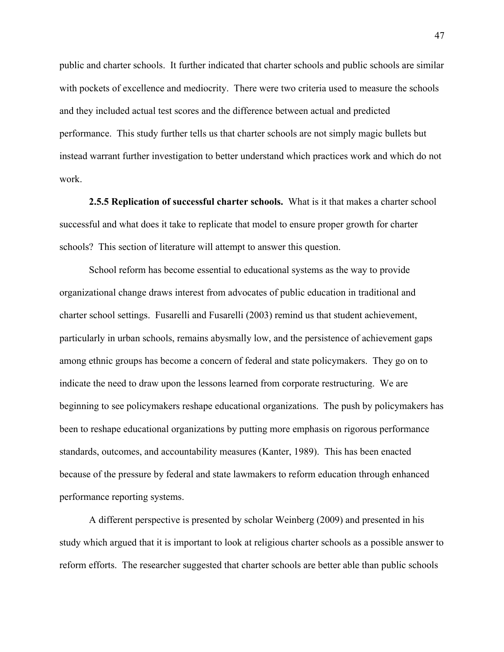public and charter schools. It further indicated that charter schools and public schools are similar with pockets of excellence and mediocrity. There were two criteria used to measure the schools and they included actual test scores and the difference between actual and predicted performance. This study further tells us that charter schools are not simply magic bullets but instead warrant further investigation to better understand which practices work and which do not work.

**2.5.5 Replication of successful charter schools.** What is it that makes a charter school successful and what does it take to replicate that model to ensure proper growth for charter schools? This section of literature will attempt to answer this question.

School reform has become essential to educational systems as the way to provide organizational change draws interest from advocates of public education in traditional and charter school settings. Fusarelli and Fusarelli (2003) remind us that student achievement, particularly in urban schools, remains abysmally low, and the persistence of achievement gaps among ethnic groups has become a concern of federal and state policymakers. They go on to indicate the need to draw upon the lessons learned from corporate restructuring. We are beginning to see policymakers reshape educational organizations. The push by policymakers has been to reshape educational organizations by putting more emphasis on rigorous performance standards, outcomes, and accountability measures (Kanter, 1989). This has been enacted because of the pressure by federal and state lawmakers to reform education through enhanced performance reporting systems.

A different perspective is presented by scholar Weinberg (2009) and presented in his study which argued that it is important to look at religious charter schools as a possible answer to reform efforts. The researcher suggested that charter schools are better able than public schools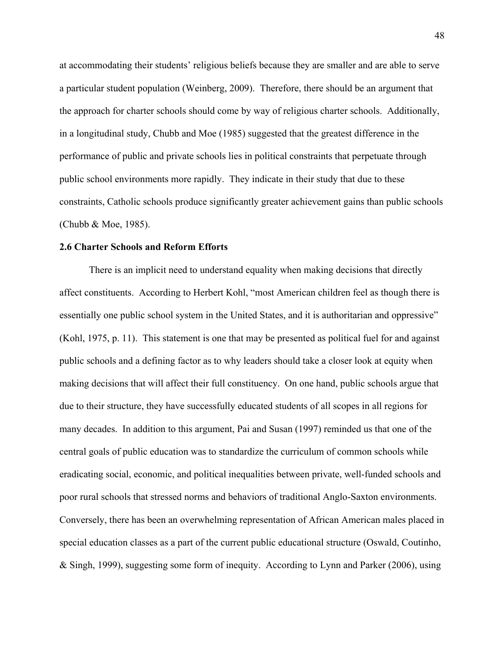at accommodating their students' religious beliefs because they are smaller and are able to serve a particular student population (Weinberg, 2009). Therefore, there should be an argument that the approach for charter schools should come by way of religious charter schools. Additionally, in a longitudinal study, Chubb and Moe (1985) suggested that the greatest difference in the performance of public and private schools lies in political constraints that perpetuate through public school environments more rapidly. They indicate in their study that due to these constraints, Catholic schools produce significantly greater achievement gains than public schools (Chubb & Moe, 1985).

### **2.6 Charter Schools and Reform Efforts**

There is an implicit need to understand equality when making decisions that directly affect constituents. According to Herbert Kohl, "most American children feel as though there is essentially one public school system in the United States, and it is authoritarian and oppressive" (Kohl, 1975, p. 11). This statement is one that may be presented as political fuel for and against public schools and a defining factor as to why leaders should take a closer look at equity when making decisions that will affect their full constituency. On one hand, public schools argue that due to their structure, they have successfully educated students of all scopes in all regions for many decades. In addition to this argument, Pai and Susan (1997) reminded us that one of the central goals of public education was to standardize the curriculum of common schools while eradicating social, economic, and political inequalities between private, well-funded schools and poor rural schools that stressed norms and behaviors of traditional Anglo-Saxton environments. Conversely, there has been an overwhelming representation of African American males placed in special education classes as a part of the current public educational structure (Oswald, Coutinho, & Singh, 1999), suggesting some form of inequity. According to Lynn and Parker (2006), using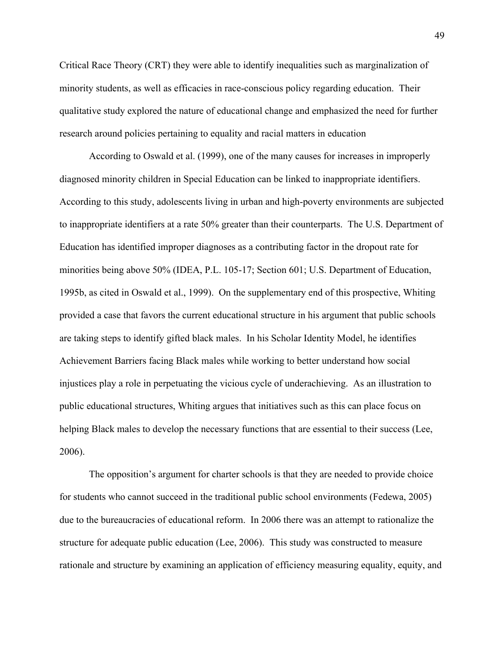Critical Race Theory (CRT) they were able to identify inequalities such as marginalization of minority students, as well as efficacies in race-conscious policy regarding education. Their qualitative study explored the nature of educational change and emphasized the need for further research around policies pertaining to equality and racial matters in education

According to Oswald et al. (1999), one of the many causes for increases in improperly diagnosed minority children in Special Education can be linked to inappropriate identifiers. According to this study, adolescents living in urban and high-poverty environments are subjected to inappropriate identifiers at a rate 50% greater than their counterparts. The U.S. Department of Education has identified improper diagnoses as a contributing factor in the dropout rate for minorities being above 50% (IDEA, P.L. 105-17; Section 601; U.S. Department of Education, 1995b, as cited in Oswald et al., 1999). On the supplementary end of this prospective, Whiting provided a case that favors the current educational structure in his argument that public schools are taking steps to identify gifted black males. In his Scholar Identity Model, he identifies Achievement Barriers facing Black males while working to better understand how social injustices play a role in perpetuating the vicious cycle of underachieving. As an illustration to public educational structures, Whiting argues that initiatives such as this can place focus on helping Black males to develop the necessary functions that are essential to their success (Lee, 2006).

The opposition's argument for charter schools is that they are needed to provide choice for students who cannot succeed in the traditional public school environments (Fedewa, 2005) due to the bureaucracies of educational reform. In 2006 there was an attempt to rationalize the structure for adequate public education (Lee, 2006). This study was constructed to measure rationale and structure by examining an application of efficiency measuring equality, equity, and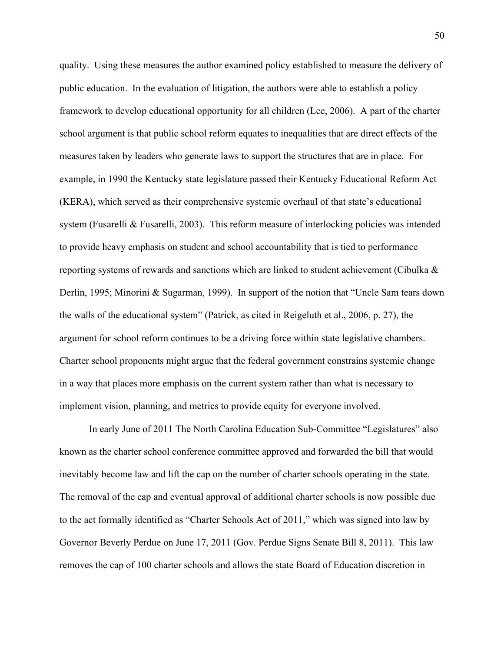quality. Using these measures the author examined policy established to measure the delivery of public education. In the evaluation of litigation, the authors were able to establish a policy framework to develop educational opportunity for all children (Lee, 2006). A part of the charter school argument is that public school reform equates to inequalities that are direct effects of the measures taken by leaders who generate laws to support the structures that are in place. For example, in 1990 the Kentucky state legislature passed their Kentucky Educational Reform Act (KERA), which served as their comprehensive systemic overhaul of that state's educational system (Fusarelli & Fusarelli, 2003). This reform measure of interlocking policies was intended to provide heavy emphasis on student and school accountability that is tied to performance reporting systems of rewards and sanctions which are linked to student achievement (Cibulka & Derlin, 1995; Minorini & Sugarman, 1999). In support of the notion that "Uncle Sam tears down the walls of the educational system" (Patrick, as cited in Reigeluth et al., 2006, p. 27), the argument for school reform continues to be a driving force within state legislative chambers. Charter school proponents might argue that the federal government constrains systemic change in a way that places more emphasis on the current system rather than what is necessary to implement vision, planning, and metrics to provide equity for everyone involved.

In early June of 2011 The North Carolina Education Sub-Committee "Legislatures" also known as the charter school conference committee approved and forwarded the bill that would inevitably become law and lift the cap on the number of charter schools operating in the state. The removal of the cap and eventual approval of additional charter schools is now possible due to the act formally identified as "Charter Schools Act of 2011," which was signed into law by Governor Beverly Perdue on June 17, 2011 (Gov. Perdue Signs Senate Bill 8, 2011). This law removes the cap of 100 charter schools and allows the state Board of Education discretion in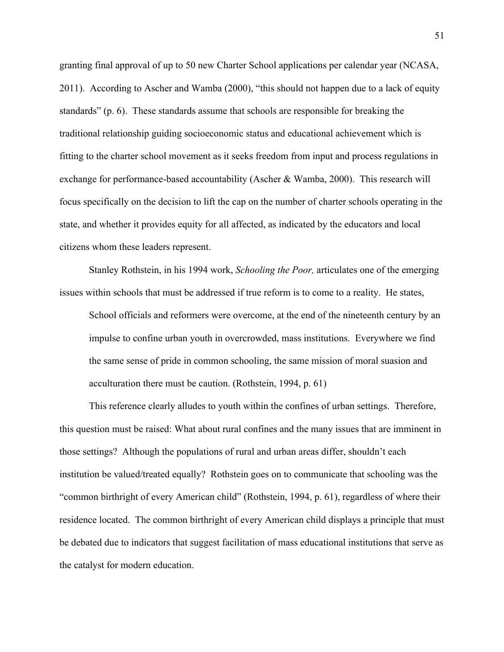granting final approval of up to 50 new Charter School applications per calendar year (NCASA, 2011). According to Ascher and Wamba (2000), "this should not happen due to a lack of equity standards" (p. 6). These standards assume that schools are responsible for breaking the traditional relationship guiding socioeconomic status and educational achievement which is fitting to the charter school movement as it seeks freedom from input and process regulations in exchange for performance-based accountability (Ascher & Wamba, 2000). This research will focus specifically on the decision to lift the cap on the number of charter schools operating in the state, and whether it provides equity for all affected, as indicated by the educators and local citizens whom these leaders represent.

Stanley Rothstein, in his 1994 work, *Schooling the Poor,* articulates one of the emerging issues within schools that must be addressed if true reform is to come to a reality. He states,

School officials and reformers were overcome, at the end of the nineteenth century by an impulse to confine urban youth in overcrowded, mass institutions. Everywhere we find the same sense of pride in common schooling, the same mission of moral suasion and acculturation there must be caution. (Rothstein, 1994, p. 61)

This reference clearly alludes to youth within the confines of urban settings. Therefore, this question must be raised: What about rural confines and the many issues that are imminent in those settings? Although the populations of rural and urban areas differ, shouldn't each institution be valued/treated equally? Rothstein goes on to communicate that schooling was the "common birthright of every American child" (Rothstein, 1994, p. 61), regardless of where their residence located. The common birthright of every American child displays a principle that must be debated due to indicators that suggest facilitation of mass educational institutions that serve as the catalyst for modern education.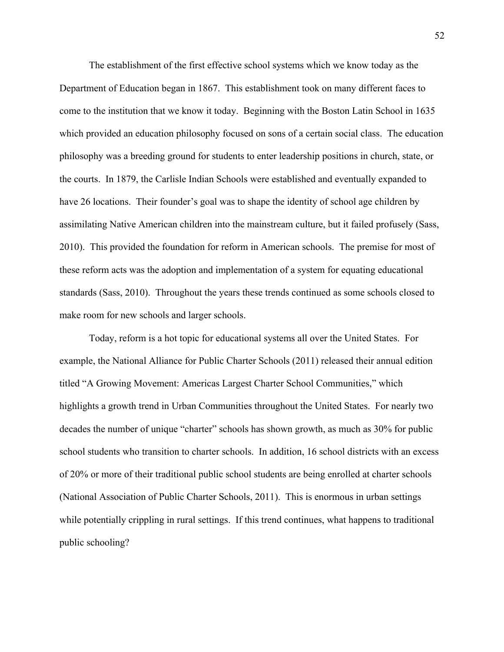The establishment of the first effective school systems which we know today as the Department of Education began in 1867. This establishment took on many different faces to come to the institution that we know it today. Beginning with the Boston Latin School in 1635 which provided an education philosophy focused on sons of a certain social class. The education philosophy was a breeding ground for students to enter leadership positions in church, state, or the courts. In 1879, the Carlisle Indian Schools were established and eventually expanded to have 26 locations. Their founder's goal was to shape the identity of school age children by assimilating Native American children into the mainstream culture, but it failed profusely (Sass, 2010). This provided the foundation for reform in American schools. The premise for most of these reform acts was the adoption and implementation of a system for equating educational standards (Sass, 2010). Throughout the years these trends continued as some schools closed to make room for new schools and larger schools.

Today, reform is a hot topic for educational systems all over the United States. For example, the National Alliance for Public Charter Schools (2011) released their annual edition titled "A Growing Movement: Americas Largest Charter School Communities," which highlights a growth trend in Urban Communities throughout the United States. For nearly two decades the number of unique "charter" schools has shown growth, as much as 30% for public school students who transition to charter schools. In addition, 16 school districts with an excess of 20% or more of their traditional public school students are being enrolled at charter schools (National Association of Public Charter Schools, 2011). This is enormous in urban settings while potentially crippling in rural settings. If this trend continues, what happens to traditional public schooling?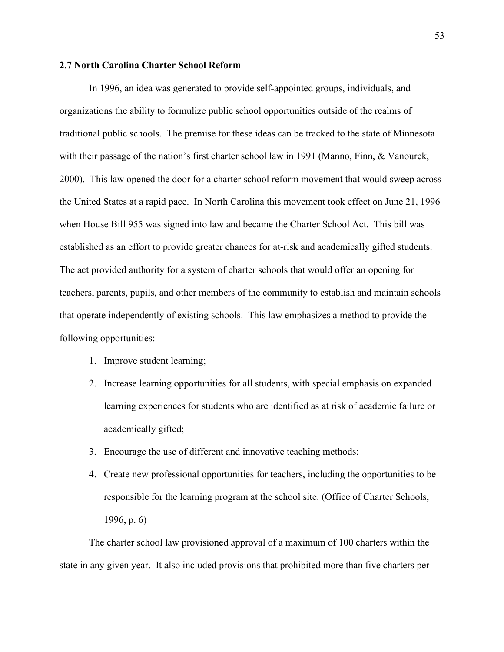## **2.7 North Carolina Charter School Reform**

In 1996, an idea was generated to provide self-appointed groups, individuals, and organizations the ability to formulize public school opportunities outside of the realms of traditional public schools. The premise for these ideas can be tracked to the state of Minnesota with their passage of the nation's first charter school law in 1991 (Manno, Finn, & Vanourek, 2000). This law opened the door for a charter school reform movement that would sweep across the United States at a rapid pace. In North Carolina this movement took effect on June 21, 1996 when House Bill 955 was signed into law and became the Charter School Act. This bill was established as an effort to provide greater chances for at-risk and academically gifted students. The act provided authority for a system of charter schools that would offer an opening for teachers, parents, pupils, and other members of the community to establish and maintain schools that operate independently of existing schools. This law emphasizes a method to provide the following opportunities:

- 1. Improve student learning;
- 2. Increase learning opportunities for all students, with special emphasis on expanded learning experiences for students who are identified as at risk of academic failure or academically gifted;
- 3. Encourage the use of different and innovative teaching methods;
- 4. Create new professional opportunities for teachers, including the opportunities to be responsible for the learning program at the school site. (Office of Charter Schools, 1996, p. 6)

The charter school law provisioned approval of a maximum of 100 charters within the state in any given year. It also included provisions that prohibited more than five charters per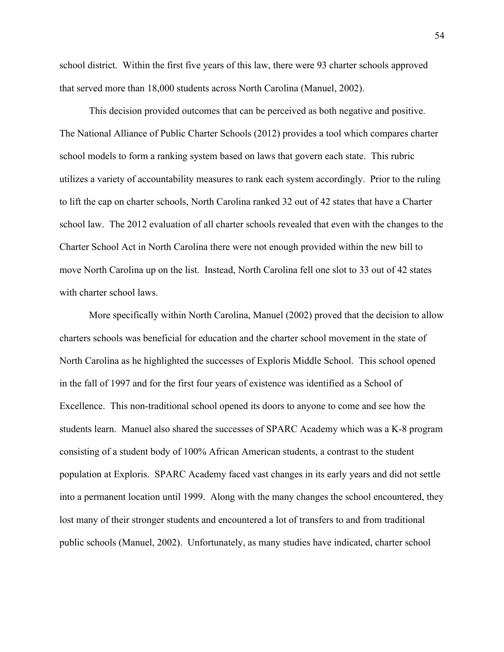school district. Within the first five years of this law, there were 93 charter schools approved that served more than 18,000 students across North Carolina (Manuel, 2002).

This decision provided outcomes that can be perceived as both negative and positive. The National Alliance of Public Charter Schools (2012) provides a tool which compares charter school models to form a ranking system based on laws that govern each state. This rubric utilizes a variety of accountability measures to rank each system accordingly. Prior to the ruling to lift the cap on charter schools, North Carolina ranked 32 out of 42 states that have a Charter school law. The 2012 evaluation of all charter schools revealed that even with the changes to the Charter School Act in North Carolina there were not enough provided within the new bill to move North Carolina up on the list. Instead, North Carolina fell one slot to 33 out of 42 states with charter school laws.

More specifically within North Carolina, Manuel (2002) proved that the decision to allow charters schools was beneficial for education and the charter school movement in the state of North Carolina as he highlighted the successes of Exploris Middle School. This school opened in the fall of 1997 and for the first four years of existence was identified as a School of Excellence. This non-traditional school opened its doors to anyone to come and see how the students learn. Manuel also shared the successes of SPARC Academy which was a K-8 program consisting of a student body of 100% African American students, a contrast to the student population at Exploris. SPARC Academy faced vast changes in its early years and did not settle into a permanent location until 1999. Along with the many changes the school encountered, they lost many of their stronger students and encountered a lot of transfers to and from traditional public schools (Manuel, 2002). Unfortunately, as many studies have indicated, charter school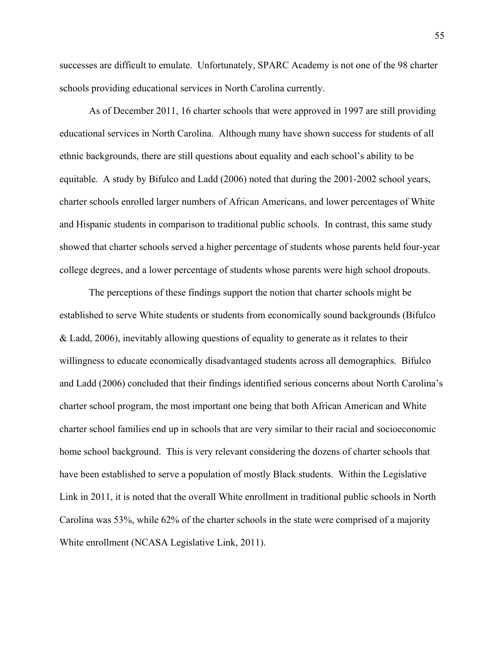successes are difficult to emulate. Unfortunately, SPARC Academy is not one of the 98 charter schools providing educational services in North Carolina currently.

As of December 2011, 16 charter schools that were approved in 1997 are still providing educational services in North Carolina. Although many have shown success for students of all ethnic backgrounds, there are still questions about equality and each school's ability to be equitable. A study by Bifulco and Ladd (2006) noted that during the 2001-2002 school years, charter schools enrolled larger numbers of African Americans, and lower percentages of White and Hispanic students in comparison to traditional public schools. In contrast, this same study showed that charter schools served a higher percentage of students whose parents held four-year college degrees, and a lower percentage of students whose parents were high school dropouts.

The perceptions of these findings support the notion that charter schools might be established to serve White students or students from economically sound backgrounds (Bifulco & Ladd, 2006), inevitably allowing questions of equality to generate as it relates to their willingness to educate economically disadvantaged students across all demographics. Bifulco and Ladd (2006) concluded that their findings identified serious concerns about North Carolina's charter school program, the most important one being that both African American and White charter school families end up in schools that are very similar to their racial and socioeconomic home school background. This is very relevant considering the dozens of charter schools that have been established to serve a population of mostly Black students. Within the Legislative Link in 2011, it is noted that the overall White enrollment in traditional public schools in North Carolina was 53%, while 62% of the charter schools in the state were comprised of a majority White enrollment (NCASA Legislative Link, 2011).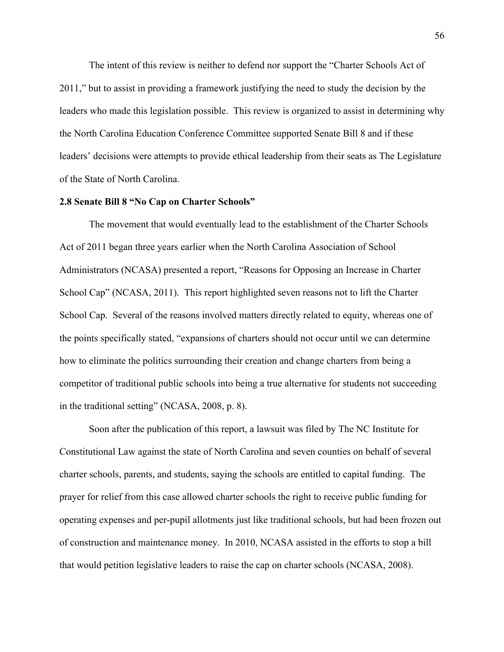The intent of this review is neither to defend nor support the "Charter Schools Act of 2011," but to assist in providing a framework justifying the need to study the decision by the leaders who made this legislation possible. This review is organized to assist in determining why the North Carolina Education Conference Committee supported Senate Bill 8 and if these leaders' decisions were attempts to provide ethical leadership from their seats as The Legislature of the State of North Carolina.

# **2.8 Senate Bill 8 "No Cap on Charter Schools"**

The movement that would eventually lead to the establishment of the Charter Schools Act of 2011 began three years earlier when the North Carolina Association of School Administrators (NCASA) presented a report, "Reasons for Opposing an Increase in Charter School Cap" (NCASA, 2011). This report highlighted seven reasons not to lift the Charter School Cap. Several of the reasons involved matters directly related to equity, whereas one of the points specifically stated, "expansions of charters should not occur until we can determine how to eliminate the politics surrounding their creation and change charters from being a competitor of traditional public schools into being a true alternative for students not succeeding in the traditional setting" (NCASA, 2008, p. 8).

Soon after the publication of this report, a lawsuit was filed by The NC Institute for Constitutional Law against the state of North Carolina and seven counties on behalf of several charter schools, parents, and students, saying the schools are entitled to capital funding. The prayer for relief from this case allowed charter schools the right to receive public funding for operating expenses and per-pupil allotments just like traditional schools, but had been frozen out of construction and maintenance money. In 2010, NCASA assisted in the efforts to stop a bill that would petition legislative leaders to raise the cap on charter schools (NCASA, 2008).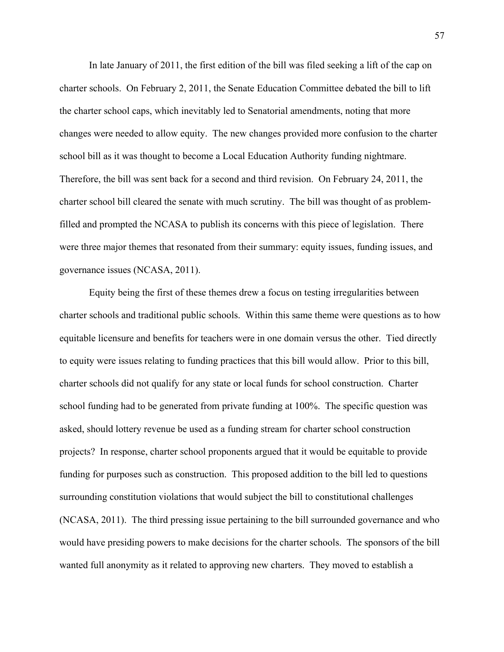In late January of 2011, the first edition of the bill was filed seeking a lift of the cap on charter schools. On February 2, 2011, the Senate Education Committee debated the bill to lift the charter school caps, which inevitably led to Senatorial amendments, noting that more changes were needed to allow equity. The new changes provided more confusion to the charter school bill as it was thought to become a Local Education Authority funding nightmare. Therefore, the bill was sent back for a second and third revision. On February 24, 2011, the charter school bill cleared the senate with much scrutiny. The bill was thought of as problemfilled and prompted the NCASA to publish its concerns with this piece of legislation. There were three major themes that resonated from their summary: equity issues, funding issues, and governance issues (NCASA, 2011).

Equity being the first of these themes drew a focus on testing irregularities between charter schools and traditional public schools. Within this same theme were questions as to how equitable licensure and benefits for teachers were in one domain versus the other. Tied directly to equity were issues relating to funding practices that this bill would allow. Prior to this bill, charter schools did not qualify for any state or local funds for school construction. Charter school funding had to be generated from private funding at 100%. The specific question was asked, should lottery revenue be used as a funding stream for charter school construction projects? In response, charter school proponents argued that it would be equitable to provide funding for purposes such as construction. This proposed addition to the bill led to questions surrounding constitution violations that would subject the bill to constitutional challenges (NCASA, 2011). The third pressing issue pertaining to the bill surrounded governance and who would have presiding powers to make decisions for the charter schools. The sponsors of the bill wanted full anonymity as it related to approving new charters. They moved to establish a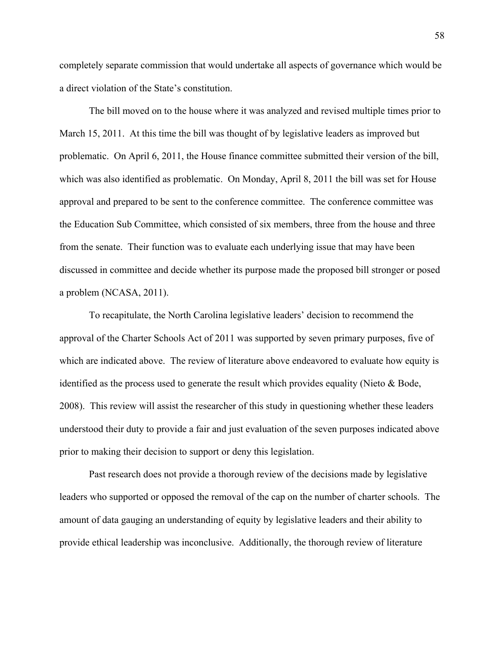completely separate commission that would undertake all aspects of governance which would be a direct violation of the State's constitution.

The bill moved on to the house where it was analyzed and revised multiple times prior to March 15, 2011. At this time the bill was thought of by legislative leaders as improved but problematic. On April 6, 2011, the House finance committee submitted their version of the bill, which was also identified as problematic. On Monday, April 8, 2011 the bill was set for House approval and prepared to be sent to the conference committee. The conference committee was the Education Sub Committee, which consisted of six members, three from the house and three from the senate. Their function was to evaluate each underlying issue that may have been discussed in committee and decide whether its purpose made the proposed bill stronger or posed a problem (NCASA, 2011).

To recapitulate, the North Carolina legislative leaders' decision to recommend the approval of the Charter Schools Act of 2011 was supported by seven primary purposes, five of which are indicated above. The review of literature above endeavored to evaluate how equity is identified as the process used to generate the result which provides equality (Nieto & Bode, 2008). This review will assist the researcher of this study in questioning whether these leaders understood their duty to provide a fair and just evaluation of the seven purposes indicated above prior to making their decision to support or deny this legislation.

Past research does not provide a thorough review of the decisions made by legislative leaders who supported or opposed the removal of the cap on the number of charter schools. The amount of data gauging an understanding of equity by legislative leaders and their ability to provide ethical leadership was inconclusive. Additionally, the thorough review of literature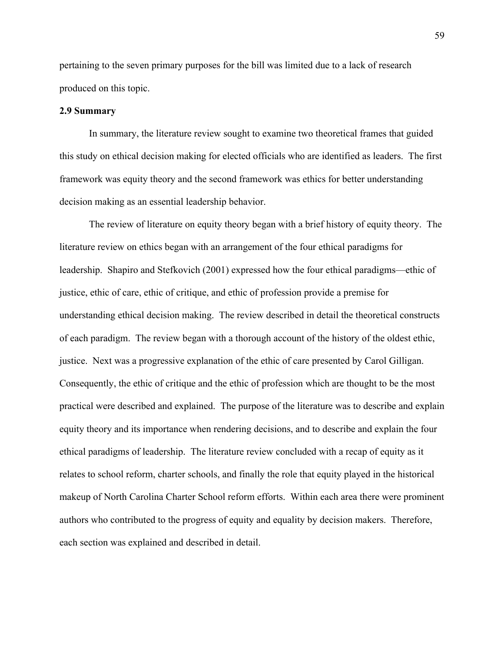pertaining to the seven primary purposes for the bill was limited due to a lack of research produced on this topic.

## **2.9 Summary**

In summary, the literature review sought to examine two theoretical frames that guided this study on ethical decision making for elected officials who are identified as leaders. The first framework was equity theory and the second framework was ethics for better understanding decision making as an essential leadership behavior.

The review of literature on equity theory began with a brief history of equity theory. The literature review on ethics began with an arrangement of the four ethical paradigms for leadership. Shapiro and Stefkovich (2001) expressed how the four ethical paradigms—ethic of justice, ethic of care, ethic of critique, and ethic of profession provide a premise for understanding ethical decision making. The review described in detail the theoretical constructs of each paradigm. The review began with a thorough account of the history of the oldest ethic, justice. Next was a progressive explanation of the ethic of care presented by Carol Gilligan. Consequently, the ethic of critique and the ethic of profession which are thought to be the most practical were described and explained. The purpose of the literature was to describe and explain equity theory and its importance when rendering decisions, and to describe and explain the four ethical paradigms of leadership. The literature review concluded with a recap of equity as it relates to school reform, charter schools, and finally the role that equity played in the historical makeup of North Carolina Charter School reform efforts. Within each area there were prominent authors who contributed to the progress of equity and equality by decision makers. Therefore, each section was explained and described in detail.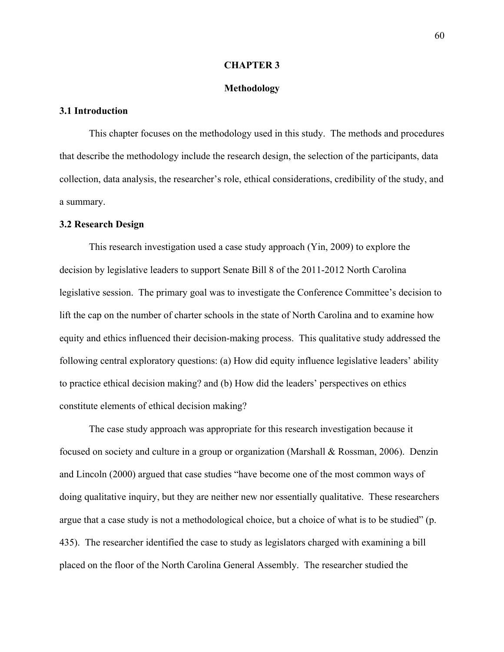### **CHAPTER 3**

## **Methodology**

## **3.1 Introduction**

This chapter focuses on the methodology used in this study. The methods and procedures that describe the methodology include the research design, the selection of the participants, data collection, data analysis, the researcher's role, ethical considerations, credibility of the study, and a summary.

## **3.2 Research Design**

This research investigation used a case study approach (Yin, 2009) to explore the decision by legislative leaders to support Senate Bill 8 of the 2011-2012 North Carolina legislative session. The primary goal was to investigate the Conference Committee's decision to lift the cap on the number of charter schools in the state of North Carolina and to examine how equity and ethics influenced their decision-making process. This qualitative study addressed the following central exploratory questions: (a) How did equity influence legislative leaders' ability to practice ethical decision making? and (b) How did the leaders' perspectives on ethics constitute elements of ethical decision making?

The case study approach was appropriate for this research investigation because it focused on society and culture in a group or organization (Marshall & Rossman, 2006). Denzin and Lincoln (2000) argued that case studies "have become one of the most common ways of doing qualitative inquiry, but they are neither new nor essentially qualitative. These researchers argue that a case study is not a methodological choice, but a choice of what is to be studied" (p. 435). The researcher identified the case to study as legislators charged with examining a bill placed on the floor of the North Carolina General Assembly. The researcher studied the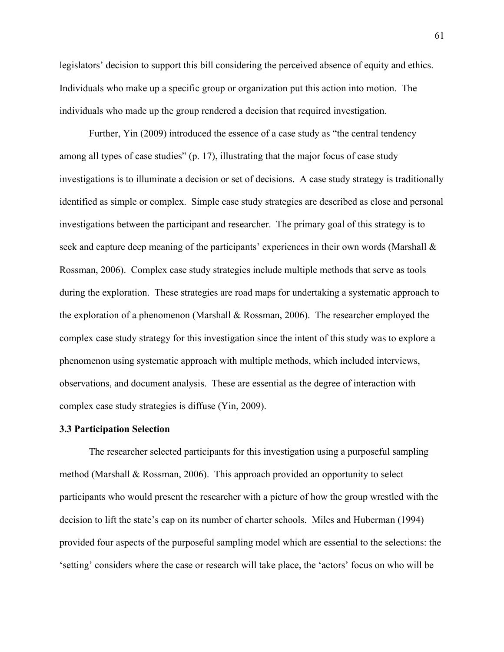legislators' decision to support this bill considering the perceived absence of equity and ethics. Individuals who make up a specific group or organization put this action into motion. The individuals who made up the group rendered a decision that required investigation.

Further, Yin (2009) introduced the essence of a case study as "the central tendency among all types of case studies" (p. 17), illustrating that the major focus of case study investigations is to illuminate a decision or set of decisions. A case study strategy is traditionally identified as simple or complex. Simple case study strategies are described as close and personal investigations between the participant and researcher. The primary goal of this strategy is to seek and capture deep meaning of the participants' experiences in their own words (Marshall & Rossman, 2006). Complex case study strategies include multiple methods that serve as tools during the exploration. These strategies are road maps for undertaking a systematic approach to the exploration of a phenomenon (Marshall & Rossman, 2006). The researcher employed the complex case study strategy for this investigation since the intent of this study was to explore a phenomenon using systematic approach with multiple methods, which included interviews, observations, and document analysis. These are essential as the degree of interaction with complex case study strategies is diffuse (Yin, 2009).

### **3.3 Participation Selection**

The researcher selected participants for this investigation using a purposeful sampling method (Marshall & Rossman, 2006). This approach provided an opportunity to select participants who would present the researcher with a picture of how the group wrestled with the decision to lift the state's cap on its number of charter schools. Miles and Huberman (1994) provided four aspects of the purposeful sampling model which are essential to the selections: the 'setting' considers where the case or research will take place, the 'actors' focus on who will be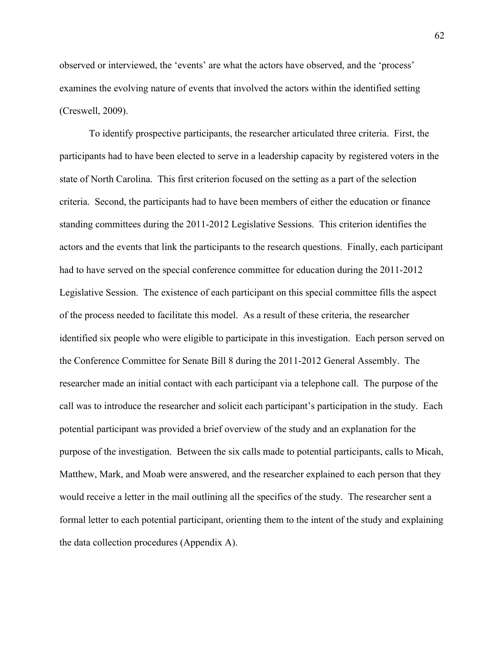observed or interviewed, the 'events' are what the actors have observed, and the 'process' examines the evolving nature of events that involved the actors within the identified setting (Creswell, 2009).

To identify prospective participants, the researcher articulated three criteria. First, the participants had to have been elected to serve in a leadership capacity by registered voters in the state of North Carolina. This first criterion focused on the setting as a part of the selection criteria. Second, the participants had to have been members of either the education or finance standing committees during the 2011-2012 Legislative Sessions. This criterion identifies the actors and the events that link the participants to the research questions. Finally, each participant had to have served on the special conference committee for education during the 2011-2012 Legislative Session. The existence of each participant on this special committee fills the aspect of the process needed to facilitate this model. As a result of these criteria, the researcher identified six people who were eligible to participate in this investigation. Each person served on the Conference Committee for Senate Bill 8 during the 2011-2012 General Assembly. The researcher made an initial contact with each participant via a telephone call. The purpose of the call was to introduce the researcher and solicit each participant's participation in the study. Each potential participant was provided a brief overview of the study and an explanation for the purpose of the investigation. Between the six calls made to potential participants, calls to Micah, Matthew, Mark, and Moab were answered, and the researcher explained to each person that they would receive a letter in the mail outlining all the specifics of the study. The researcher sent a formal letter to each potential participant, orienting them to the intent of the study and explaining the data collection procedures (Appendix A).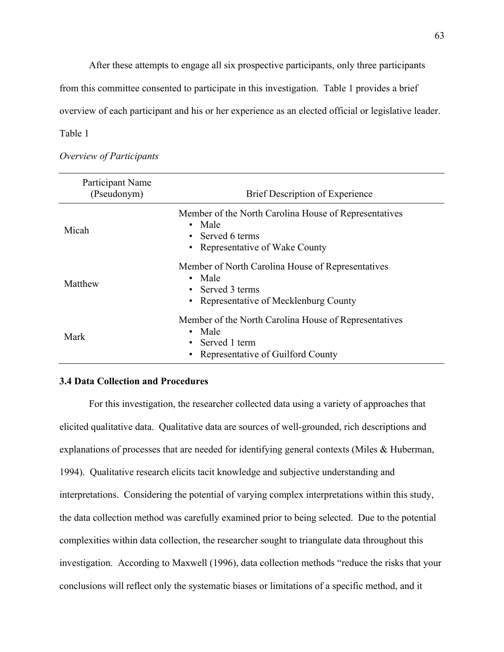After these attempts to engage all six prospective participants, only three participants

from this committee consented to participate in this investigation. Table 1 provides a brief

overview of each participant and his or her experience as an elected official or legislative leader.

Table 1

| Participant Name<br>(Pseudonym) | <b>Brief Description of Experience</b>                                                                                               |  |
|---------------------------------|--------------------------------------------------------------------------------------------------------------------------------------|--|
| Micah                           | Member of the North Carolina House of Representatives<br>• Male<br>• Served 6 terms<br>• Representative of Wake County               |  |
| Matthew                         | Member of North Carolina House of Representatives<br>• Male<br>• Served 3 terms<br>• Representative of Mecklenburg County            |  |
| Mark                            | Member of the North Carolina House of Representatives<br>• Male<br>• Served 1 term<br>Representative of Guilford County<br>$\bullet$ |  |

*Overview of Participants*

# **3.4 Data Collection and Procedures**

For this investigation, the researcher collected data using a variety of approaches that elicited qualitative data. Qualitative data are sources of well-grounded, rich descriptions and explanations of processes that are needed for identifying general contexts (Miles & Huberman, 1994). Qualitative research elicits tacit knowledge and subjective understanding and interpretations. Considering the potential of varying complex interpretations within this study, the data collection method was carefully examined prior to being selected. Due to the potential complexities within data collection, the researcher sought to triangulate data throughout this investigation. According to Maxwell (1996), data collection methods "reduce the risks that your conclusions will reflect only the systematic biases or limitations of a specific method, and it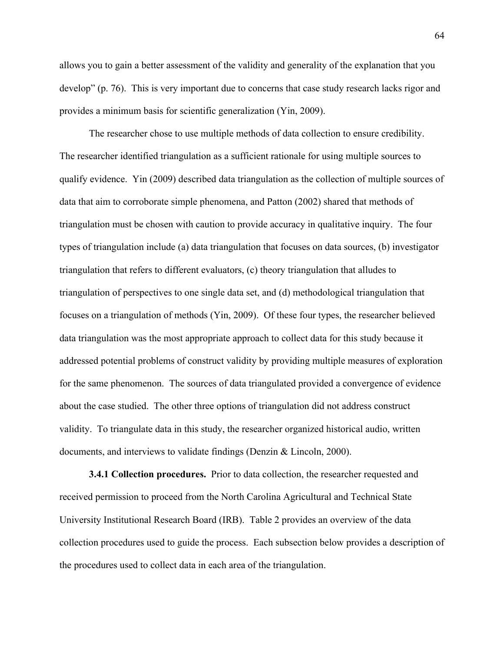allows you to gain a better assessment of the validity and generality of the explanation that you develop" (p. 76). This is very important due to concerns that case study research lacks rigor and provides a minimum basis for scientific generalization (Yin, 2009).

The researcher chose to use multiple methods of data collection to ensure credibility. The researcher identified triangulation as a sufficient rationale for using multiple sources to qualify evidence. Yin (2009) described data triangulation as the collection of multiple sources of data that aim to corroborate simple phenomena, and Patton (2002) shared that methods of triangulation must be chosen with caution to provide accuracy in qualitative inquiry. The four types of triangulation include (a) data triangulation that focuses on data sources, (b) investigator triangulation that refers to different evaluators, (c) theory triangulation that alludes to triangulation of perspectives to one single data set, and (d) methodological triangulation that focuses on a triangulation of methods (Yin, 2009). Of these four types, the researcher believed data triangulation was the most appropriate approach to collect data for this study because it addressed potential problems of construct validity by providing multiple measures of exploration for the same phenomenon. The sources of data triangulated provided a convergence of evidence about the case studied. The other three options of triangulation did not address construct validity. To triangulate data in this study, the researcher organized historical audio, written documents, and interviews to validate findings (Denzin & Lincoln, 2000).

**3.4.1 Collection procedures.** Prior to data collection, the researcher requested and received permission to proceed from the North Carolina Agricultural and Technical State University Institutional Research Board (IRB). Table 2 provides an overview of the data collection procedures used to guide the process. Each subsection below provides a description of the procedures used to collect data in each area of the triangulation.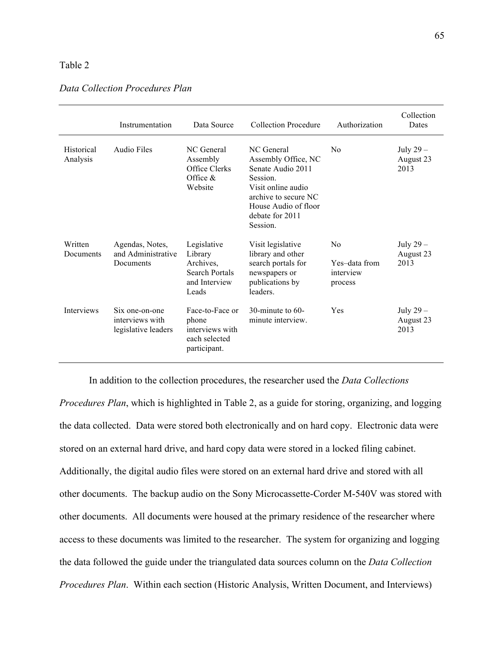# Table 2

|                        | Instrumentation                                          | Data Source                                                                            | <b>Collection Procedure</b>                                                                                                                                             | Authorization                                           | Collection<br>Dates             |
|------------------------|----------------------------------------------------------|----------------------------------------------------------------------------------------|-------------------------------------------------------------------------------------------------------------------------------------------------------------------------|---------------------------------------------------------|---------------------------------|
| Historical<br>Analysis | Audio Files                                              | NC General<br>Assembly<br>Office Clerks<br>Office $\&$<br>Website                      | NC General<br>Assembly Office, NC<br>Senate Audio 2011<br>Session.<br>Visit online audio<br>archive to secure NC<br>House Audio of floor<br>debate for 2011<br>Session. | N <sub>0</sub>                                          | July $29-$<br>August 23<br>2013 |
| Written<br>Documents   | Agendas, Notes,<br>and Administrative<br>Documents       | Legislative<br>Library<br>Archives,<br><b>Search Portals</b><br>and Interview<br>Leads | Visit legislative<br>library and other<br>search portals for<br>newspapers or<br>publications by<br>leaders.                                                            | N <sub>0</sub><br>Yes-data from<br>interview<br>process | July $29-$<br>August 23<br>2013 |
| <b>Interviews</b>      | Six one-on-one<br>interviews with<br>legislative leaders | Face-to-Face or<br>phone<br>interviews with<br>each selected<br>participant.           | 30-minute to $60-$<br>minute interview.                                                                                                                                 | Yes                                                     | July 29 -<br>August 23<br>2013  |

In addition to the collection procedures, the researcher used the *Data Collections Procedures Plan*, which is highlighted in Table 2, as a guide for storing, organizing, and logging the data collected. Data were stored both electronically and on hard copy. Electronic data were stored on an external hard drive, and hard copy data were stored in a locked filing cabinet. Additionally, the digital audio files were stored on an external hard drive and stored with all other documents. The backup audio on the Sony Microcassette-Corder M-540V was stored with other documents. All documents were housed at the primary residence of the researcher where access to these documents was limited to the researcher. The system for organizing and logging the data followed the guide under the triangulated data sources column on the *Data Collection Procedures Plan*. Within each section (Historic Analysis, Written Document, and Interviews)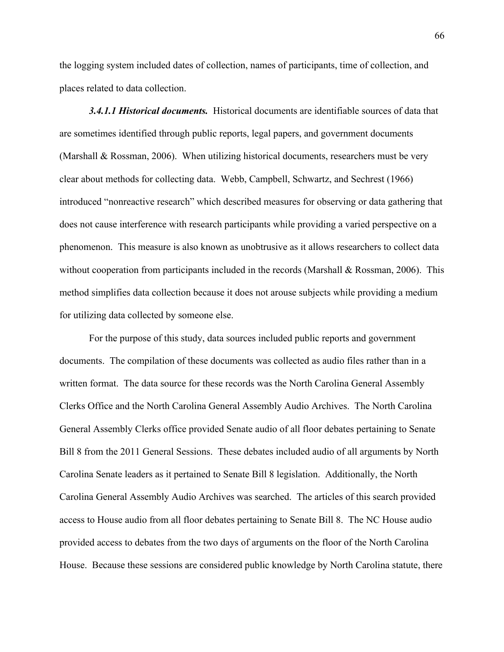the logging system included dates of collection, names of participants, time of collection, and places related to data collection.

*3.4.1.1 Historical documents.* Historical documents are identifiable sources of data that are sometimes identified through public reports, legal papers, and government documents (Marshall & Rossman, 2006). When utilizing historical documents, researchers must be very clear about methods for collecting data. Webb, Campbell, Schwartz, and Sechrest (1966) introduced "nonreactive research" which described measures for observing or data gathering that does not cause interference with research participants while providing a varied perspective on a phenomenon. This measure is also known as unobtrusive as it allows researchers to collect data without cooperation from participants included in the records (Marshall & Rossman, 2006). This method simplifies data collection because it does not arouse subjects while providing a medium for utilizing data collected by someone else.

For the purpose of this study, data sources included public reports and government documents. The compilation of these documents was collected as audio files rather than in a written format. The data source for these records was the North Carolina General Assembly Clerks Office and the North Carolina General Assembly Audio Archives. The North Carolina General Assembly Clerks office provided Senate audio of all floor debates pertaining to Senate Bill 8 from the 2011 General Sessions. These debates included audio of all arguments by North Carolina Senate leaders as it pertained to Senate Bill 8 legislation. Additionally, the North Carolina General Assembly Audio Archives was searched. The articles of this search provided access to House audio from all floor debates pertaining to Senate Bill 8. The NC House audio provided access to debates from the two days of arguments on the floor of the North Carolina House. Because these sessions are considered public knowledge by North Carolina statute, there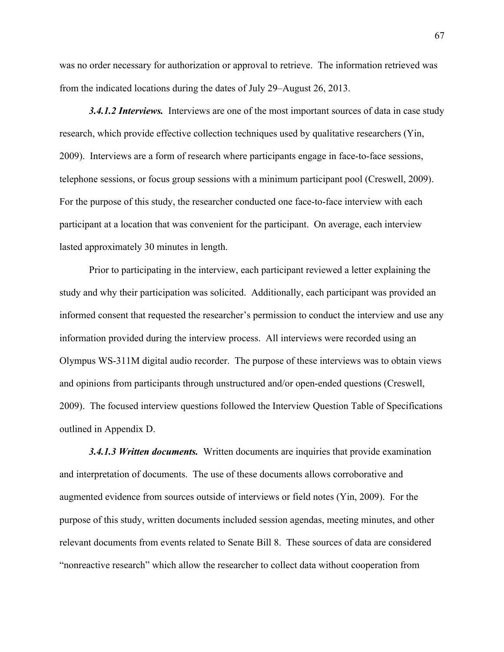was no order necessary for authorization or approval to retrieve. The information retrieved was from the indicated locations during the dates of July 29–August 26, 2013.

*3.4.1.2 Interviews.* Interviews are one of the most important sources of data in case study research, which provide effective collection techniques used by qualitative researchers (Yin, 2009). Interviews are a form of research where participants engage in face-to-face sessions, telephone sessions, or focus group sessions with a minimum participant pool (Creswell, 2009). For the purpose of this study, the researcher conducted one face-to-face interview with each participant at a location that was convenient for the participant. On average, each interview lasted approximately 30 minutes in length.

Prior to participating in the interview, each participant reviewed a letter explaining the study and why their participation was solicited. Additionally, each participant was provided an informed consent that requested the researcher's permission to conduct the interview and use any information provided during the interview process. All interviews were recorded using an Olympus WS-311M digital audio recorder. The purpose of these interviews was to obtain views and opinions from participants through unstructured and/or open-ended questions (Creswell, 2009). The focused interview questions followed the Interview Question Table of Specifications outlined in Appendix D.

*3.4.1.3 Written documents.* Written documents are inquiries that provide examination and interpretation of documents. The use of these documents allows corroborative and augmented evidence from sources outside of interviews or field notes (Yin, 2009). For the purpose of this study, written documents included session agendas, meeting minutes, and other relevant documents from events related to Senate Bill 8. These sources of data are considered "nonreactive research" which allow the researcher to collect data without cooperation from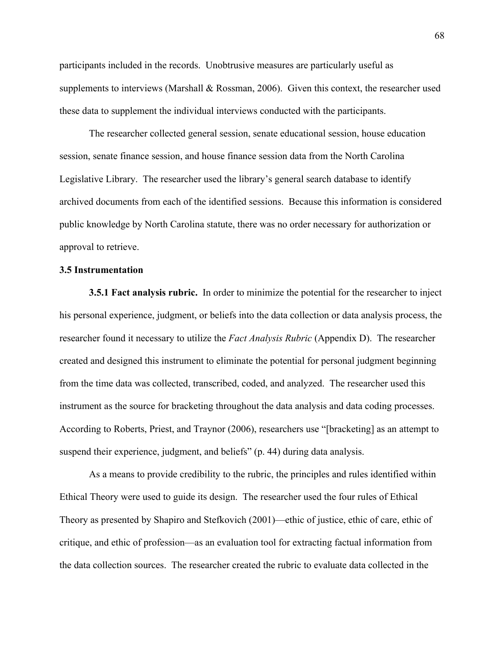participants included in the records. Unobtrusive measures are particularly useful as supplements to interviews (Marshall & Rossman, 2006). Given this context, the researcher used these data to supplement the individual interviews conducted with the participants.

The researcher collected general session, senate educational session, house education session, senate finance session, and house finance session data from the North Carolina Legislative Library. The researcher used the library's general search database to identify archived documents from each of the identified sessions. Because this information is considered public knowledge by North Carolina statute, there was no order necessary for authorization or approval to retrieve.

## **3.5 Instrumentation**

**3.5.1 Fact analysis rubric.** In order to minimize the potential for the researcher to inject his personal experience, judgment, or beliefs into the data collection or data analysis process, the researcher found it necessary to utilize the *Fact Analysis Rubric* (Appendix D). The researcher created and designed this instrument to eliminate the potential for personal judgment beginning from the time data was collected, transcribed, coded, and analyzed. The researcher used this instrument as the source for bracketing throughout the data analysis and data coding processes. According to Roberts, Priest, and Traynor (2006), researchers use "[bracketing] as an attempt to suspend their experience, judgment, and beliefs" (p. 44) during data analysis.

As a means to provide credibility to the rubric, the principles and rules identified within Ethical Theory were used to guide its design. The researcher used the four rules of Ethical Theory as presented by Shapiro and Stefkovich (2001)—ethic of justice, ethic of care, ethic of critique, and ethic of profession—as an evaluation tool for extracting factual information from the data collection sources. The researcher created the rubric to evaluate data collected in the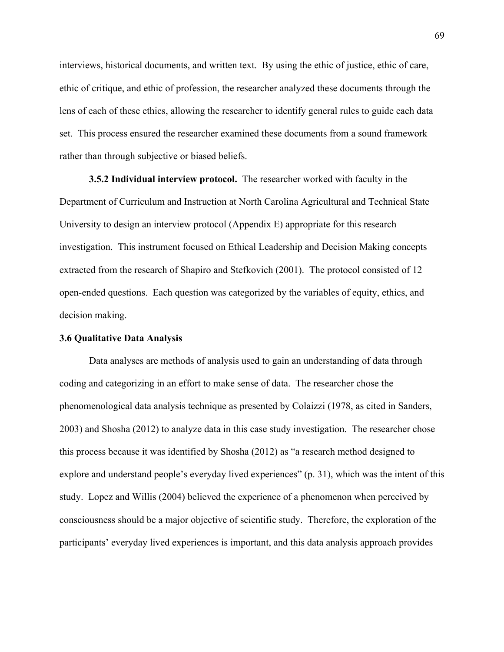interviews, historical documents, and written text. By using the ethic of justice, ethic of care, ethic of critique, and ethic of profession, the researcher analyzed these documents through the lens of each of these ethics, allowing the researcher to identify general rules to guide each data set. This process ensured the researcher examined these documents from a sound framework rather than through subjective or biased beliefs.

**3.5.2 Individual interview protocol.** The researcher worked with faculty in the Department of Curriculum and Instruction at North Carolina Agricultural and Technical State University to design an interview protocol (Appendix E) appropriate for this research investigation. This instrument focused on Ethical Leadership and Decision Making concepts extracted from the research of Shapiro and Stefkovich (2001). The protocol consisted of 12 open-ended questions. Each question was categorized by the variables of equity, ethics, and decision making.

## **3.6 Qualitative Data Analysis**

Data analyses are methods of analysis used to gain an understanding of data through coding and categorizing in an effort to make sense of data. The researcher chose the phenomenological data analysis technique as presented by Colaizzi (1978, as cited in Sanders, 2003) and Shosha (2012) to analyze data in this case study investigation. The researcher chose this process because it was identified by Shosha (2012) as "a research method designed to explore and understand people's everyday lived experiences" (p. 31), which was the intent of this study. Lopez and Willis (2004) believed the experience of a phenomenon when perceived by consciousness should be a major objective of scientific study. Therefore, the exploration of the participants' everyday lived experiences is important, and this data analysis approach provides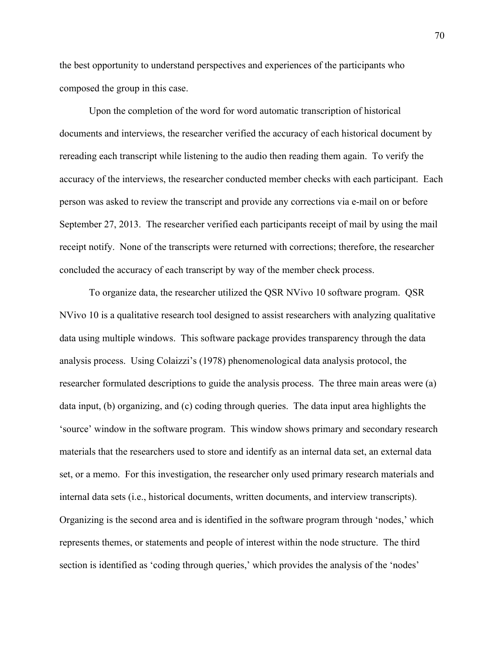the best opportunity to understand perspectives and experiences of the participants who composed the group in this case.

Upon the completion of the word for word automatic transcription of historical documents and interviews, the researcher verified the accuracy of each historical document by rereading each transcript while listening to the audio then reading them again. To verify the accuracy of the interviews, the researcher conducted member checks with each participant. Each person was asked to review the transcript and provide any corrections via e-mail on or before September 27, 2013. The researcher verified each participants receipt of mail by using the mail receipt notify. None of the transcripts were returned with corrections; therefore, the researcher concluded the accuracy of each transcript by way of the member check process.

To organize data, the researcher utilized the QSR NVivo 10 software program. QSR NVivo 10 is a qualitative research tool designed to assist researchers with analyzing qualitative data using multiple windows. This software package provides transparency through the data analysis process. Using Colaizzi's (1978) phenomenological data analysis protocol, the researcher formulated descriptions to guide the analysis process. The three main areas were (a) data input, (b) organizing, and (c) coding through queries. The data input area highlights the 'source' window in the software program. This window shows primary and secondary research materials that the researchers used to store and identify as an internal data set, an external data set, or a memo. For this investigation, the researcher only used primary research materials and internal data sets (i.e., historical documents, written documents, and interview transcripts). Organizing is the second area and is identified in the software program through 'nodes,' which represents themes, or statements and people of interest within the node structure. The third section is identified as 'coding through queries,' which provides the analysis of the 'nodes'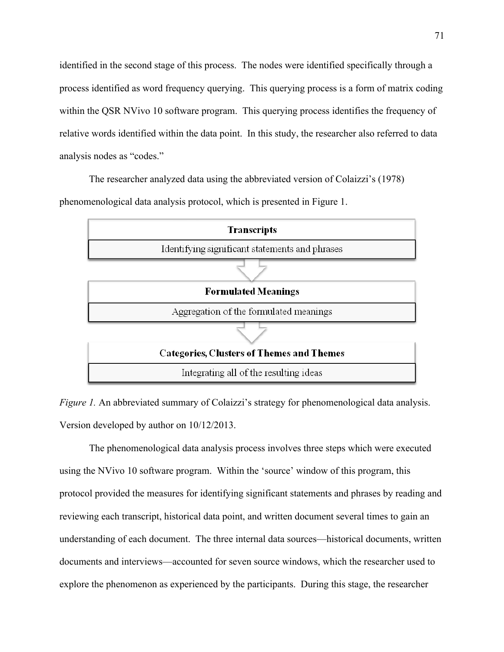identified in the second stage of this process. The nodes were identified specifically through a process identified as word frequency querying. This querying process is a form of matrix coding within the QSR NVivo 10 software program. This querying process identifies the frequency of relative words identified within the data point. In this study, the researcher also referred to data analysis nodes as "codes."

The researcher analyzed data using the abbreviated version of Colaizzi's (1978) phenomenological data analysis protocol, which is presented in Figure 1.



*Figure 1.* An abbreviated summary of Colaizzi's strategy for phenomenological data analysis. Version developed by author on 10/12/2013.

The phenomenological data analysis process involves three steps which were executed using the NVivo 10 software program. Within the 'source' window of this program, this protocol provided the measures for identifying significant statements and phrases by reading and reviewing each transcript, historical data point, and written document several times to gain an understanding of each document. The three internal data sources—historical documents, written documents and interviews—accounted for seven source windows, which the researcher used to explore the phenomenon as experienced by the participants. During this stage, the researcher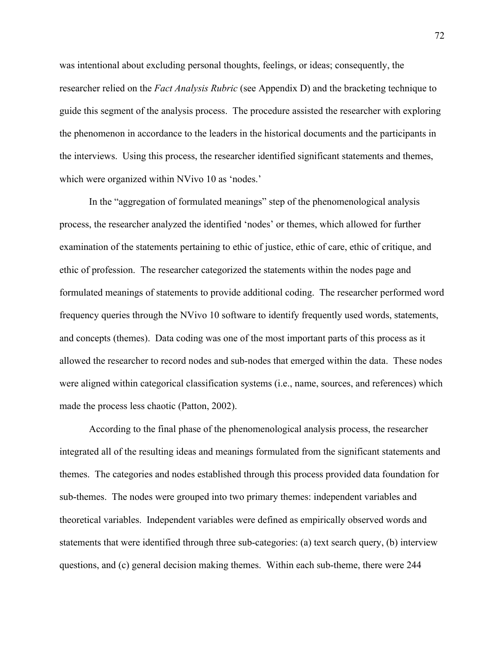was intentional about excluding personal thoughts, feelings, or ideas; consequently, the researcher relied on the *Fact Analysis Rubric* (see Appendix D) and the bracketing technique to guide this segment of the analysis process. The procedure assisted the researcher with exploring the phenomenon in accordance to the leaders in the historical documents and the participants in the interviews. Using this process, the researcher identified significant statements and themes, which were organized within NVivo 10 as 'nodes.'

In the "aggregation of formulated meanings" step of the phenomenological analysis process, the researcher analyzed the identified 'nodes' or themes, which allowed for further examination of the statements pertaining to ethic of justice, ethic of care, ethic of critique, and ethic of profession. The researcher categorized the statements within the nodes page and formulated meanings of statements to provide additional coding. The researcher performed word frequency queries through the NVivo 10 software to identify frequently used words, statements, and concepts (themes). Data coding was one of the most important parts of this process as it allowed the researcher to record nodes and sub-nodes that emerged within the data. These nodes were aligned within categorical classification systems (i.e., name, sources, and references) which made the process less chaotic (Patton, 2002).

According to the final phase of the phenomenological analysis process, the researcher integrated all of the resulting ideas and meanings formulated from the significant statements and themes. The categories and nodes established through this process provided data foundation for sub-themes. The nodes were grouped into two primary themes: independent variables and theoretical variables. Independent variables were defined as empirically observed words and statements that were identified through three sub-categories: (a) text search query, (b) interview questions, and (c) general decision making themes. Within each sub-theme, there were 244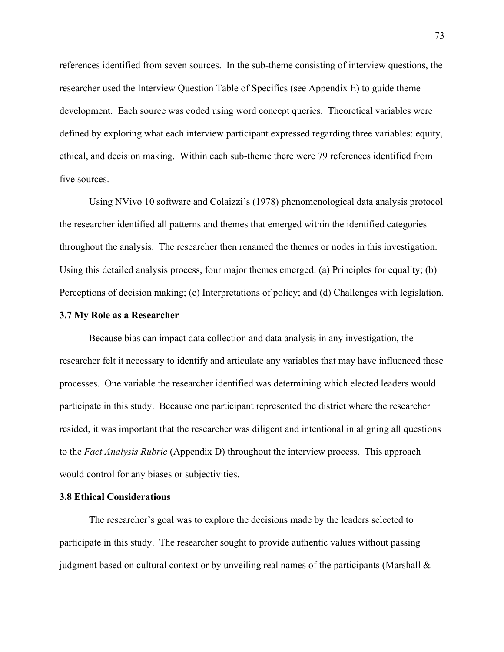references identified from seven sources. In the sub-theme consisting of interview questions, the researcher used the Interview Question Table of Specifics (see Appendix E) to guide theme development. Each source was coded using word concept queries. Theoretical variables were defined by exploring what each interview participant expressed regarding three variables: equity, ethical, and decision making. Within each sub-theme there were 79 references identified from five sources.

Using NVivo 10 software and Colaizzi's (1978) phenomenological data analysis protocol the researcher identified all patterns and themes that emerged within the identified categories throughout the analysis. The researcher then renamed the themes or nodes in this investigation. Using this detailed analysis process, four major themes emerged: (a) Principles for equality; (b) Perceptions of decision making; (c) Interpretations of policy; and (d) Challenges with legislation.

## **3.7 My Role as a Researcher**

Because bias can impact data collection and data analysis in any investigation, the researcher felt it necessary to identify and articulate any variables that may have influenced these processes. One variable the researcher identified was determining which elected leaders would participate in this study. Because one participant represented the district where the researcher resided, it was important that the researcher was diligent and intentional in aligning all questions to the *Fact Analysis Rubric* (Appendix D) throughout the interview process. This approach would control for any biases or subjectivities.

## **3.8 Ethical Considerations**

The researcher's goal was to explore the decisions made by the leaders selected to participate in this study. The researcher sought to provide authentic values without passing judgment based on cultural context or by unveiling real names of the participants (Marshall &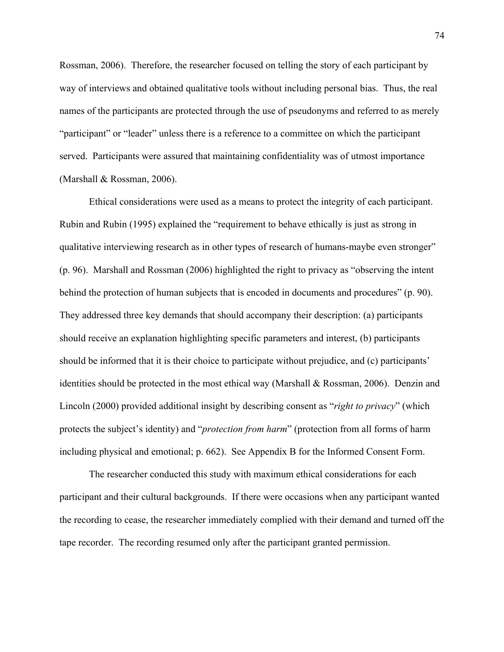Rossman, 2006). Therefore, the researcher focused on telling the story of each participant by way of interviews and obtained qualitative tools without including personal bias. Thus, the real names of the participants are protected through the use of pseudonyms and referred to as merely "participant" or "leader" unless there is a reference to a committee on which the participant served. Participants were assured that maintaining confidentiality was of utmost importance (Marshall & Rossman, 2006).

Ethical considerations were used as a means to protect the integrity of each participant. Rubin and Rubin (1995) explained the "requirement to behave ethically is just as strong in qualitative interviewing research as in other types of research of humans-maybe even stronger" (p. 96). Marshall and Rossman (2006) highlighted the right to privacy as "observing the intent behind the protection of human subjects that is encoded in documents and procedures" (p. 90). They addressed three key demands that should accompany their description: (a) participants should receive an explanation highlighting specific parameters and interest, (b) participants should be informed that it is their choice to participate without prejudice, and (c) participants' identities should be protected in the most ethical way (Marshall & Rossman, 2006). Denzin and Lincoln (2000) provided additional insight by describing consent as "*right to privacy*" (which protects the subject's identity) and "*protection from harm*" (protection from all forms of harm including physical and emotional; p. 662). See Appendix B for the Informed Consent Form.

The researcher conducted this study with maximum ethical considerations for each participant and their cultural backgrounds. If there were occasions when any participant wanted the recording to cease, the researcher immediately complied with their demand and turned off the tape recorder. The recording resumed only after the participant granted permission.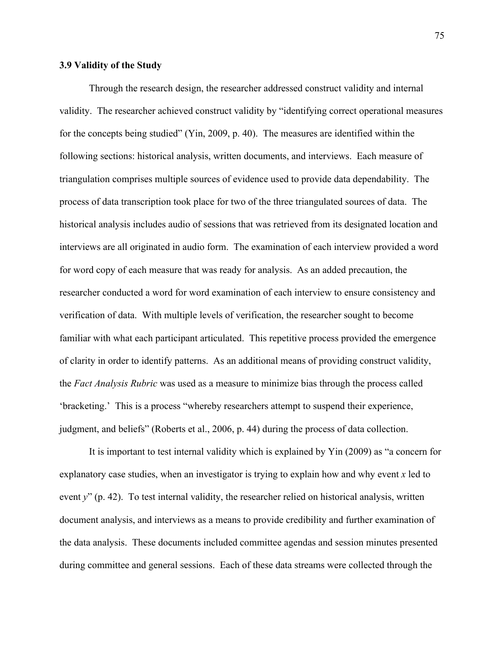## **3.9 Validity of the Study**

Through the research design, the researcher addressed construct validity and internal validity. The researcher achieved construct validity by "identifying correct operational measures for the concepts being studied" (Yin, 2009, p. 40). The measures are identified within the following sections: historical analysis, written documents, and interviews. Each measure of triangulation comprises multiple sources of evidence used to provide data dependability. The process of data transcription took place for two of the three triangulated sources of data. The historical analysis includes audio of sessions that was retrieved from its designated location and interviews are all originated in audio form. The examination of each interview provided a word for word copy of each measure that was ready for analysis. As an added precaution, the researcher conducted a word for word examination of each interview to ensure consistency and verification of data. With multiple levels of verification, the researcher sought to become familiar with what each participant articulated. This repetitive process provided the emergence of clarity in order to identify patterns. As an additional means of providing construct validity, the *Fact Analysis Rubric* was used as a measure to minimize bias through the process called 'bracketing.' This is a process "whereby researchers attempt to suspend their experience, judgment, and beliefs" (Roberts et al., 2006, p. 44) during the process of data collection.

It is important to test internal validity which is explained by Yin (2009) as "a concern for explanatory case studies, when an investigator is trying to explain how and why event *x* led to event *y*" (p. 42). To test internal validity, the researcher relied on historical analysis, written document analysis, and interviews as a means to provide credibility and further examination of the data analysis. These documents included committee agendas and session minutes presented during committee and general sessions. Each of these data streams were collected through the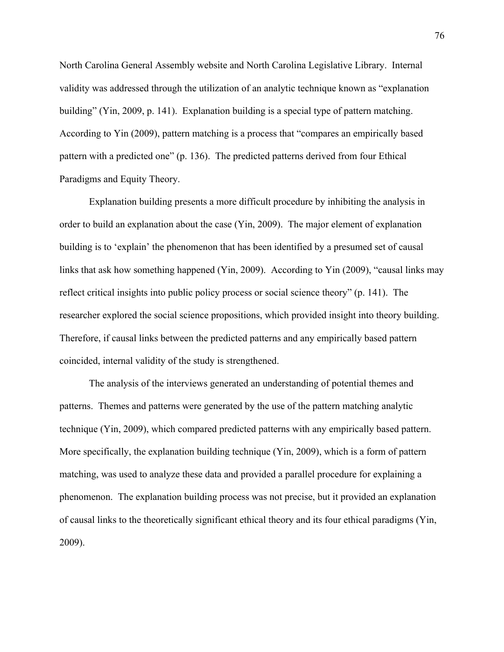North Carolina General Assembly website and North Carolina Legislative Library. Internal validity was addressed through the utilization of an analytic technique known as "explanation building" (Yin, 2009, p. 141). Explanation building is a special type of pattern matching. According to Yin (2009), pattern matching is a process that "compares an empirically based pattern with a predicted one" (p. 136). The predicted patterns derived from four Ethical Paradigms and Equity Theory.

Explanation building presents a more difficult procedure by inhibiting the analysis in order to build an explanation about the case (Yin, 2009). The major element of explanation building is to 'explain' the phenomenon that has been identified by a presumed set of causal links that ask how something happened (Yin, 2009). According to Yin (2009), "causal links may reflect critical insights into public policy process or social science theory" (p. 141). The researcher explored the social science propositions, which provided insight into theory building. Therefore, if causal links between the predicted patterns and any empirically based pattern coincided, internal validity of the study is strengthened.

The analysis of the interviews generated an understanding of potential themes and patterns. Themes and patterns were generated by the use of the pattern matching analytic technique (Yin, 2009), which compared predicted patterns with any empirically based pattern. More specifically, the explanation building technique (Yin, 2009), which is a form of pattern matching, was used to analyze these data and provided a parallel procedure for explaining a phenomenon. The explanation building process was not precise, but it provided an explanation of causal links to the theoretically significant ethical theory and its four ethical paradigms (Yin, 2009).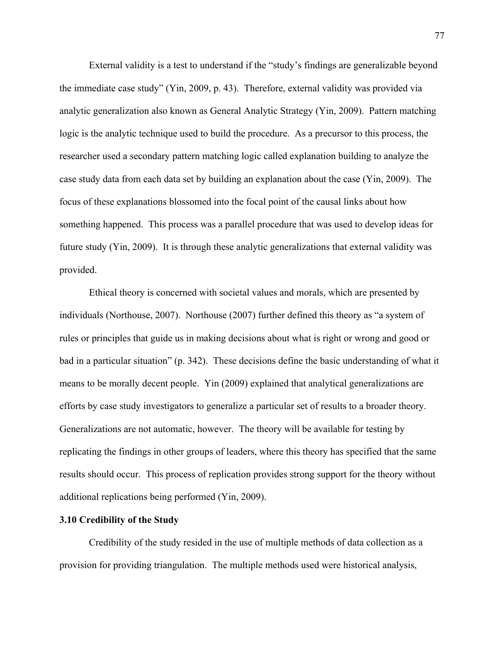External validity is a test to understand if the "study's findings are generalizable beyond the immediate case study" (Yin, 2009, p. 43). Therefore, external validity was provided via analytic generalization also known as General Analytic Strategy (Yin, 2009). Pattern matching logic is the analytic technique used to build the procedure. As a precursor to this process, the researcher used a secondary pattern matching logic called explanation building to analyze the case study data from each data set by building an explanation about the case (Yin, 2009). The focus of these explanations blossomed into the focal point of the causal links about how something happened. This process was a parallel procedure that was used to develop ideas for future study (Yin, 2009). It is through these analytic generalizations that external validity was provided.

Ethical theory is concerned with societal values and morals, which are presented by individuals (Northouse, 2007). Northouse (2007) further defined this theory as "a system of rules or principles that guide us in making decisions about what is right or wrong and good or bad in a particular situation" (p. 342). These decisions define the basic understanding of what it means to be morally decent people. Yin (2009) explained that analytical generalizations are efforts by case study investigators to generalize a particular set of results to a broader theory. Generalizations are not automatic, however. The theory will be available for testing by replicating the findings in other groups of leaders, where this theory has specified that the same results should occur. This process of replication provides strong support for the theory without additional replications being performed (Yin, 2009).

## **3.10 Credibility of the Study**

Credibility of the study resided in the use of multiple methods of data collection as a provision for providing triangulation. The multiple methods used were historical analysis,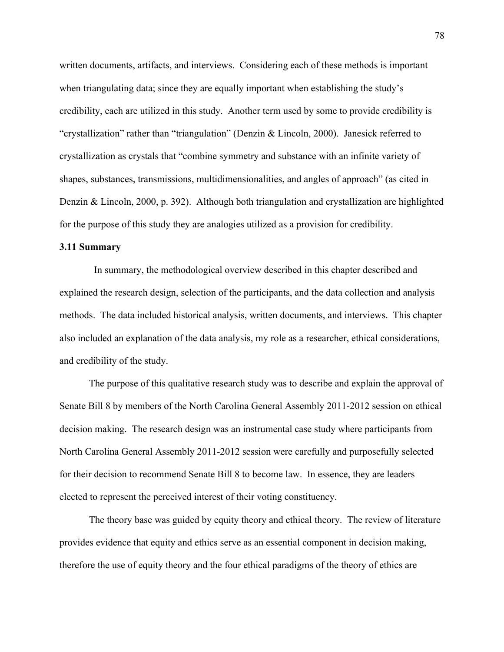written documents, artifacts, and interviews. Considering each of these methods is important when triangulating data; since they are equally important when establishing the study's credibility, each are utilized in this study. Another term used by some to provide credibility is "crystallization" rather than "triangulation" (Denzin & Lincoln, 2000). Janesick referred to crystallization as crystals that "combine symmetry and substance with an infinite variety of shapes, substances, transmissions, multidimensionalities, and angles of approach" (as cited in Denzin & Lincoln, 2000, p. 392). Although both triangulation and crystallization are highlighted for the purpose of this study they are analogies utilized as a provision for credibility.

## **3.11 Summary**

 In summary, the methodological overview described in this chapter described and explained the research design, selection of the participants, and the data collection and analysis methods. The data included historical analysis, written documents, and interviews. This chapter also included an explanation of the data analysis, my role as a researcher, ethical considerations, and credibility of the study.

The purpose of this qualitative research study was to describe and explain the approval of Senate Bill 8 by members of the North Carolina General Assembly 2011-2012 session on ethical decision making. The research design was an instrumental case study where participants from North Carolina General Assembly 2011-2012 session were carefully and purposefully selected for their decision to recommend Senate Bill 8 to become law. In essence, they are leaders elected to represent the perceived interest of their voting constituency.

The theory base was guided by equity theory and ethical theory. The review of literature provides evidence that equity and ethics serve as an essential component in decision making, therefore the use of equity theory and the four ethical paradigms of the theory of ethics are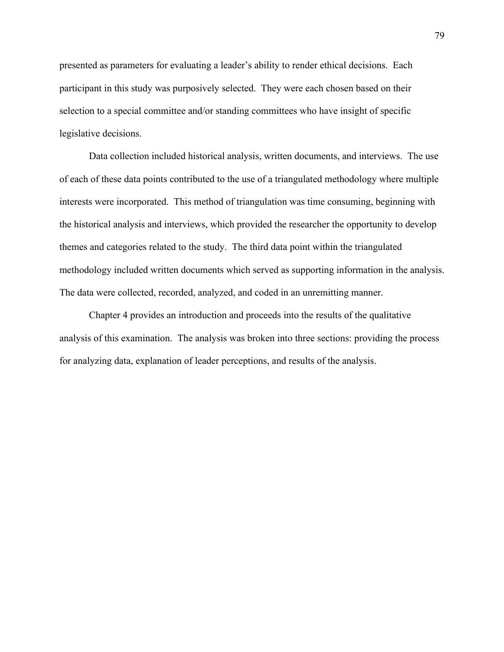presented as parameters for evaluating a leader's ability to render ethical decisions. Each participant in this study was purposively selected. They were each chosen based on their selection to a special committee and/or standing committees who have insight of specific legislative decisions.

Data collection included historical analysis, written documents, and interviews. The use of each of these data points contributed to the use of a triangulated methodology where multiple interests were incorporated. This method of triangulation was time consuming, beginning with the historical analysis and interviews, which provided the researcher the opportunity to develop themes and categories related to the study. The third data point within the triangulated methodology included written documents which served as supporting information in the analysis. The data were collected, recorded, analyzed, and coded in an unremitting manner.

Chapter 4 provides an introduction and proceeds into the results of the qualitative analysis of this examination. The analysis was broken into three sections: providing the process for analyzing data, explanation of leader perceptions, and results of the analysis.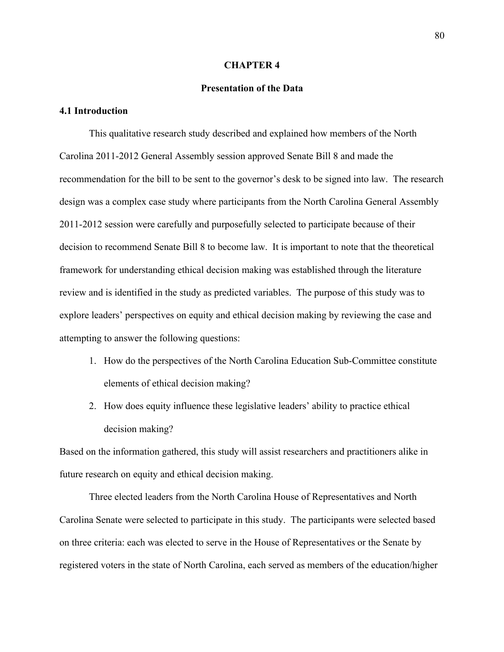### **CHAPTER 4**

# **Presentation of the Data**

# **4.1 Introduction**

This qualitative research study described and explained how members of the North Carolina 2011-2012 General Assembly session approved Senate Bill 8 and made the recommendation for the bill to be sent to the governor's desk to be signed into law. The research design was a complex case study where participants from the North Carolina General Assembly 2011-2012 session were carefully and purposefully selected to participate because of their decision to recommend Senate Bill 8 to become law. It is important to note that the theoretical framework for understanding ethical decision making was established through the literature review and is identified in the study as predicted variables. The purpose of this study was to explore leaders' perspectives on equity and ethical decision making by reviewing the case and attempting to answer the following questions:

- 1. How do the perspectives of the North Carolina Education Sub-Committee constitute elements of ethical decision making?
- 2. How does equity influence these legislative leaders' ability to practice ethical decision making?

Based on the information gathered, this study will assist researchers and practitioners alike in future research on equity and ethical decision making.

Three elected leaders from the North Carolina House of Representatives and North Carolina Senate were selected to participate in this study. The participants were selected based on three criteria: each was elected to serve in the House of Representatives or the Senate by registered voters in the state of North Carolina, each served as members of the education/higher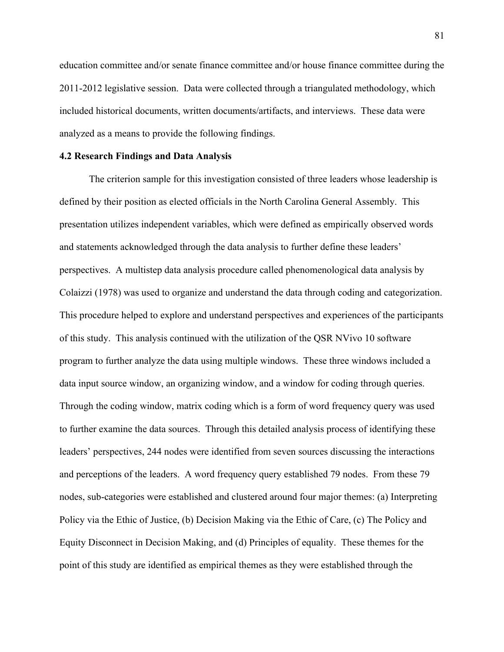education committee and/or senate finance committee and/or house finance committee during the 2011-2012 legislative session. Data were collected through a triangulated methodology, which included historical documents, written documents/artifacts, and interviews. These data were analyzed as a means to provide the following findings.

#### **4.2 Research Findings and Data Analysis**

The criterion sample for this investigation consisted of three leaders whose leadership is defined by their position as elected officials in the North Carolina General Assembly. This presentation utilizes independent variables, which were defined as empirically observed words and statements acknowledged through the data analysis to further define these leaders' perspectives. A multistep data analysis procedure called phenomenological data analysis by Colaizzi (1978) was used to organize and understand the data through coding and categorization. This procedure helped to explore and understand perspectives and experiences of the participants of this study. This analysis continued with the utilization of the QSR NVivo 10 software program to further analyze the data using multiple windows. These three windows included a data input source window, an organizing window, and a window for coding through queries. Through the coding window, matrix coding which is a form of word frequency query was used to further examine the data sources. Through this detailed analysis process of identifying these leaders' perspectives, 244 nodes were identified from seven sources discussing the interactions and perceptions of the leaders. A word frequency query established 79 nodes. From these 79 nodes, sub-categories were established and clustered around four major themes: (a) Interpreting Policy via the Ethic of Justice, (b) Decision Making via the Ethic of Care, (c) The Policy and Equity Disconnect in Decision Making, and (d) Principles of equality. These themes for the point of this study are identified as empirical themes as they were established through the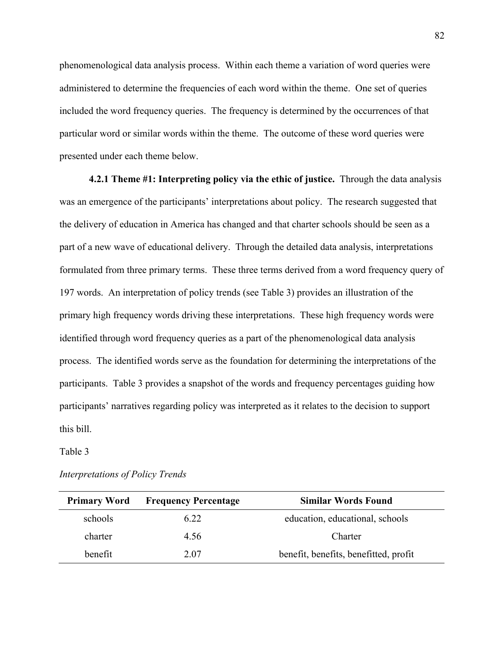phenomenological data analysis process. Within each theme a variation of word queries were administered to determine the frequencies of each word within the theme. One set of queries included the word frequency queries. The frequency is determined by the occurrences of that particular word or similar words within the theme. The outcome of these word queries were presented under each theme below.

**4.2.1 Theme #1: Interpreting policy via the ethic of justice.** Through the data analysis was an emergence of the participants' interpretations about policy. The research suggested that the delivery of education in America has changed and that charter schools should be seen as a part of a new wave of educational delivery. Through the detailed data analysis, interpretations formulated from three primary terms. These three terms derived from a word frequency query of 197 words. An interpretation of policy trends (see Table 3) provides an illustration of the primary high frequency words driving these interpretations. These high frequency words were identified through word frequency queries as a part of the phenomenological data analysis process. The identified words serve as the foundation for determining the interpretations of the participants. Table 3 provides a snapshot of the words and frequency percentages guiding how participants' narratives regarding policy was interpreted as it relates to the decision to support this bill.

Table 3

| <b>Primary Word</b> | <b>Frequency Percentage</b> | Similar Words Found                   |
|---------------------|-----------------------------|---------------------------------------|
| schools             | 6.22                        | education, educational, schools       |
| charter             | 4.56                        | Charter                               |
| benefit             | 2.07                        | benefit, benefits, benefitted, profit |

*Interpretations of Policy Trends*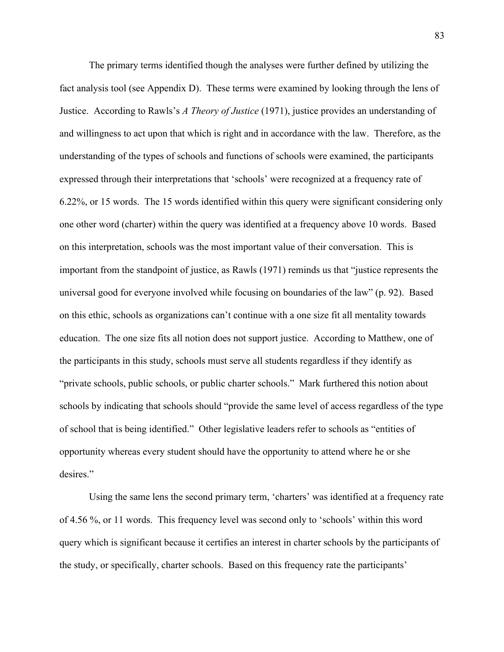The primary terms identified though the analyses were further defined by utilizing the fact analysis tool (see Appendix D). These terms were examined by looking through the lens of Justice. According to Rawls's *A Theory of Justice* (1971), justice provides an understanding of and willingness to act upon that which is right and in accordance with the law. Therefore, as the understanding of the types of schools and functions of schools were examined, the participants expressed through their interpretations that 'schools' were recognized at a frequency rate of 6.22%, or 15 words. The 15 words identified within this query were significant considering only one other word (charter) within the query was identified at a frequency above 10 words. Based on this interpretation, schools was the most important value of their conversation. This is important from the standpoint of justice, as Rawls (1971) reminds us that "justice represents the universal good for everyone involved while focusing on boundaries of the law" (p. 92). Based on this ethic, schools as organizations can't continue with a one size fit all mentality towards education. The one size fits all notion does not support justice. According to Matthew, one of the participants in this study, schools must serve all students regardless if they identify as "private schools, public schools, or public charter schools." Mark furthered this notion about schools by indicating that schools should "provide the same level of access regardless of the type of school that is being identified." Other legislative leaders refer to schools as "entities of opportunity whereas every student should have the opportunity to attend where he or she desires."

Using the same lens the second primary term, 'charters' was identified at a frequency rate of 4.56 %, or 11 words. This frequency level was second only to 'schools' within this word query which is significant because it certifies an interest in charter schools by the participants of the study, or specifically, charter schools. Based on this frequency rate the participants'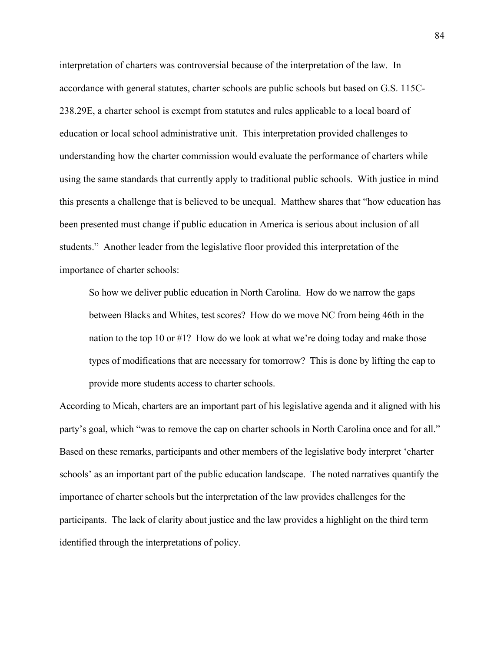interpretation of charters was controversial because of the interpretation of the law. In accordance with general statutes, charter schools are public schools but based on G.S. 115C-238.29E, a charter school is exempt from statutes and rules applicable to a local board of education or local school administrative unit. This interpretation provided challenges to understanding how the charter commission would evaluate the performance of charters while using the same standards that currently apply to traditional public schools. With justice in mind this presents a challenge that is believed to be unequal. Matthew shares that "how education has been presented must change if public education in America is serious about inclusion of all students." Another leader from the legislative floor provided this interpretation of the importance of charter schools:

So how we deliver public education in North Carolina. How do we narrow the gaps between Blacks and Whites, test scores? How do we move NC from being 46th in the nation to the top 10 or #1? How do we look at what we're doing today and make those types of modifications that are necessary for tomorrow? This is done by lifting the cap to provide more students access to charter schools.

According to Micah, charters are an important part of his legislative agenda and it aligned with his party's goal, which "was to remove the cap on charter schools in North Carolina once and for all." Based on these remarks, participants and other members of the legislative body interpret 'charter schools' as an important part of the public education landscape. The noted narratives quantify the importance of charter schools but the interpretation of the law provides challenges for the participants. The lack of clarity about justice and the law provides a highlight on the third term identified through the interpretations of policy.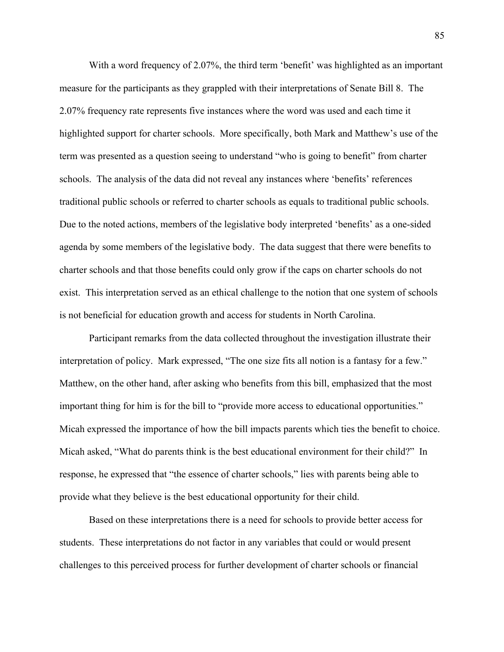With a word frequency of 2.07%, the third term 'benefit' was highlighted as an important measure for the participants as they grappled with their interpretations of Senate Bill 8. The 2.07% frequency rate represents five instances where the word was used and each time it highlighted support for charter schools. More specifically, both Mark and Matthew's use of the term was presented as a question seeing to understand "who is going to benefit" from charter schools. The analysis of the data did not reveal any instances where 'benefits' references traditional public schools or referred to charter schools as equals to traditional public schools. Due to the noted actions, members of the legislative body interpreted 'benefits' as a one-sided agenda by some members of the legislative body. The data suggest that there were benefits to charter schools and that those benefits could only grow if the caps on charter schools do not exist. This interpretation served as an ethical challenge to the notion that one system of schools is not beneficial for education growth and access for students in North Carolina.

Participant remarks from the data collected throughout the investigation illustrate their interpretation of policy. Mark expressed, "The one size fits all notion is a fantasy for a few." Matthew, on the other hand, after asking who benefits from this bill, emphasized that the most important thing for him is for the bill to "provide more access to educational opportunities." Micah expressed the importance of how the bill impacts parents which ties the benefit to choice. Micah asked, "What do parents think is the best educational environment for their child?" In response, he expressed that "the essence of charter schools," lies with parents being able to provide what they believe is the best educational opportunity for their child.

Based on these interpretations there is a need for schools to provide better access for students. These interpretations do not factor in any variables that could or would present challenges to this perceived process for further development of charter schools or financial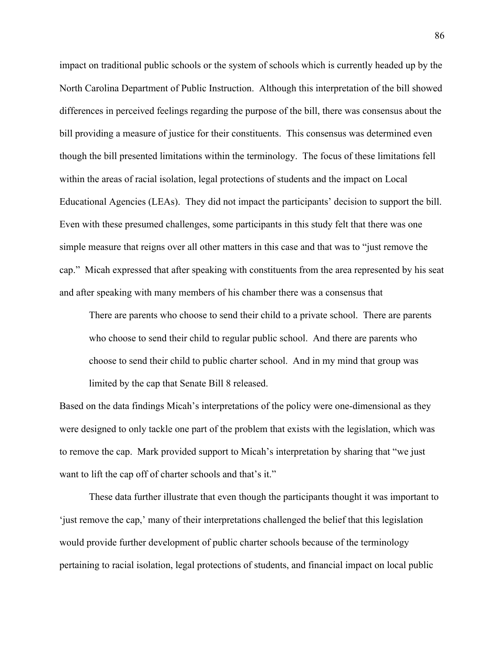impact on traditional public schools or the system of schools which is currently headed up by the North Carolina Department of Public Instruction. Although this interpretation of the bill showed differences in perceived feelings regarding the purpose of the bill, there was consensus about the bill providing a measure of justice for their constituents. This consensus was determined even though the bill presented limitations within the terminology. The focus of these limitations fell within the areas of racial isolation, legal protections of students and the impact on Local Educational Agencies (LEAs). They did not impact the participants' decision to support the bill. Even with these presumed challenges, some participants in this study felt that there was one simple measure that reigns over all other matters in this case and that was to "just remove the cap." Micah expressed that after speaking with constituents from the area represented by his seat and after speaking with many members of his chamber there was a consensus that

There are parents who choose to send their child to a private school. There are parents who choose to send their child to regular public school. And there are parents who choose to send their child to public charter school. And in my mind that group was limited by the cap that Senate Bill 8 released.

Based on the data findings Micah's interpretations of the policy were one-dimensional as they were designed to only tackle one part of the problem that exists with the legislation, which was to remove the cap. Mark provided support to Micah's interpretation by sharing that "we just want to lift the cap off of charter schools and that's it."

These data further illustrate that even though the participants thought it was important to 'just remove the cap,' many of their interpretations challenged the belief that this legislation would provide further development of public charter schools because of the terminology pertaining to racial isolation, legal protections of students, and financial impact on local public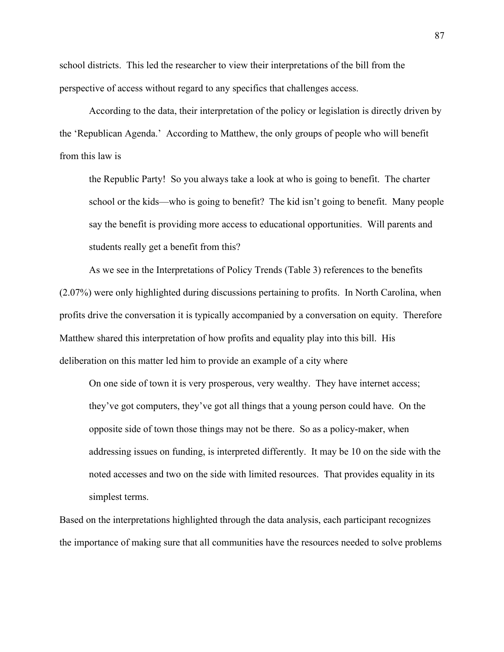school districts. This led the researcher to view their interpretations of the bill from the perspective of access without regard to any specifics that challenges access.

According to the data, their interpretation of the policy or legislation is directly driven by the 'Republican Agenda.' According to Matthew, the only groups of people who will benefit from this law is

the Republic Party! So you always take a look at who is going to benefit. The charter school or the kids—who is going to benefit? The kid isn't going to benefit. Many people say the benefit is providing more access to educational opportunities. Will parents and students really get a benefit from this?

As we see in the Interpretations of Policy Trends (Table 3) references to the benefits (2.07%) were only highlighted during discussions pertaining to profits. In North Carolina, when profits drive the conversation it is typically accompanied by a conversation on equity. Therefore Matthew shared this interpretation of how profits and equality play into this bill. His deliberation on this matter led him to provide an example of a city where

On one side of town it is very prosperous, very wealthy. They have internet access; they've got computers, they've got all things that a young person could have. On the opposite side of town those things may not be there. So as a policy-maker, when addressing issues on funding, is interpreted differently. It may be 10 on the side with the noted accesses and two on the side with limited resources. That provides equality in its simplest terms.

Based on the interpretations highlighted through the data analysis, each participant recognizes the importance of making sure that all communities have the resources needed to solve problems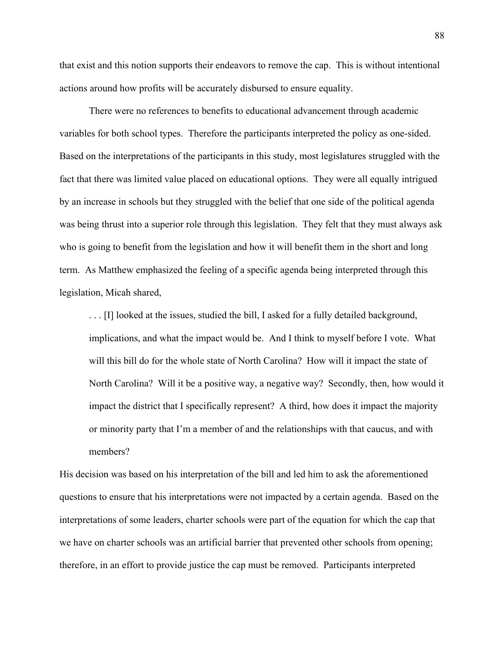that exist and this notion supports their endeavors to remove the cap. This is without intentional actions around how profits will be accurately disbursed to ensure equality.

There were no references to benefits to educational advancement through academic variables for both school types. Therefore the participants interpreted the policy as one-sided. Based on the interpretations of the participants in this study, most legislatures struggled with the fact that there was limited value placed on educational options. They were all equally intrigued by an increase in schools but they struggled with the belief that one side of the political agenda was being thrust into a superior role through this legislation. They felt that they must always ask who is going to benefit from the legislation and how it will benefit them in the short and long term. As Matthew emphasized the feeling of a specific agenda being interpreted through this legislation, Micah shared,

... [I] looked at the issues, studied the bill, I asked for a fully detailed background, implications, and what the impact would be. And I think to myself before I vote. What will this bill do for the whole state of North Carolina? How will it impact the state of North Carolina? Will it be a positive way, a negative way? Secondly, then, how would it impact the district that I specifically represent? A third, how does it impact the majority or minority party that I'm a member of and the relationships with that caucus, and with members?

His decision was based on his interpretation of the bill and led him to ask the aforementioned questions to ensure that his interpretations were not impacted by a certain agenda. Based on the interpretations of some leaders, charter schools were part of the equation for which the cap that we have on charter schools was an artificial barrier that prevented other schools from opening; therefore, in an effort to provide justice the cap must be removed. Participants interpreted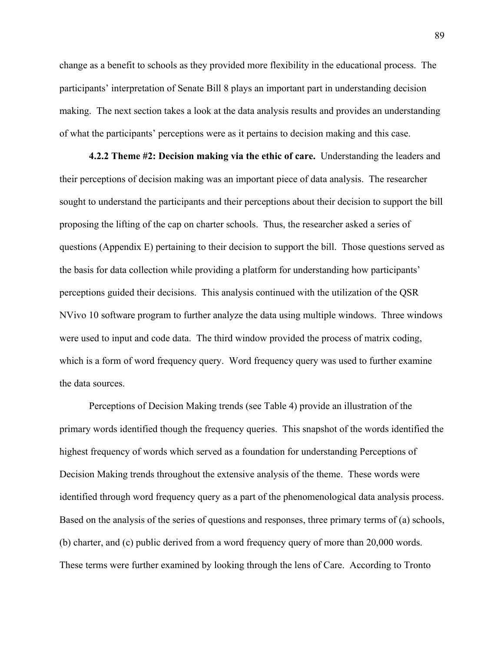change as a benefit to schools as they provided more flexibility in the educational process. The participants' interpretation of Senate Bill 8 plays an important part in understanding decision making. The next section takes a look at the data analysis results and provides an understanding of what the participants' perceptions were as it pertains to decision making and this case.

**4.2.2 Theme #2: Decision making via the ethic of care.** Understanding the leaders and their perceptions of decision making was an important piece of data analysis. The researcher sought to understand the participants and their perceptions about their decision to support the bill proposing the lifting of the cap on charter schools. Thus, the researcher asked a series of questions (Appendix E) pertaining to their decision to support the bill. Those questions served as the basis for data collection while providing a platform for understanding how participants' perceptions guided their decisions. This analysis continued with the utilization of the QSR NVivo 10 software program to further analyze the data using multiple windows. Three windows were used to input and code data. The third window provided the process of matrix coding, which is a form of word frequency query. Word frequency query was used to further examine the data sources.

Perceptions of Decision Making trends (see Table 4) provide an illustration of the primary words identified though the frequency queries. This snapshot of the words identified the highest frequency of words which served as a foundation for understanding Perceptions of Decision Making trends throughout the extensive analysis of the theme. These words were identified through word frequency query as a part of the phenomenological data analysis process. Based on the analysis of the series of questions and responses, three primary terms of (a) schools, (b) charter, and (c) public derived from a word frequency query of more than 20,000 words. These terms were further examined by looking through the lens of Care. According to Tronto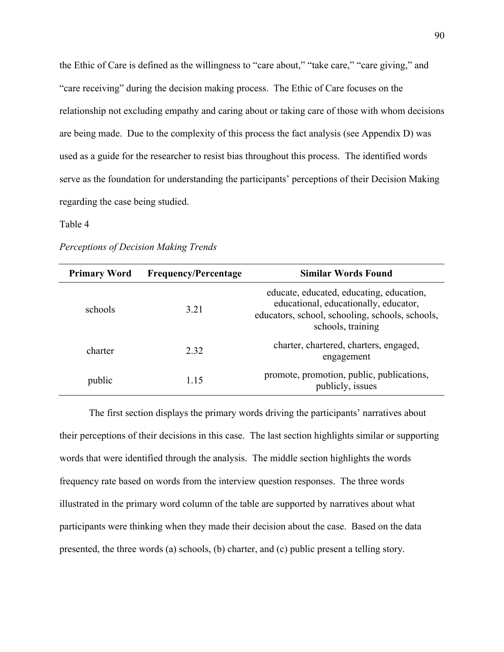the Ethic of Care is defined as the willingness to "care about," "take care," "care giving," and "care receiving" during the decision making process. The Ethic of Care focuses on the relationship not excluding empathy and caring about or taking care of those with whom decisions are being made. Due to the complexity of this process the fact analysis (see Appendix D) was used as a guide for the researcher to resist bias throughout this process. The identified words serve as the foundation for understanding the participants' perceptions of their Decision Making regarding the case being studied.

## Table 4

## *Perceptions of Decision Making Trends*

| <b>Primary Word</b> | <b>Frequency/Percentage</b> | <b>Similar Words Found</b>                                                                                                                                |
|---------------------|-----------------------------|-----------------------------------------------------------------------------------------------------------------------------------------------------------|
| schools             | 3.21                        | educate, educated, educating, education,<br>educational, educationally, educator,<br>educators, school, schooling, schools, schools,<br>schools, training |
| charter             | 2.32                        | charter, chartered, charters, engaged,<br>engagement                                                                                                      |
| public              | 1.15                        | promote, promotion, public, publications,<br>publicly, issues                                                                                             |

The first section displays the primary words driving the participants' narratives about their perceptions of their decisions in this case. The last section highlights similar or supporting words that were identified through the analysis. The middle section highlights the words frequency rate based on words from the interview question responses. The three words illustrated in the primary word column of the table are supported by narratives about what participants were thinking when they made their decision about the case. Based on the data presented, the three words (a) schools, (b) charter, and (c) public present a telling story.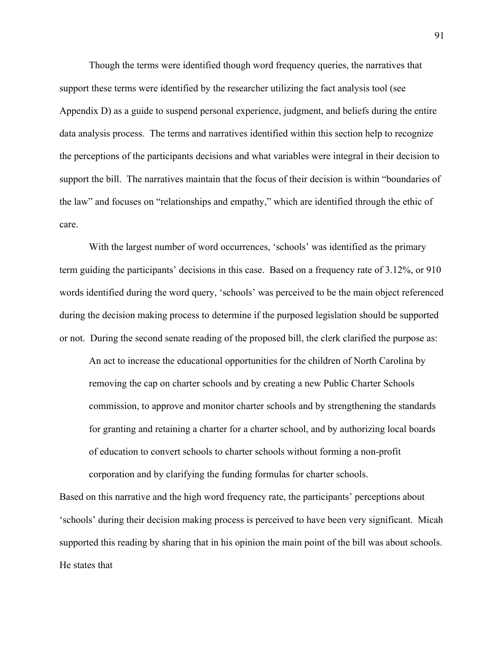Though the terms were identified though word frequency queries, the narratives that support these terms were identified by the researcher utilizing the fact analysis tool (see Appendix D) as a guide to suspend personal experience, judgment, and beliefs during the entire data analysis process. The terms and narratives identified within this section help to recognize the perceptions of the participants decisions and what variables were integral in their decision to support the bill. The narratives maintain that the focus of their decision is within "boundaries of the law" and focuses on "relationships and empathy," which are identified through the ethic of care.

With the largest number of word occurrences, 'schools' was identified as the primary term guiding the participants' decisions in this case. Based on a frequency rate of 3.12%, or 910 words identified during the word query, 'schools' was perceived to be the main object referenced during the decision making process to determine if the purposed legislation should be supported or not. During the second senate reading of the proposed bill, the clerk clarified the purpose as:

An act to increase the educational opportunities for the children of North Carolina by removing the cap on charter schools and by creating a new Public Charter Schools commission, to approve and monitor charter schools and by strengthening the standards for granting and retaining a charter for a charter school, and by authorizing local boards of education to convert schools to charter schools without forming a non-profit corporation and by clarifying the funding formulas for charter schools.

Based on this narrative and the high word frequency rate, the participants' perceptions about 'schools' during their decision making process is perceived to have been very significant. Micah supported this reading by sharing that in his opinion the main point of the bill was about schools. He states that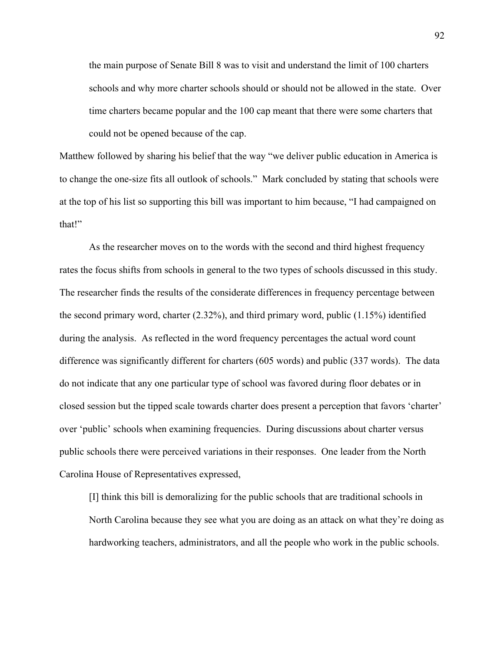the main purpose of Senate Bill 8 was to visit and understand the limit of 100 charters schools and why more charter schools should or should not be allowed in the state. Over time charters became popular and the 100 cap meant that there were some charters that could not be opened because of the cap.

Matthew followed by sharing his belief that the way "we deliver public education in America is to change the one-size fits all outlook of schools." Mark concluded by stating that schools were at the top of his list so supporting this bill was important to him because, "I had campaigned on that!"

As the researcher moves on to the words with the second and third highest frequency rates the focus shifts from schools in general to the two types of schools discussed in this study. The researcher finds the results of the considerate differences in frequency percentage between the second primary word, charter (2.32%), and third primary word, public (1.15%) identified during the analysis. As reflected in the word frequency percentages the actual word count difference was significantly different for charters (605 words) and public (337 words). The data do not indicate that any one particular type of school was favored during floor debates or in closed session but the tipped scale towards charter does present a perception that favors 'charter' over 'public' schools when examining frequencies. During discussions about charter versus public schools there were perceived variations in their responses. One leader from the North Carolina House of Representatives expressed,

[I] think this bill is demoralizing for the public schools that are traditional schools in North Carolina because they see what you are doing as an attack on what they're doing as hardworking teachers, administrators, and all the people who work in the public schools.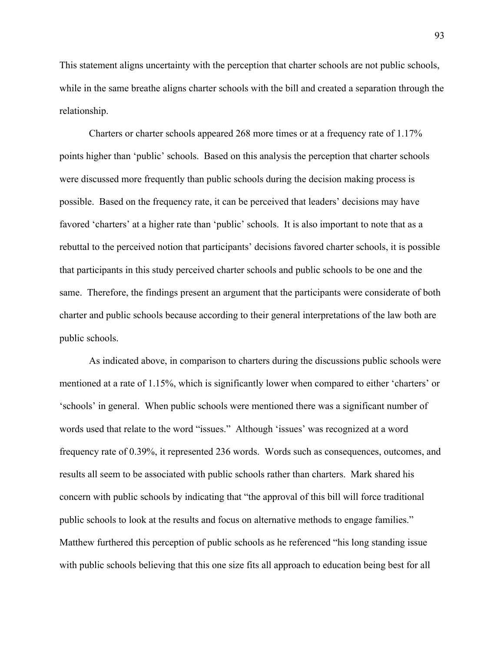This statement aligns uncertainty with the perception that charter schools are not public schools, while in the same breathe aligns charter schools with the bill and created a separation through the relationship.

Charters or charter schools appeared 268 more times or at a frequency rate of 1.17% points higher than 'public' schools. Based on this analysis the perception that charter schools were discussed more frequently than public schools during the decision making process is possible. Based on the frequency rate, it can be perceived that leaders' decisions may have favored 'charters' at a higher rate than 'public' schools. It is also important to note that as a rebuttal to the perceived notion that participants' decisions favored charter schools, it is possible that participants in this study perceived charter schools and public schools to be one and the same. Therefore, the findings present an argument that the participants were considerate of both charter and public schools because according to their general interpretations of the law both are public schools.

As indicated above, in comparison to charters during the discussions public schools were mentioned at a rate of 1.15%, which is significantly lower when compared to either 'charters' or 'schools' in general. When public schools were mentioned there was a significant number of words used that relate to the word "issues." Although 'issues' was recognized at a word frequency rate of 0.39%, it represented 236 words. Words such as consequences, outcomes, and results all seem to be associated with public schools rather than charters. Mark shared his concern with public schools by indicating that "the approval of this bill will force traditional public schools to look at the results and focus on alternative methods to engage families." Matthew furthered this perception of public schools as he referenced "his long standing issue with public schools believing that this one size fits all approach to education being best for all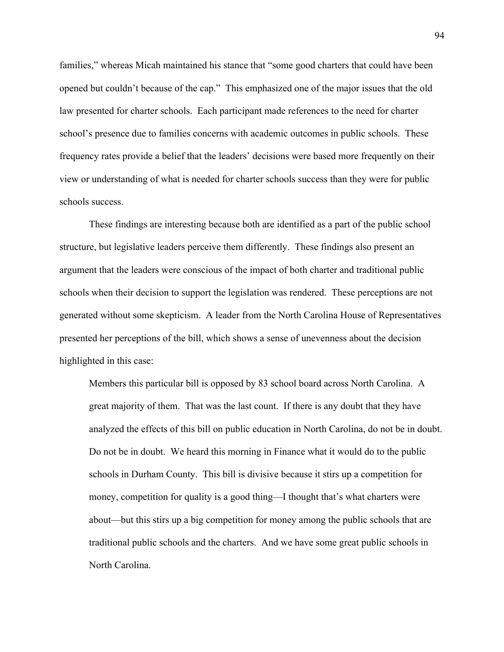families," whereas Micah maintained his stance that "some good charters that could have been opened but couldn't because of the cap." This emphasized one of the major issues that the old law presented for charter schools. Each participant made references to the need for charter school's presence due to families concerns with academic outcomes in public schools. These frequency rates provide a belief that the leaders' decisions were based more frequently on their view or understanding of what is needed for charter schools success than they were for public schools success.

These findings are interesting because both are identified as a part of the public school structure, but legislative leaders perceive them differently. These findings also present an argument that the leaders were conscious of the impact of both charter and traditional public schools when their decision to support the legislation was rendered. These perceptions are not generated without some skepticism. A leader from the North Carolina House of Representatives presented her perceptions of the bill, which shows a sense of unevenness about the decision highlighted in this case:

Members this particular bill is opposed by 83 school board across North Carolina. A great majority of them. That was the last count. If there is any doubt that they have analyzed the effects of this bill on public education in North Carolina, do not be in doubt. Do not be in doubt. We heard this morning in Finance what it would do to the public schools in Durham County. This bill is divisive because it stirs up a competition for money, competition for quality is a good thing—I thought that's what charters were about—but this stirs up a big competition for money among the public schools that are traditional public schools and the charters. And we have some great public schools in North Carolina.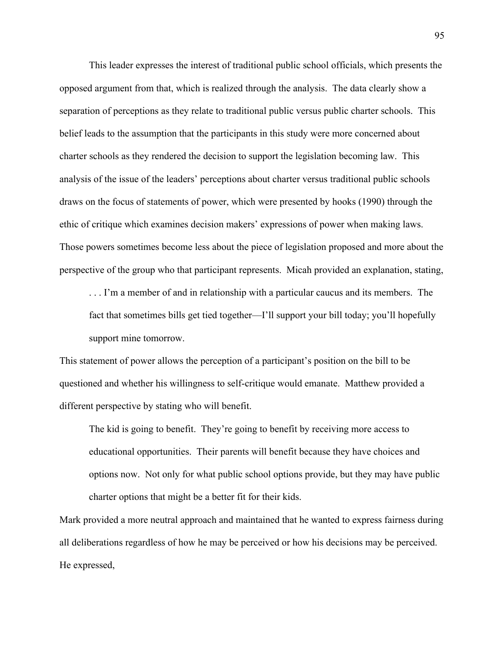This leader expresses the interest of traditional public school officials, which presents the opposed argument from that, which is realized through the analysis. The data clearly show a separation of perceptions as they relate to traditional public versus public charter schools. This belief leads to the assumption that the participants in this study were more concerned about charter schools as they rendered the decision to support the legislation becoming law. This analysis of the issue of the leaders' perceptions about charter versus traditional public schools draws on the focus of statements of power, which were presented by hooks (1990) through the ethic of critique which examines decision makers' expressions of power when making laws. Those powers sometimes become less about the piece of legislation proposed and more about the perspective of the group who that participant represents. Micah provided an explanation, stating,

. . . I'm a member of and in relationship with a particular caucus and its members. The fact that sometimes bills get tied together—I'll support your bill today; you'll hopefully support mine tomorrow.

This statement of power allows the perception of a participant's position on the bill to be questioned and whether his willingness to self-critique would emanate. Matthew provided a different perspective by stating who will benefit.

The kid is going to benefit. They're going to benefit by receiving more access to educational opportunities. Their parents will benefit because they have choices and options now. Not only for what public school options provide, but they may have public charter options that might be a better fit for their kids.

Mark provided a more neutral approach and maintained that he wanted to express fairness during all deliberations regardless of how he may be perceived or how his decisions may be perceived. He expressed,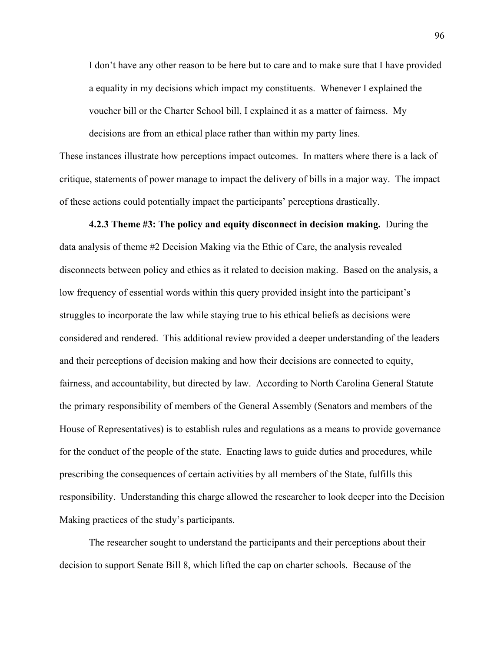I don't have any other reason to be here but to care and to make sure that I have provided a equality in my decisions which impact my constituents. Whenever I explained the voucher bill or the Charter School bill, I explained it as a matter of fairness. My decisions are from an ethical place rather than within my party lines.

These instances illustrate how perceptions impact outcomes. In matters where there is a lack of critique, statements of power manage to impact the delivery of bills in a major way. The impact of these actions could potentially impact the participants' perceptions drastically.

**4.2.3 Theme #3: The policy and equity disconnect in decision making.** During the data analysis of theme #2 Decision Making via the Ethic of Care, the analysis revealed disconnects between policy and ethics as it related to decision making. Based on the analysis, a low frequency of essential words within this query provided insight into the participant's struggles to incorporate the law while staying true to his ethical beliefs as decisions were considered and rendered. This additional review provided a deeper understanding of the leaders and their perceptions of decision making and how their decisions are connected to equity, fairness, and accountability, but directed by law. According to North Carolina General Statute the primary responsibility of members of the General Assembly (Senators and members of the House of Representatives) is to establish rules and regulations as a means to provide governance for the conduct of the people of the state. Enacting laws to guide duties and procedures, while prescribing the consequences of certain activities by all members of the State, fulfills this responsibility. Understanding this charge allowed the researcher to look deeper into the Decision Making practices of the study's participants.

The researcher sought to understand the participants and their perceptions about their decision to support Senate Bill 8, which lifted the cap on charter schools. Because of the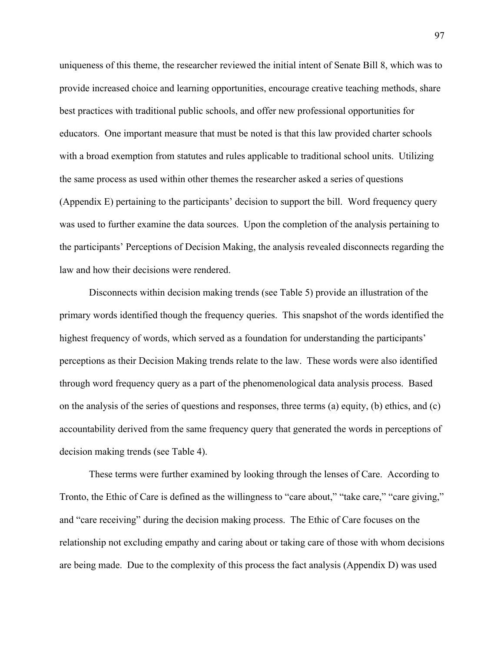uniqueness of this theme, the researcher reviewed the initial intent of Senate Bill 8, which was to provide increased choice and learning opportunities, encourage creative teaching methods, share best practices with traditional public schools, and offer new professional opportunities for educators. One important measure that must be noted is that this law provided charter schools with a broad exemption from statutes and rules applicable to traditional school units. Utilizing the same process as used within other themes the researcher asked a series of questions (Appendix E) pertaining to the participants' decision to support the bill. Word frequency query was used to further examine the data sources. Upon the completion of the analysis pertaining to the participants' Perceptions of Decision Making, the analysis revealed disconnects regarding the law and how their decisions were rendered.

Disconnects within decision making trends (see Table 5) provide an illustration of the primary words identified though the frequency queries. This snapshot of the words identified the highest frequency of words, which served as a foundation for understanding the participants' perceptions as their Decision Making trends relate to the law. These words were also identified through word frequency query as a part of the phenomenological data analysis process. Based on the analysis of the series of questions and responses, three terms (a) equity, (b) ethics, and (c) accountability derived from the same frequency query that generated the words in perceptions of decision making trends (see Table 4).

These terms were further examined by looking through the lenses of Care. According to Tronto, the Ethic of Care is defined as the willingness to "care about," "take care," "care giving," and "care receiving" during the decision making process. The Ethic of Care focuses on the relationship not excluding empathy and caring about or taking care of those with whom decisions are being made. Due to the complexity of this process the fact analysis (Appendix D) was used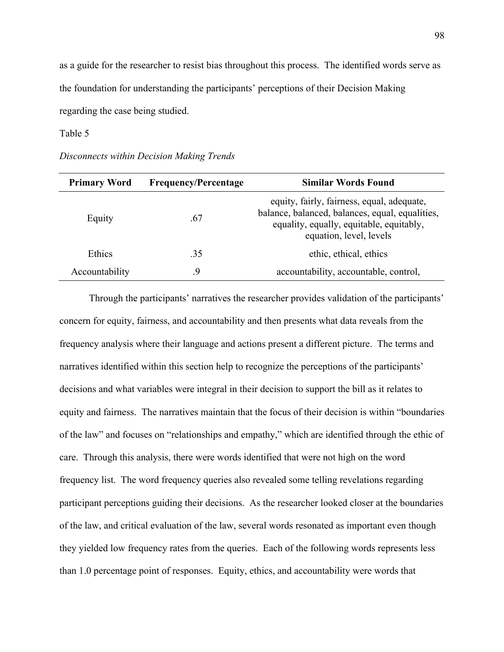as a guide for the researcher to resist bias throughout this process. The identified words serve as the foundation for understanding the participants' perceptions of their Decision Making regarding the case being studied.

# Table 5

|  | Disconnects within Decision Making Trends |  |  |
|--|-------------------------------------------|--|--|
|--|-------------------------------------------|--|--|

| <b>Primary Word</b> | <b>Frequency/Percentage</b> | <b>Similar Words Found</b>                                                                                                                                           |
|---------------------|-----------------------------|----------------------------------------------------------------------------------------------------------------------------------------------------------------------|
| Equity              | .67                         | equity, fairly, fairness, equal, adequate,<br>balance, balanced, balances, equal, equalities,<br>equality, equally, equitable, equitably,<br>equation, level, levels |
| Ethics              | .35                         | ethic, ethical, ethics                                                                                                                                               |
| Accountability      | 9.                          | accountability, accountable, control,                                                                                                                                |

Through the participants' narratives the researcher provides validation of the participants' concern for equity, fairness, and accountability and then presents what data reveals from the frequency analysis where their language and actions present a different picture. The terms and narratives identified within this section help to recognize the perceptions of the participants' decisions and what variables were integral in their decision to support the bill as it relates to equity and fairness. The narratives maintain that the focus of their decision is within "boundaries of the law" and focuses on "relationships and empathy," which are identified through the ethic of care. Through this analysis, there were words identified that were not high on the word frequency list. The word frequency queries also revealed some telling revelations regarding participant perceptions guiding their decisions. As the researcher looked closer at the boundaries of the law, and critical evaluation of the law, several words resonated as important even though they yielded low frequency rates from the queries. Each of the following words represents less than 1.0 percentage point of responses. Equity, ethics, and accountability were words that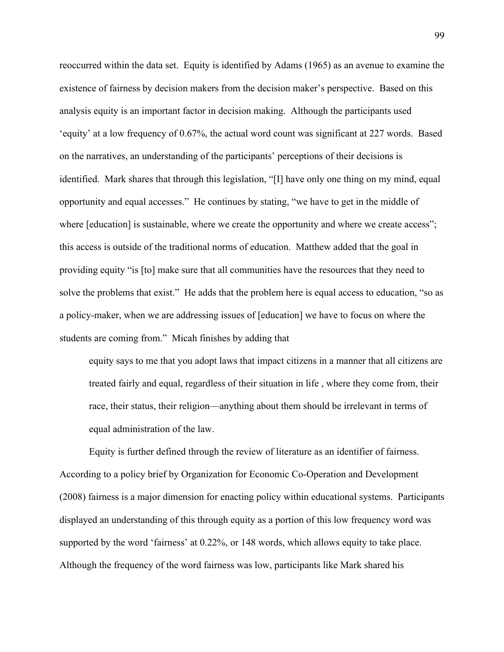reoccurred within the data set. Equity is identified by Adams (1965) as an avenue to examine the existence of fairness by decision makers from the decision maker's perspective. Based on this analysis equity is an important factor in decision making. Although the participants used 'equity' at a low frequency of 0.67%, the actual word count was significant at 227 words. Based on the narratives, an understanding of the participants' perceptions of their decisions is identified. Mark shares that through this legislation, "[I] have only one thing on my mind, equal opportunity and equal accesses." He continues by stating, "we have to get in the middle of where [education] is sustainable, where we create the opportunity and where we create access"; this access is outside of the traditional norms of education. Matthew added that the goal in providing equity "is [to] make sure that all communities have the resources that they need to solve the problems that exist." He adds that the problem here is equal access to education, "so as a policy-maker, when we are addressing issues of [education] we have to focus on where the students are coming from." Micah finishes by adding that

equity says to me that you adopt laws that impact citizens in a manner that all citizens are treated fairly and equal, regardless of their situation in life , where they come from, their race, their status, their religion—anything about them should be irrelevant in terms of equal administration of the law.

Equity is further defined through the review of literature as an identifier of fairness. According to a policy brief by Organization for Economic Co-Operation and Development (2008) fairness is a major dimension for enacting policy within educational systems. Participants displayed an understanding of this through equity as a portion of this low frequency word was supported by the word 'fairness' at 0.22%, or 148 words, which allows equity to take place. Although the frequency of the word fairness was low, participants like Mark shared his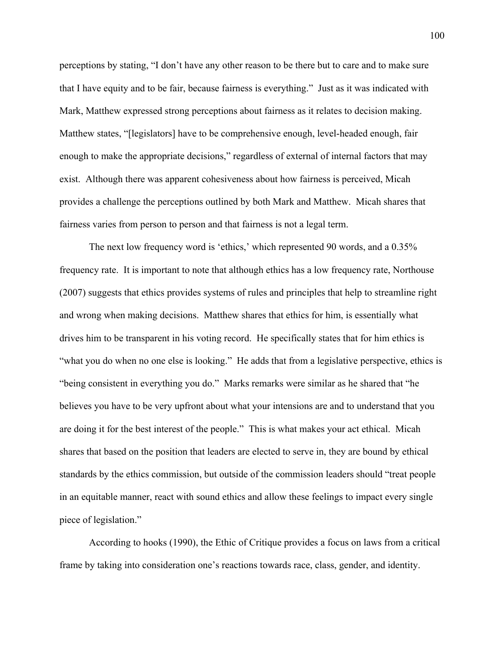perceptions by stating, "I don't have any other reason to be there but to care and to make sure that I have equity and to be fair, because fairness is everything." Just as it was indicated with Mark, Matthew expressed strong perceptions about fairness as it relates to decision making. Matthew states, "[legislators] have to be comprehensive enough, level-headed enough, fair enough to make the appropriate decisions," regardless of external of internal factors that may exist. Although there was apparent cohesiveness about how fairness is perceived, Micah provides a challenge the perceptions outlined by both Mark and Matthew. Micah shares that fairness varies from person to person and that fairness is not a legal term.

The next low frequency word is 'ethics,' which represented 90 words, and a 0.35% frequency rate. It is important to note that although ethics has a low frequency rate, Northouse (2007) suggests that ethics provides systems of rules and principles that help to streamline right and wrong when making decisions. Matthew shares that ethics for him, is essentially what drives him to be transparent in his voting record. He specifically states that for him ethics is "what you do when no one else is looking." He adds that from a legislative perspective, ethics is "being consistent in everything you do." Marks remarks were similar as he shared that "he believes you have to be very upfront about what your intensions are and to understand that you are doing it for the best interest of the people." This is what makes your act ethical. Micah shares that based on the position that leaders are elected to serve in, they are bound by ethical standards by the ethics commission, but outside of the commission leaders should "treat people in an equitable manner, react with sound ethics and allow these feelings to impact every single piece of legislation."

According to hooks (1990), the Ethic of Critique provides a focus on laws from a critical frame by taking into consideration one's reactions towards race, class, gender, and identity.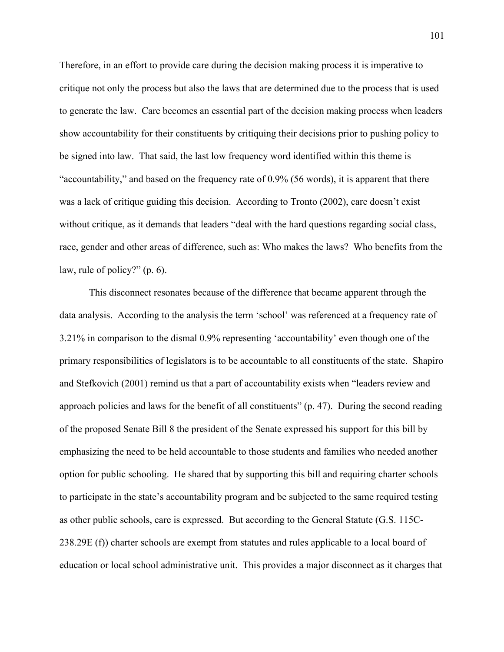Therefore, in an effort to provide care during the decision making process it is imperative to critique not only the process but also the laws that are determined due to the process that is used to generate the law. Care becomes an essential part of the decision making process when leaders show accountability for their constituents by critiquing their decisions prior to pushing policy to be signed into law. That said, the last low frequency word identified within this theme is "accountability," and based on the frequency rate of 0.9% (56 words), it is apparent that there was a lack of critique guiding this decision. According to Tronto (2002), care doesn't exist without critique, as it demands that leaders "deal with the hard questions regarding social class, race, gender and other areas of difference, such as: Who makes the laws? Who benefits from the law, rule of policy?" (p. 6).

This disconnect resonates because of the difference that became apparent through the data analysis. According to the analysis the term 'school' was referenced at a frequency rate of 3.21% in comparison to the dismal 0.9% representing 'accountability' even though one of the primary responsibilities of legislators is to be accountable to all constituents of the state. Shapiro and Stefkovich (2001) remind us that a part of accountability exists when "leaders review and approach policies and laws for the benefit of all constituents" (p. 47). During the second reading of the proposed Senate Bill 8 the president of the Senate expressed his support for this bill by emphasizing the need to be held accountable to those students and families who needed another option for public schooling. He shared that by supporting this bill and requiring charter schools to participate in the state's accountability program and be subjected to the same required testing as other public schools, care is expressed. But according to the General Statute (G.S. 115C-238.29E (f)) charter schools are exempt from statutes and rules applicable to a local board of education or local school administrative unit. This provides a major disconnect as it charges that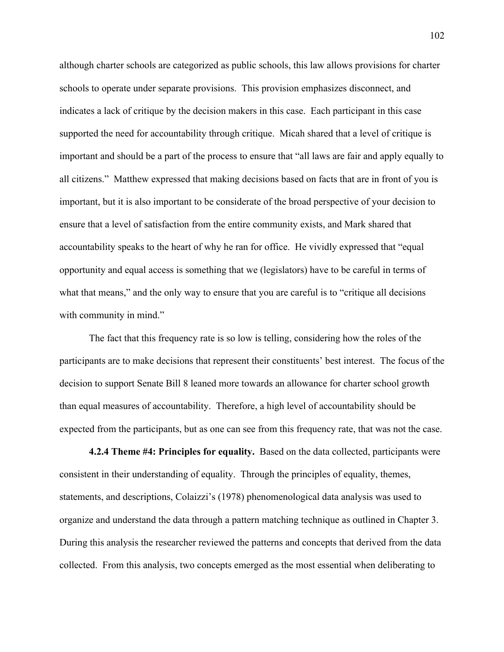although charter schools are categorized as public schools, this law allows provisions for charter schools to operate under separate provisions. This provision emphasizes disconnect, and indicates a lack of critique by the decision makers in this case. Each participant in this case supported the need for accountability through critique. Micah shared that a level of critique is important and should be a part of the process to ensure that "all laws are fair and apply equally to all citizens." Matthew expressed that making decisions based on facts that are in front of you is important, but it is also important to be considerate of the broad perspective of your decision to ensure that a level of satisfaction from the entire community exists, and Mark shared that accountability speaks to the heart of why he ran for office. He vividly expressed that "equal opportunity and equal access is something that we (legislators) have to be careful in terms of what that means," and the only way to ensure that you are careful is to "critique all decisions" with community in mind."

The fact that this frequency rate is so low is telling, considering how the roles of the participants are to make decisions that represent their constituents' best interest. The focus of the decision to support Senate Bill 8 leaned more towards an allowance for charter school growth than equal measures of accountability. Therefore, a high level of accountability should be expected from the participants, but as one can see from this frequency rate, that was not the case.

**4.2.4 Theme #4: Principles for equality.** Based on the data collected, participants were consistent in their understanding of equality. Through the principles of equality, themes, statements, and descriptions, Colaizzi's (1978) phenomenological data analysis was used to organize and understand the data through a pattern matching technique as outlined in Chapter 3. During this analysis the researcher reviewed the patterns and concepts that derived from the data collected. From this analysis, two concepts emerged as the most essential when deliberating to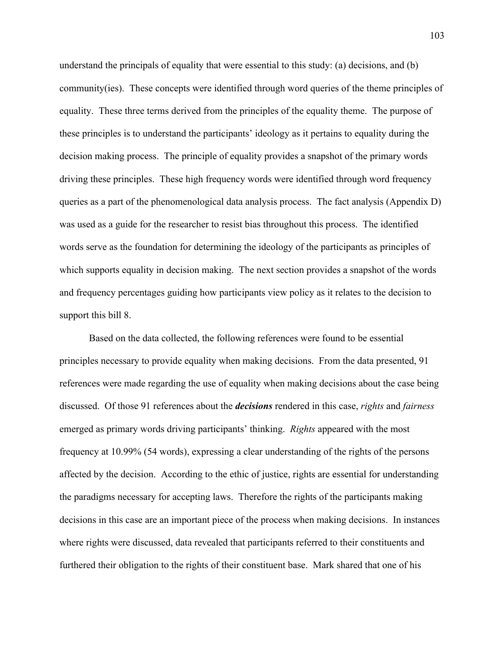understand the principals of equality that were essential to this study: (a) decisions, and (b) community(ies). These concepts were identified through word queries of the theme principles of equality. These three terms derived from the principles of the equality theme. The purpose of these principles is to understand the participants' ideology as it pertains to equality during the decision making process. The principle of equality provides a snapshot of the primary words driving these principles. These high frequency words were identified through word frequency queries as a part of the phenomenological data analysis process. The fact analysis (Appendix D) was used as a guide for the researcher to resist bias throughout this process. The identified words serve as the foundation for determining the ideology of the participants as principles of which supports equality in decision making. The next section provides a snapshot of the words and frequency percentages guiding how participants view policy as it relates to the decision to support this bill 8.

Based on the data collected, the following references were found to be essential principles necessary to provide equality when making decisions. From the data presented, 91 references were made regarding the use of equality when making decisions about the case being discussed. Of those 91 references about the *decisions* rendered in this case, *rights* and *fairness* emerged as primary words driving participants' thinking. *Rights* appeared with the most frequency at 10.99% (54 words), expressing a clear understanding of the rights of the persons affected by the decision. According to the ethic of justice, rights are essential for understanding the paradigms necessary for accepting laws. Therefore the rights of the participants making decisions in this case are an important piece of the process when making decisions. In instances where rights were discussed, data revealed that participants referred to their constituents and furthered their obligation to the rights of their constituent base. Mark shared that one of his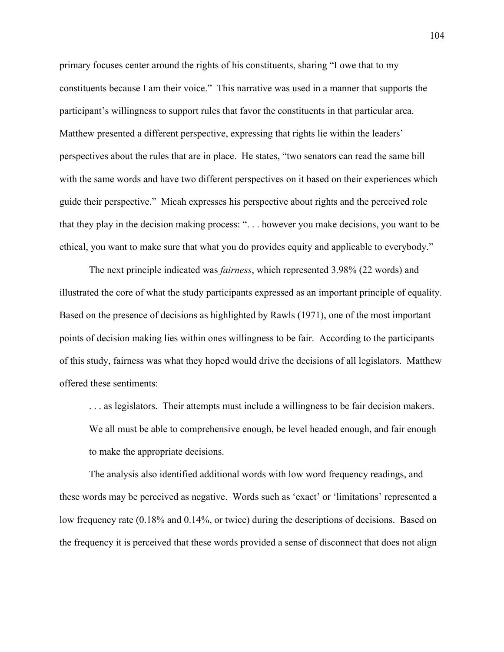primary focuses center around the rights of his constituents, sharing "I owe that to my constituents because I am their voice." This narrative was used in a manner that supports the participant's willingness to support rules that favor the constituents in that particular area. Matthew presented a different perspective, expressing that rights lie within the leaders' perspectives about the rules that are in place. He states, "two senators can read the same bill with the same words and have two different perspectives on it based on their experiences which guide their perspective." Micah expresses his perspective about rights and the perceived role that they play in the decision making process: ". . . however you make decisions, you want to be ethical, you want to make sure that what you do provides equity and applicable to everybody."

The next principle indicated was *fairness*, which represented 3.98% (22 words) and illustrated the core of what the study participants expressed as an important principle of equality. Based on the presence of decisions as highlighted by Rawls (1971), one of the most important points of decision making lies within ones willingness to be fair.According to the participants of this study, fairness was what they hoped would drive the decisions of all legislators. Matthew offered these sentiments:

. . . as legislators. Their attempts must include a willingness to be fair decision makers. We all must be able to comprehensive enough, be level headed enough, and fair enough to make the appropriate decisions.

The analysis also identified additional words with low word frequency readings, and these words may be perceived as negative. Words such as 'exact' or 'limitations' represented a low frequency rate (0.18% and 0.14%, or twice) during the descriptions of decisions. Based on the frequency it is perceived that these words provided a sense of disconnect that does not align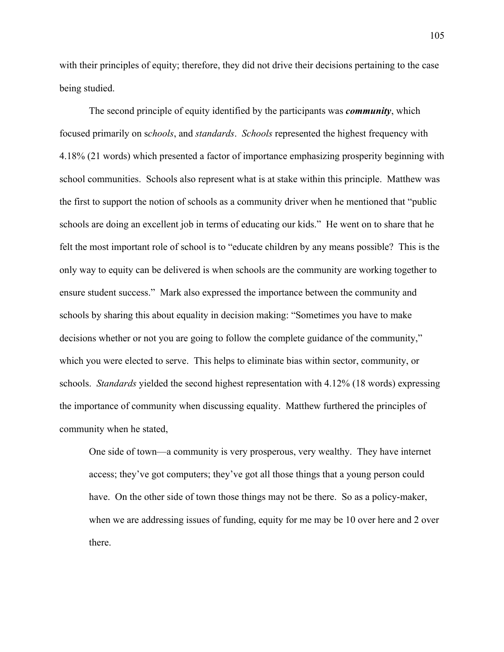with their principles of equity; therefore, they did not drive their decisions pertaining to the case being studied.

The second principle of equity identified by the participants was *community*, which focused primarily on s*chools*, and *standards*. *Schools* represented the highest frequency with 4.18% (21 words) which presented a factor of importance emphasizing prosperity beginning with school communities. Schools also represent what is at stake within this principle. Matthew was the first to support the notion of schools as a community driver when he mentioned that "public schools are doing an excellent job in terms of educating our kids." He went on to share that he felt the most important role of school is to "educate children by any means possible? This is the only way to equity can be delivered is when schools are the community are working together to ensure student success." Mark also expressed the importance between the community and schools by sharing this about equality in decision making: "Sometimes you have to make decisions whether or not you are going to follow the complete guidance of the community," which you were elected to serve. This helps to eliminate bias within sector, community, or schools. *Standards* yielded the second highest representation with 4.12% (18 words) expressing the importance of community when discussing equality. Matthew furthered the principles of community when he stated,

One side of town—a community is very prosperous, very wealthy. They have internet access; they've got computers; they've got all those things that a young person could have. On the other side of town those things may not be there. So as a policy-maker, when we are addressing issues of funding, equity for me may be 10 over here and 2 over there.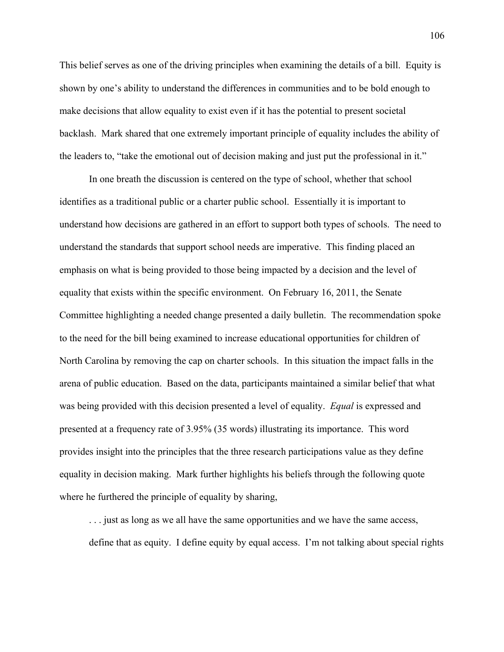This belief serves as one of the driving principles when examining the details of a bill. Equity is shown by one's ability to understand the differences in communities and to be bold enough to make decisions that allow equality to exist even if it has the potential to present societal backlash. Mark shared that one extremely important principle of equality includes the ability of the leaders to, "take the emotional out of decision making and just put the professional in it."

In one breath the discussion is centered on the type of school, whether that school identifies as a traditional public or a charter public school. Essentially it is important to understand how decisions are gathered in an effort to support both types of schools. The need to understand the standards that support school needs are imperative. This finding placed an emphasis on what is being provided to those being impacted by a decision and the level of equality that exists within the specific environment. On February 16, 2011, the Senate Committee highlighting a needed change presented a daily bulletin. The recommendation spoke to the need for the bill being examined to increase educational opportunities for children of North Carolina by removing the cap on charter schools. In this situation the impact falls in the arena of public education. Based on the data, participants maintained a similar belief that what was being provided with this decision presented a level of equality. *Equal* is expressed and presented at a frequency rate of 3.95% (35 words) illustrating its importance. This word provides insight into the principles that the three research participations value as they define equality in decision making. Mark further highlights his beliefs through the following quote where he furthered the principle of equality by sharing,

. . . just as long as we all have the same opportunities and we have the same access, define that as equity. I define equity by equal access. I'm not talking about special rights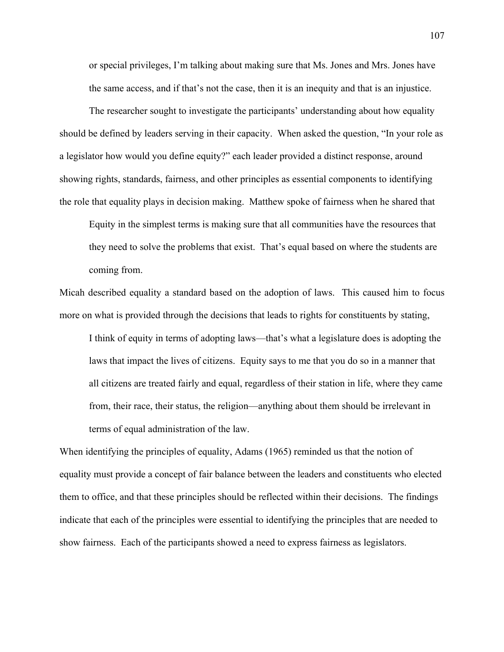or special privileges, I'm talking about making sure that Ms. Jones and Mrs. Jones have the same access, and if that's not the case, then it is an inequity and that is an injustice.

The researcher sought to investigate the participants' understanding about how equality should be defined by leaders serving in their capacity. When asked the question, "In your role as a legislator how would you define equity?" each leader provided a distinct response, around showing rights, standards, fairness, and other principles as essential components to identifying the role that equality plays in decision making. Matthew spoke of fairness when he shared that

Equity in the simplest terms is making sure that all communities have the resources that they need to solve the problems that exist. That's equal based on where the students are coming from.

Micah described equality a standard based on the adoption of laws. This caused him to focus more on what is provided through the decisions that leads to rights for constituents by stating,

I think of equity in terms of adopting laws—that's what a legislature does is adopting the laws that impact the lives of citizens. Equity says to me that you do so in a manner that all citizens are treated fairly and equal, regardless of their station in life, where they came from, their race, their status, the religion—anything about them should be irrelevant in terms of equal administration of the law.

When identifying the principles of equality, Adams (1965) reminded us that the notion of equality must provide a concept of fair balance between the leaders and constituents who elected them to office, and that these principles should be reflected within their decisions. The findings indicate that each of the principles were essential to identifying the principles that are needed to show fairness. Each of the participants showed a need to express fairness as legislators.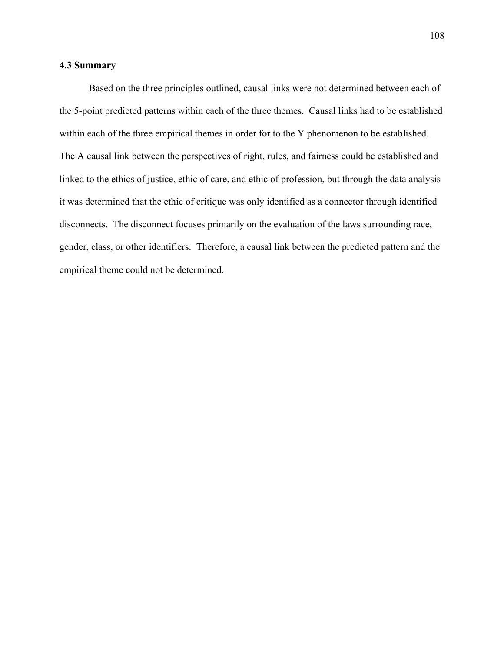# **4.3 Summary**

Based on the three principles outlined, causal links were not determined between each of the 5-point predicted patterns within each of the three themes. Causal links had to be established within each of the three empirical themes in order for to the Y phenomenon to be established. The A causal link between the perspectives of right, rules, and fairness could be established and linked to the ethics of justice, ethic of care, and ethic of profession, but through the data analysis it was determined that the ethic of critique was only identified as a connector through identified disconnects. The disconnect focuses primarily on the evaluation of the laws surrounding race, gender, class, or other identifiers. Therefore, a causal link between the predicted pattern and the empirical theme could not be determined.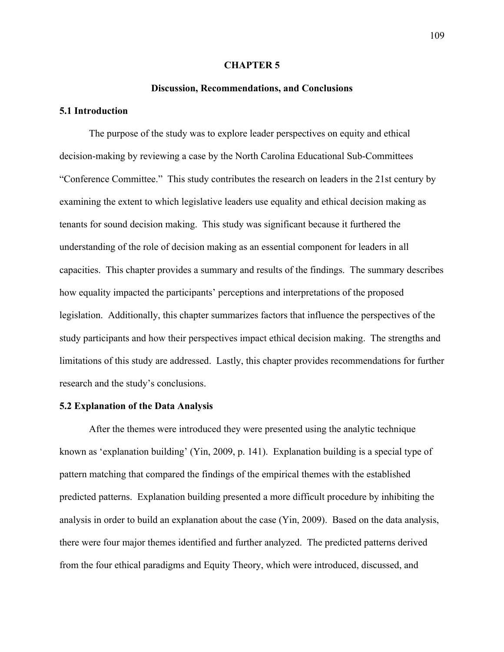#### **CHAPTER 5**

### **Discussion, Recommendations, and Conclusions**

## **5.1 Introduction**

The purpose of the study was to explore leader perspectives on equity and ethical decision-making by reviewing a case by the North Carolina Educational Sub-Committees "Conference Committee." This study contributes the research on leaders in the 21st century by examining the extent to which legislative leaders use equality and ethical decision making as tenants for sound decision making. This study was significant because it furthered the understanding of the role of decision making as an essential component for leaders in all capacities. This chapter provides a summary and results of the findings. The summary describes how equality impacted the participants' perceptions and interpretations of the proposed legislation. Additionally, this chapter summarizes factors that influence the perspectives of the study participants and how their perspectives impact ethical decision making. The strengths and limitations of this study are addressed. Lastly, this chapter provides recommendations for further research and the study's conclusions.

## **5.2 Explanation of the Data Analysis**

After the themes were introduced they were presented using the analytic technique known as 'explanation building' (Yin, 2009, p. 141). Explanation building is a special type of pattern matching that compared the findings of the empirical themes with the established predicted patterns. Explanation building presented a more difficult procedure by inhibiting the analysis in order to build an explanation about the case (Yin, 2009). Based on the data analysis, there were four major themes identified and further analyzed. The predicted patterns derived from the four ethical paradigms and Equity Theory, which were introduced, discussed, and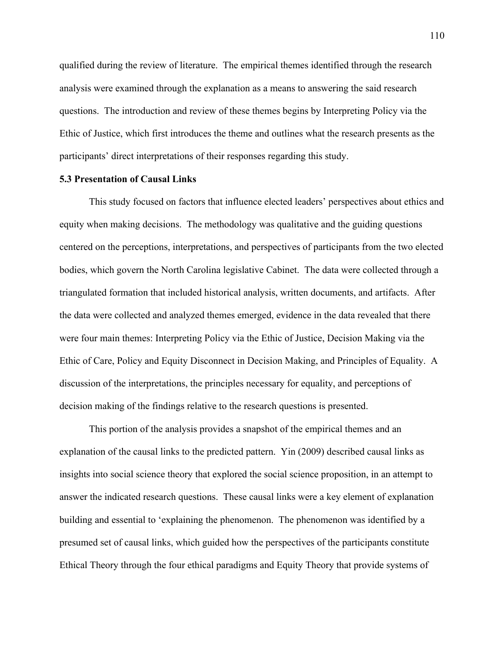qualified during the review of literature. The empirical themes identified through the research analysis were examined through the explanation as a means to answering the said research questions. The introduction and review of these themes begins by Interpreting Policy via the Ethic of Justice, which first introduces the theme and outlines what the research presents as the participants' direct interpretations of their responses regarding this study.

## **5.3 Presentation of Causal Links**

This study focused on factors that influence elected leaders' perspectives about ethics and equity when making decisions. The methodology was qualitative and the guiding questions centered on the perceptions, interpretations, and perspectives of participants from the two elected bodies, which govern the North Carolina legislative Cabinet. The data were collected through a triangulated formation that included historical analysis, written documents, and artifacts. After the data were collected and analyzed themes emerged, evidence in the data revealed that there were four main themes: Interpreting Policy via the Ethic of Justice, Decision Making via the Ethic of Care, Policy and Equity Disconnect in Decision Making, and Principles of Equality. A discussion of the interpretations, the principles necessary for equality, and perceptions of decision making of the findings relative to the research questions is presented.

This portion of the analysis provides a snapshot of the empirical themes and an explanation of the causal links to the predicted pattern. Yin (2009) described causal links as insights into social science theory that explored the social science proposition, in an attempt to answer the indicated research questions. These causal links were a key element of explanation building and essential to 'explaining the phenomenon. The phenomenon was identified by a presumed set of causal links, which guided how the perspectives of the participants constitute Ethical Theory through the four ethical paradigms and Equity Theory that provide systems of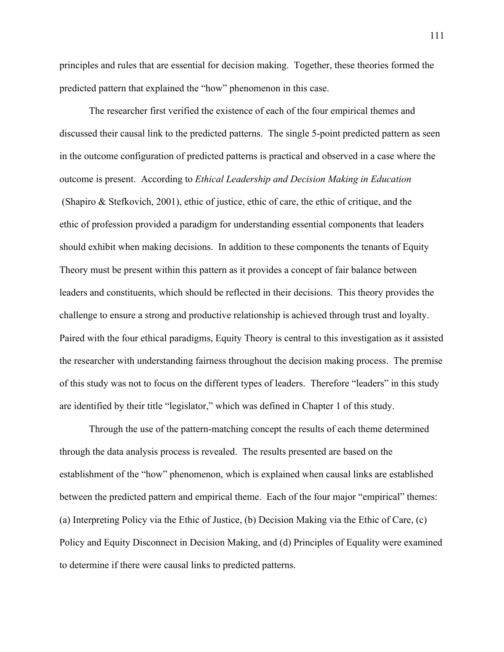principles and rules that are essential for decision making. Together, these theories formed the predicted pattern that explained the "how" phenomenon in this case.

The researcher first verified the existence of each of the four empirical themes and discussed their causal link to the predicted patterns. The single 5-point predicted pattern as seen in the outcome configuration of predicted patterns is practical and observed in a case where the outcome is present. According to *Ethical Leadership and Decision Making in Education* (Shapiro & Stefkovich, 2001), ethic of justice, ethic of care, the ethic of critique, and the ethic of profession provided a paradigm for understanding essential components that leaders should exhibit when making decisions. In addition to these components the tenants of Equity Theory must be present within this pattern as it provides a concept of fair balance between leaders and constituents, which should be reflected in their decisions. This theory provides the challenge to ensure a strong and productive relationship is achieved through trust and loyalty. Paired with the four ethical paradigms, Equity Theory is central to this investigation as it assisted the researcher with understanding fairness throughout the decision making process. The premise of this study was not to focus on the different types of leaders. Therefore "leaders" in this study are identified by their title "legislator," which was defined in Chapter 1 of this study.

Through the use of the pattern-matching concept the results of each theme determined through the data analysis process is revealed. The results presented are based on the establishment of the "how" phenomenon, which is explained when causal links are established between the predicted pattern and empirical theme. Each of the four major "empirical" themes: (a) Interpreting Policy via the Ethic of Justice, (b) Decision Making via the Ethic of Care, (c) Policy and Equity Disconnect in Decision Making, and (d) Principles of Equality were examined to determine if there were causal links to predicted patterns.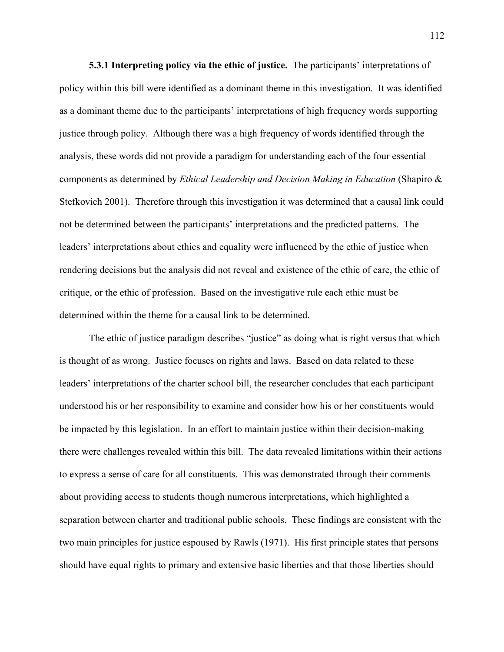**5.3.1 Interpreting policy via the ethic of justice.** The participants' interpretations of policy within this bill were identified as a dominant theme in this investigation.It was identified as a dominant theme due to the participants' interpretations of high frequency words supporting justice through policy. Although there was a high frequency of words identified through the analysis, these words did not provide a paradigm for understanding each of the four essential components as determined by *Ethical Leadership and Decision Making in Education* (Shapiro & Stefkovich 2001). Therefore through this investigation it was determined that a causal link could not be determined between the participants' interpretations and the predicted patterns. The leaders' interpretations about ethics and equality were influenced by the ethic of justice when rendering decisions but the analysis did not reveal and existence of the ethic of care, the ethic of critique, or the ethic of profession. Based on the investigative rule each ethic must be determined within the theme for a causal link to be determined.

The ethic of justice paradigm describes "justice" as doing what is right versus that which is thought of as wrong. Justice focuses on rights and laws. Based on data related to these leaders' interpretations of the charter school bill, the researcher concludes that each participant understood his or her responsibility to examine and consider how his or her constituents would be impacted by this legislation. In an effort to maintain justice within their decision-making there were challenges revealed within this bill. The data revealed limitations within their actions to express a sense of care for all constituents. This was demonstrated through their comments about providing access to students though numerous interpretations, which highlighted a separation between charter and traditional public schools. These findings are consistent with the two main principles for justice espoused by Rawls (1971). His first principle states that persons should have equal rights to primary and extensive basic liberties and that those liberties should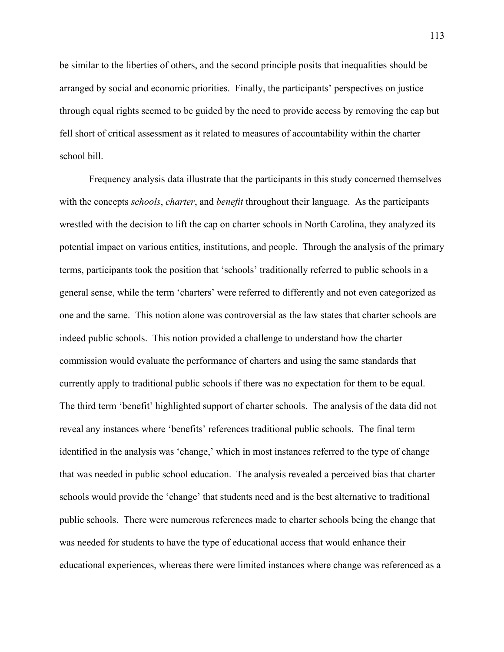be similar to the liberties of others, and the second principle posits that inequalities should be arranged by social and economic priorities. Finally, the participants' perspectives on justice through equal rights seemed to be guided by the need to provide access by removing the cap but fell short of critical assessment as it related to measures of accountability within the charter school bill.

Frequency analysis data illustrate that the participants in this study concerned themselves with the concepts *schools*, *charter*, and *benefit* throughout their language. As the participants wrestled with the decision to lift the cap on charter schools in North Carolina, they analyzed its potential impact on various entities, institutions, and people. Through the analysis of the primary terms, participants took the position that 'schools' traditionally referred to public schools in a general sense, while the term 'charters' were referred to differently and not even categorized as one and the same. This notion alone was controversial as the law states that charter schools are indeed public schools. This notion provided a challenge to understand how the charter commission would evaluate the performance of charters and using the same standards that currently apply to traditional public schools if there was no expectation for them to be equal. The third term 'benefit' highlighted support of charter schools. The analysis of the data did not reveal any instances where 'benefits' references traditional public schools. The final term identified in the analysis was 'change,' which in most instances referred to the type of change that was needed in public school education. The analysis revealed a perceived bias that charter schools would provide the 'change' that students need and is the best alternative to traditional public schools. There were numerous references made to charter schools being the change that was needed for students to have the type of educational access that would enhance their educational experiences, whereas there were limited instances where change was referenced as a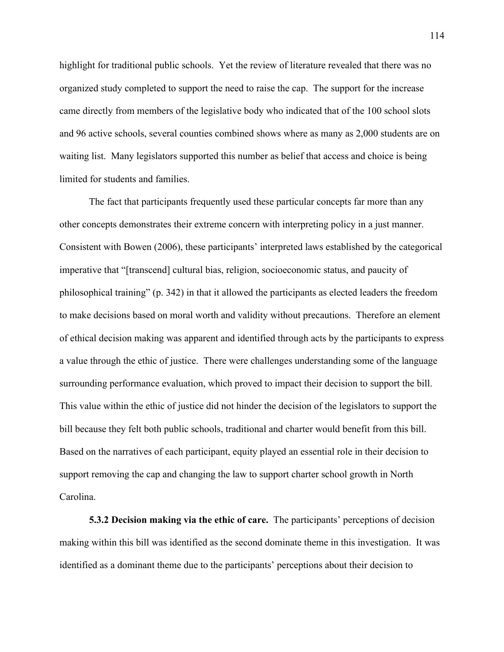highlight for traditional public schools. Yet the review of literature revealed that there was no organized study completed to support the need to raise the cap. The support for the increase came directly from members of the legislative body who indicated that of the 100 school slots and 96 active schools, several counties combined shows where as many as 2,000 students are on waiting list. Many legislators supported this number as belief that access and choice is being limited for students and families.

The fact that participants frequently used these particular concepts far more than any other concepts demonstrates their extreme concern with interpreting policy in a just manner. Consistent with Bowen (2006), these participants' interpreted laws established by the categorical imperative that "[transcend] cultural bias, religion, socioeconomic status, and paucity of philosophical training" (p. 342) in that it allowed the participants as elected leaders the freedom to make decisions based on moral worth and validity without precautions. Therefore an element of ethical decision making was apparent and identified through acts by the participants to express a value through the ethic of justice. There were challenges understanding some of the language surrounding performance evaluation, which proved to impact their decision to support the bill. This value within the ethic of justice did not hinder the decision of the legislators to support the bill because they felt both public schools, traditional and charter would benefit from this bill. Based on the narratives of each participant, equity played an essential role in their decision to support removing the cap and changing the law to support charter school growth in North Carolina.

**5.3.2 Decision making via the ethic of care.** The participants' perceptions of decision making within this bill was identified as the second dominate theme in this investigation. It was identified as a dominant theme due to the participants' perceptions about their decision to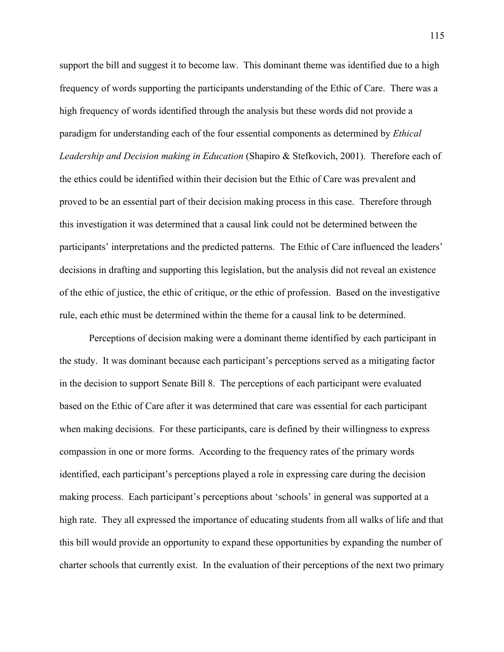support the bill and suggest it to become law. This dominant theme was identified due to a high frequency of words supporting the participants understanding of the Ethic of Care. There was a high frequency of words identified through the analysis but these words did not provide a paradigm for understanding each of the four essential components as determined by *Ethical Leadership and Decision making in Education* (Shapiro & Stefkovich, 2001). Therefore each of the ethics could be identified within their decision but the Ethic of Care was prevalent and proved to be an essential part of their decision making process in this case. Therefore through this investigation it was determined that a causal link could not be determined between the participants' interpretations and the predicted patterns. The Ethic of Care influenced the leaders' decisions in drafting and supporting this legislation, but the analysis did not reveal an existence of the ethic of justice, the ethic of critique, or the ethic of profession. Based on the investigative rule, each ethic must be determined within the theme for a causal link to be determined.

Perceptions of decision making were a dominant theme identified by each participant in the study. It was dominant because each participant's perceptions served as a mitigating factor in the decision to support Senate Bill 8. The perceptions of each participant were evaluated based on the Ethic of Care after it was determined that care was essential for each participant when making decisions. For these participants, care is defined by their willingness to express compassion in one or more forms. According to the frequency rates of the primary words identified, each participant's perceptions played a role in expressing care during the decision making process. Each participant's perceptions about 'schools' in general was supported at a high rate. They all expressed the importance of educating students from all walks of life and that this bill would provide an opportunity to expand these opportunities by expanding the number of charter schools that currently exist. In the evaluation of their perceptions of the next two primary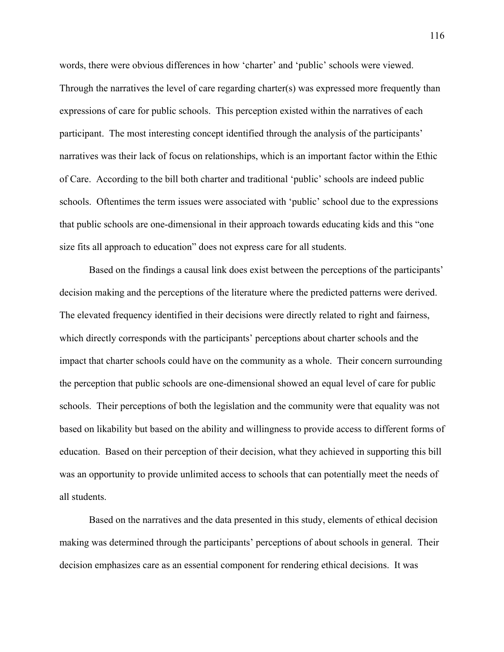words, there were obvious differences in how 'charter' and 'public' schools were viewed. Through the narratives the level of care regarding charter(s) was expressed more frequently than expressions of care for public schools. This perception existed within the narratives of each participant. The most interesting concept identified through the analysis of the participants' narratives was their lack of focus on relationships, which is an important factor within the Ethic of Care. According to the bill both charter and traditional 'public' schools are indeed public schools. Oftentimes the term issues were associated with 'public' school due to the expressions that public schools are one-dimensional in their approach towards educating kids and this "one size fits all approach to education" does not express care for all students.

Based on the findings a causal link does exist between the perceptions of the participants' decision making and the perceptions of the literature where the predicted patterns were derived. The elevated frequency identified in their decisions were directly related to right and fairness, which directly corresponds with the participants' perceptions about charter schools and the impact that charter schools could have on the community as a whole. Their concern surrounding the perception that public schools are one-dimensional showed an equal level of care for public schools. Their perceptions of both the legislation and the community were that equality was not based on likability but based on the ability and willingness to provide access to different forms of education. Based on their perception of their decision, what they achieved in supporting this bill was an opportunity to provide unlimited access to schools that can potentially meet the needs of all students.

Based on the narratives and the data presented in this study, elements of ethical decision making was determined through the participants' perceptions of about schools in general. Their decision emphasizes care as an essential component for rendering ethical decisions. It was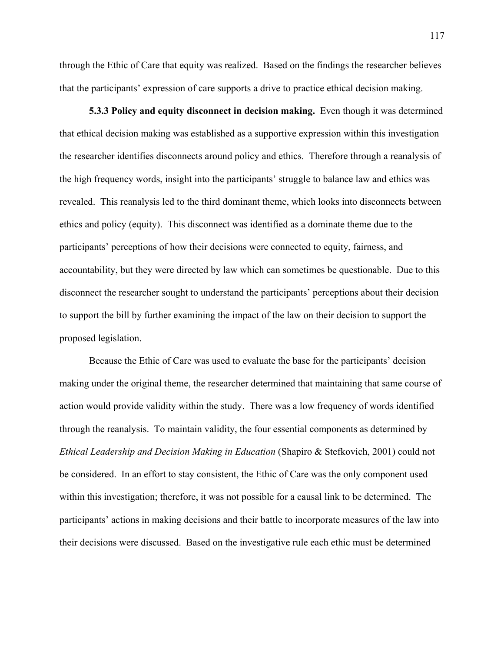through the Ethic of Care that equity was realized. Based on the findings the researcher believes that the participants' expression of care supports a drive to practice ethical decision making.

**5.3.3 Policy and equity disconnect in decision making.** Even though it was determined that ethical decision making was established as a supportive expression within this investigation the researcher identifies disconnects around policy and ethics. Therefore through a reanalysis of the high frequency words, insight into the participants' struggle to balance law and ethics was revealed. This reanalysis led to the third dominant theme, which looks into disconnects between ethics and policy (equity). This disconnect was identified as a dominate theme due to the participants' perceptions of how their decisions were connected to equity, fairness, and accountability, but they were directed by law which can sometimes be questionable. Due to this disconnect the researcher sought to understand the participants' perceptions about their decision to support the bill by further examining the impact of the law on their decision to support the proposed legislation.

Because the Ethic of Care was used to evaluate the base for the participants' decision making under the original theme, the researcher determined that maintaining that same course of action would provide validity within the study. There was a low frequency of words identified through the reanalysis. To maintain validity, the four essential components as determined by *Ethical Leadership and Decision Making in Education* (Shapiro & Stefkovich, 2001) could not be considered. In an effort to stay consistent, the Ethic of Care was the only component used within this investigation; therefore, it was not possible for a causal link to be determined. The participants' actions in making decisions and their battle to incorporate measures of the law into their decisions were discussed. Based on the investigative rule each ethic must be determined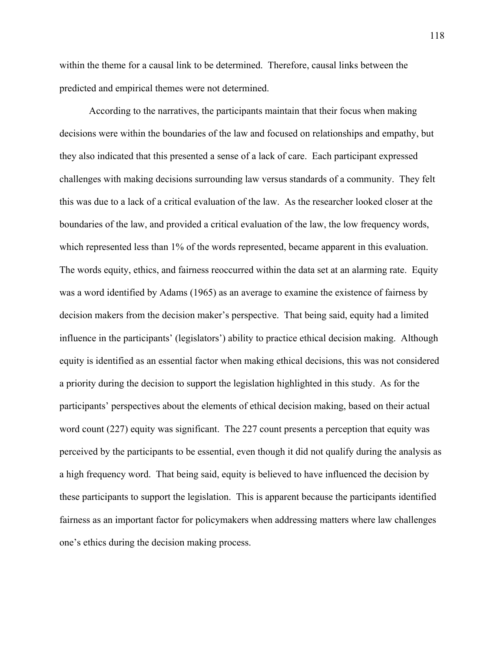within the theme for a causal link to be determined. Therefore, causal links between the predicted and empirical themes were not determined.

According to the narratives, the participants maintain that their focus when making decisions were within the boundaries of the law and focused on relationships and empathy, but they also indicated that this presented a sense of a lack of care. Each participant expressed challenges with making decisions surrounding law versus standards of a community. They felt this was due to a lack of a critical evaluation of the law. As the researcher looked closer at the boundaries of the law, and provided a critical evaluation of the law, the low frequency words, which represented less than 1% of the words represented, became apparent in this evaluation. The words equity, ethics, and fairness reoccurred within the data set at an alarming rate. Equity was a word identified by Adams (1965) as an average to examine the existence of fairness by decision makers from the decision maker's perspective. That being said, equity had a limited influence in the participants' (legislators') ability to practice ethical decision making. Although equity is identified as an essential factor when making ethical decisions, this was not considered a priority during the decision to support the legislation highlighted in this study. As for the participants' perspectives about the elements of ethical decision making, based on their actual word count (227) equity was significant. The 227 count presents a perception that equity was perceived by the participants to be essential, even though it did not qualify during the analysis as a high frequency word. That being said, equity is believed to have influenced the decision by these participants to support the legislation. This is apparent because the participants identified fairness as an important factor for policymakers when addressing matters where law challenges one's ethics during the decision making process.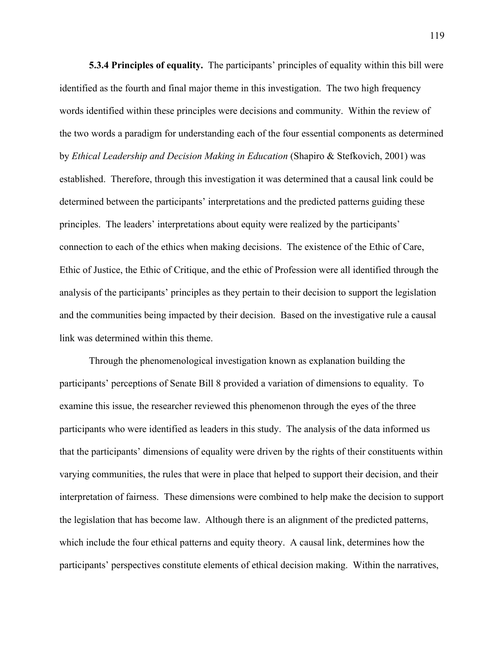**5.3.4 Principles of equality.** The participants' principles of equality within this bill were identified as the fourth and final major theme in this investigation.The two high frequency words identified within these principles were decisions and community. Within the review of the two words a paradigm for understanding each of the four essential components as determined by *Ethical Leadership and Decision Making in Education* (Shapiro & Stefkovich, 2001) was established. Therefore, through this investigation it was determined that a causal link could be determined between the participants' interpretations and the predicted patterns guiding these principles. The leaders' interpretations about equity were realized by the participants' connection to each of the ethics when making decisions. The existence of the Ethic of Care, Ethic of Justice, the Ethic of Critique, and the ethic of Profession were all identified through the analysis of the participants' principles as they pertain to their decision to support the legislation and the communities being impacted by their decision. Based on the investigative rule a causal link was determined within this theme.

Through the phenomenological investigation known as explanation building the participants' perceptions of Senate Bill 8 provided a variation of dimensions to equality. To examine this issue, the researcher reviewed this phenomenon through the eyes of the three participants who were identified as leaders in this study. The analysis of the data informed us that the participants' dimensions of equality were driven by the rights of their constituents within varying communities, the rules that were in place that helped to support their decision, and their interpretation of fairness. These dimensions were combined to help make the decision to support the legislation that has become law. Although there is an alignment of the predicted patterns, which include the four ethical patterns and equity theory. A causal link, determines how the participants' perspectives constitute elements of ethical decision making. Within the narratives,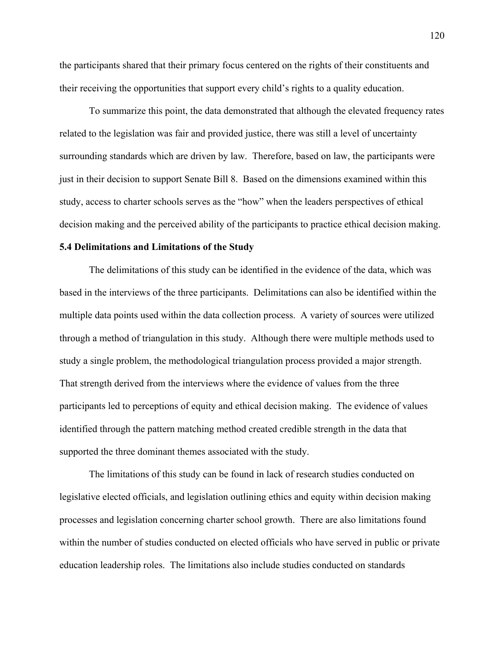the participants shared that their primary focus centered on the rights of their constituents and their receiving the opportunities that support every child's rights to a quality education.

To summarize this point, the data demonstrated that although the elevated frequency rates related to the legislation was fair and provided justice, there was still a level of uncertainty surrounding standards which are driven by law. Therefore, based on law, the participants were just in their decision to support Senate Bill 8. Based on the dimensions examined within this study, access to charter schools serves as the "how" when the leaders perspectives of ethical decision making and the perceived ability of the participants to practice ethical decision making.

# **5.4 Delimitations and Limitations of the Study**

The delimitations of this study can be identified in the evidence of the data, which was based in the interviews of the three participants. Delimitations can also be identified within the multiple data points used within the data collection process. A variety of sources were utilized through a method of triangulation in this study. Although there were multiple methods used to study a single problem, the methodological triangulation process provided a major strength. That strength derived from the interviews where the evidence of values from the three participants led to perceptions of equity and ethical decision making. The evidence of values identified through the pattern matching method created credible strength in the data that supported the three dominant themes associated with the study.

The limitations of this study can be found in lack of research studies conducted on legislative elected officials, and legislation outlining ethics and equity within decision making processes and legislation concerning charter school growth. There are also limitations found within the number of studies conducted on elected officials who have served in public or private education leadership roles. The limitations also include studies conducted on standards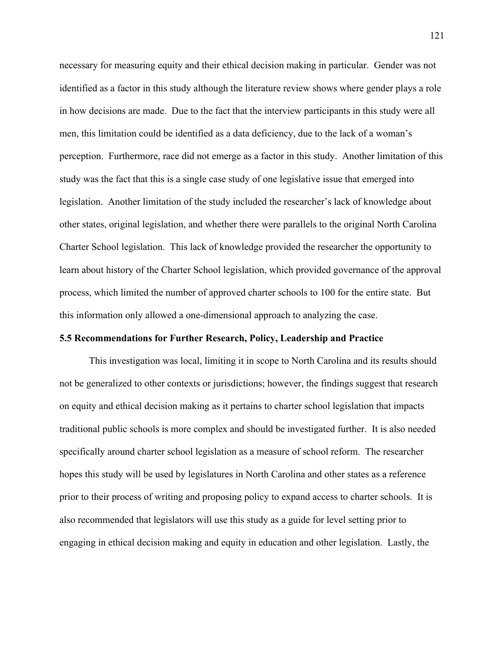necessary for measuring equity and their ethical decision making in particular. Gender was not identified as a factor in this study although the literature review shows where gender plays a role in how decisions are made. Due to the fact that the interview participants in this study were all men, this limitation could be identified as a data deficiency, due to the lack of a woman's perception. Furthermore, race did not emerge as a factor in this study. Another limitation of this study was the fact that this is a single case study of one legislative issue that emerged into legislation. Another limitation of the study included the researcher's lack of knowledge about other states, original legislation, and whether there were parallels to the original North Carolina Charter School legislation. This lack of knowledge provided the researcher the opportunity to learn about history of the Charter School legislation, which provided governance of the approval process, which limited the number of approved charter schools to 100 for the entire state. But this information only allowed a one-dimensional approach to analyzing the case.

### **5.5 Recommendations for Further Research, Policy, Leadership and Practice**

This investigation was local, limiting it in scope to North Carolina and its results should not be generalized to other contexts or jurisdictions; however, the findings suggest that research on equity and ethical decision making as it pertains to charter school legislation that impacts traditional public schools is more complex and should be investigated further. It is also needed specifically around charter school legislation as a measure of school reform. The researcher hopes this study will be used by legislatures in North Carolina and other states as a reference prior to their process of writing and proposing policy to expand access to charter schools. It is also recommended that legislators will use this study as a guide for level setting prior to engaging in ethical decision making and equity in education and other legislation. Lastly, the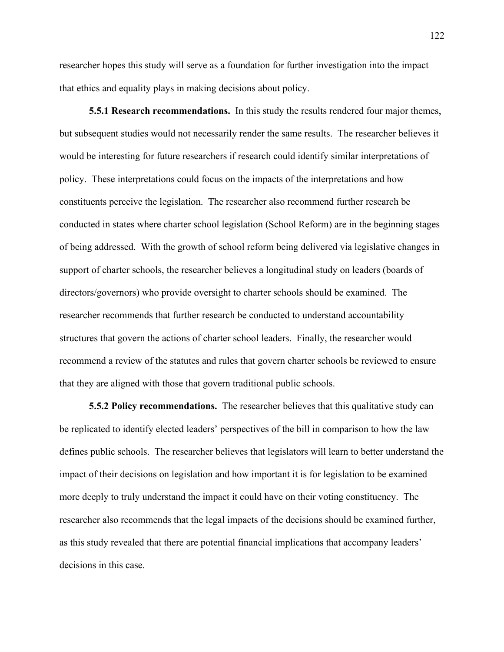researcher hopes this study will serve as a foundation for further investigation into the impact that ethics and equality plays in making decisions about policy.

**5.5.1 Research recommendations.** In this study the results rendered four major themes, but subsequent studies would not necessarily render the same results. The researcher believes it would be interesting for future researchers if research could identify similar interpretations of policy. These interpretations could focus on the impacts of the interpretations and how constituents perceive the legislation. The researcher also recommend further research be conducted in states where charter school legislation (School Reform) are in the beginning stages of being addressed. With the growth of school reform being delivered via legislative changes in support of charter schools, the researcher believes a longitudinal study on leaders (boards of directors/governors) who provide oversight to charter schools should be examined. The researcher recommends that further research be conducted to understand accountability structures that govern the actions of charter school leaders. Finally, the researcher would recommend a review of the statutes and rules that govern charter schools be reviewed to ensure that they are aligned with those that govern traditional public schools.

**5.5.2 Policy recommendations.** The researcher believes that this qualitative study can be replicated to identify elected leaders' perspectives of the bill in comparison to how the law defines public schools. The researcher believes that legislators will learn to better understand the impact of their decisions on legislation and how important it is for legislation to be examined more deeply to truly understand the impact it could have on their voting constituency. The researcher also recommends that the legal impacts of the decisions should be examined further, as this study revealed that there are potential financial implications that accompany leaders' decisions in this case.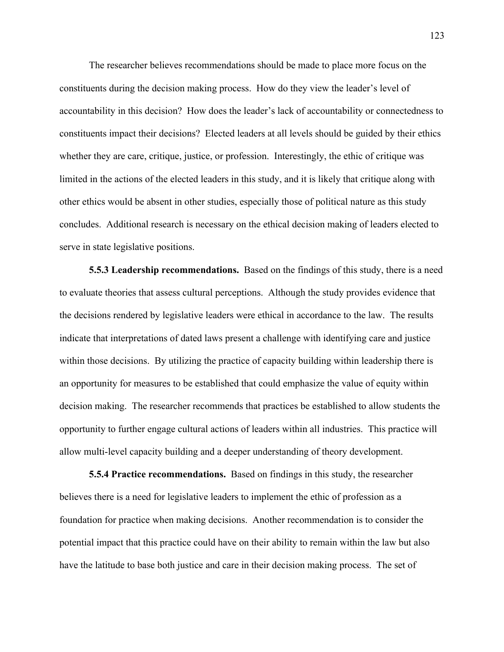The researcher believes recommendations should be made to place more focus on the constituents during the decision making process. How do they view the leader's level of accountability in this decision? How does the leader's lack of accountability or connectedness to constituents impact their decisions? Elected leaders at all levels should be guided by their ethics whether they are care, critique, justice, or profession. Interestingly, the ethic of critique was limited in the actions of the elected leaders in this study, and it is likely that critique along with other ethics would be absent in other studies, especially those of political nature as this study concludes. Additional research is necessary on the ethical decision making of leaders elected to serve in state legislative positions.

**5.5.3 Leadership recommendations.** Based on the findings of this study, there is a need to evaluate theories that assess cultural perceptions. Although the study provides evidence that the decisions rendered by legislative leaders were ethical in accordance to the law. The results indicate that interpretations of dated laws present a challenge with identifying care and justice within those decisions. By utilizing the practice of capacity building within leadership there is an opportunity for measures to be established that could emphasize the value of equity within decision making. The researcher recommends that practices be established to allow students the opportunity to further engage cultural actions of leaders within all industries. This practice will allow multi-level capacity building and a deeper understanding of theory development.

**5.5.4 Practice recommendations.** Based on findings in this study, the researcher believes there is a need for legislative leaders to implement the ethic of profession as a foundation for practice when making decisions. Another recommendation is to consider the potential impact that this practice could have on their ability to remain within the law but also have the latitude to base both justice and care in their decision making process. The set of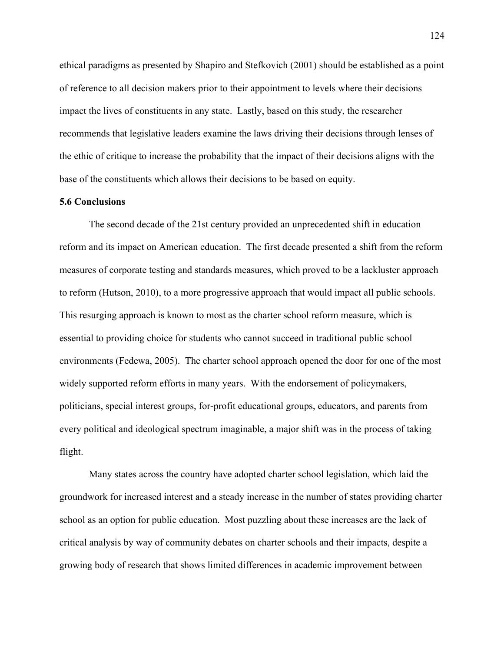ethical paradigms as presented by Shapiro and Stefkovich (2001) should be established as a point of reference to all decision makers prior to their appointment to levels where their decisions impact the lives of constituents in any state. Lastly, based on this study, the researcher recommends that legislative leaders examine the laws driving their decisions through lenses of the ethic of critique to increase the probability that the impact of their decisions aligns with the base of the constituents which allows their decisions to be based on equity.

# **5.6 Conclusions**

The second decade of the 21st century provided an unprecedented shift in education reform and its impact on American education. The first decade presented a shift from the reform measures of corporate testing and standards measures, which proved to be a lackluster approach to reform (Hutson, 2010), to a more progressive approach that would impact all public schools. This resurging approach is known to most as the charter school reform measure, which is essential to providing choice for students who cannot succeed in traditional public school environments (Fedewa, 2005). The charter school approach opened the door for one of the most widely supported reform efforts in many years. With the endorsement of policymakers, politicians, special interest groups, for-profit educational groups, educators, and parents from every political and ideological spectrum imaginable, a major shift was in the process of taking flight.

Many states across the country have adopted charter school legislation, which laid the groundwork for increased interest and a steady increase in the number of states providing charter school as an option for public education. Most puzzling about these increases are the lack of critical analysis by way of community debates on charter schools and their impacts, despite a growing body of research that shows limited differences in academic improvement between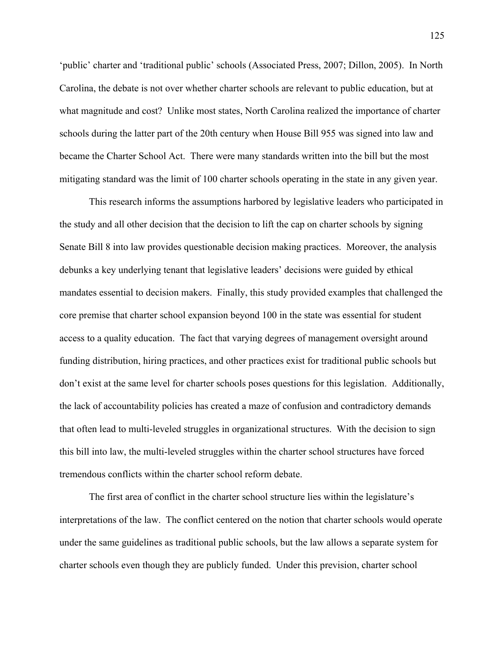'public' charter and 'traditional public' schools (Associated Press, 2007; Dillon, 2005). In North Carolina, the debate is not over whether charter schools are relevant to public education, but at what magnitude and cost? Unlike most states, North Carolina realized the importance of charter schools during the latter part of the 20th century when House Bill 955 was signed into law and became the Charter School Act. There were many standards written into the bill but the most mitigating standard was the limit of 100 charter schools operating in the state in any given year.

This research informs the assumptions harbored by legislative leaders who participated in the study and all other decision that the decision to lift the cap on charter schools by signing Senate Bill 8 into law provides questionable decision making practices. Moreover, the analysis debunks a key underlying tenant that legislative leaders' decisions were guided by ethical mandates essential to decision makers. Finally, this study provided examples that challenged the core premise that charter school expansion beyond 100 in the state was essential for student access to a quality education. The fact that varying degrees of management oversight around funding distribution, hiring practices, and other practices exist for traditional public schools but don't exist at the same level for charter schools poses questions for this legislation. Additionally, the lack of accountability policies has created a maze of confusion and contradictory demands that often lead to multi-leveled struggles in organizational structures. With the decision to sign this bill into law, the multi-leveled struggles within the charter school structures have forced tremendous conflicts within the charter school reform debate.

The first area of conflict in the charter school structure lies within the legislature's interpretations of the law. The conflict centered on the notion that charter schools would operate under the same guidelines as traditional public schools, but the law allows a separate system for charter schools even though they are publicly funded. Under this prevision, charter school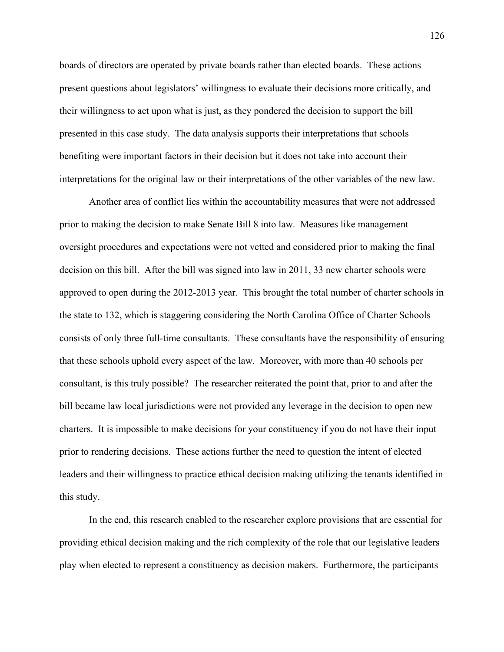boards of directors are operated by private boards rather than elected boards. These actions present questions about legislators' willingness to evaluate their decisions more critically, and their willingness to act upon what is just, as they pondered the decision to support the bill presented in this case study. The data analysis supports their interpretations that schools benefiting were important factors in their decision but it does not take into account their interpretations for the original law or their interpretations of the other variables of the new law.

Another area of conflict lies within the accountability measures that were not addressed prior to making the decision to make Senate Bill 8 into law. Measures like management oversight procedures and expectations were not vetted and considered prior to making the final decision on this bill. After the bill was signed into law in 2011, 33 new charter schools were approved to open during the 2012-2013 year. This brought the total number of charter schools in the state to 132, which is staggering considering the North Carolina Office of Charter Schools consists of only three full-time consultants. These consultants have the responsibility of ensuring that these schools uphold every aspect of the law. Moreover, with more than 40 schools per consultant, is this truly possible? The researcher reiterated the point that, prior to and after the bill became law local jurisdictions were not provided any leverage in the decision to open new charters. It is impossible to make decisions for your constituency if you do not have their input prior to rendering decisions. These actions further the need to question the intent of elected leaders and their willingness to practice ethical decision making utilizing the tenants identified in this study.

In the end, this research enabled to the researcher explore provisions that are essential for providing ethical decision making and the rich complexity of the role that our legislative leaders play when elected to represent a constituency as decision makers. Furthermore, the participants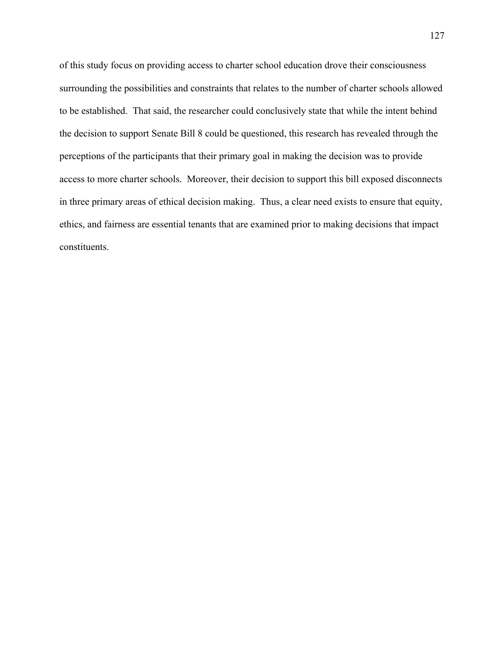of this study focus on providing access to charter school education drove their consciousness surrounding the possibilities and constraints that relates to the number of charter schools allowed to be established. That said, the researcher could conclusively state that while the intent behind the decision to support Senate Bill 8 could be questioned, this research has revealed through the perceptions of the participants that their primary goal in making the decision was to provide access to more charter schools. Moreover, their decision to support this bill exposed disconnects in three primary areas of ethical decision making. Thus, a clear need exists to ensure that equity, ethics, and fairness are essential tenants that are examined prior to making decisions that impact constituents.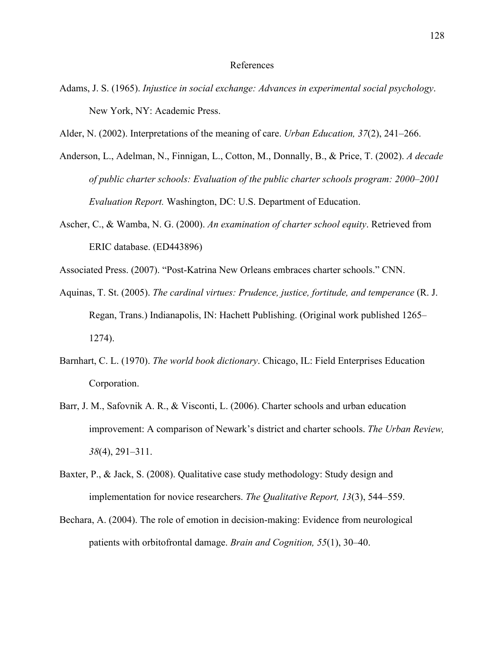### References

- Adams, J. S. (1965). *Injustice in social exchange: Advances in experimental social psychology*. New York, NY: Academic Press.
- Alder, N. (2002). Interpretations of the meaning of care. *Urban Education, 37*(2), 241–266.
- Anderson, L., Adelman, N., Finnigan, L., Cotton, M., Donnally, B., & Price, T. (2002). *A decade of public charter schools: Evaluation of the public charter schools program: 2000–2001 Evaluation Report.* Washington, DC: U.S. Department of Education.
- Ascher, C., & Wamba, N. G. (2000). *An examination of charter school equity*. Retrieved from ERIC database. (ED443896)
- Associated Press. (2007). "Post-Katrina New Orleans embraces charter schools." CNN.
- Aquinas, T. St. (2005). *The cardinal virtues: Prudence, justice, fortitude, and temperance* (R. J. Regan, Trans.) Indianapolis, IN: Hachett Publishing. (Original work published 1265– 1274).
- Barnhart, C. L. (1970). *The world book dictionary*. Chicago, IL: Field Enterprises Education Corporation.
- Barr, J. M., Safovnik A. R., & Visconti, L. (2006). Charter schools and urban education improvement: A comparison of Newark's district and charter schools. *The Urban Review, 38*(4), 291–311.
- Baxter, P., & Jack, S. (2008). Qualitative case study methodology: Study design and implementation for novice researchers. *The Qualitative Report, 13*(3), 544–559.
- Bechara, A. (2004). The role of emotion in decision-making: Evidence from neurological patients with orbitofrontal damage. *Brain and Cognition, 55*(1), 30–40.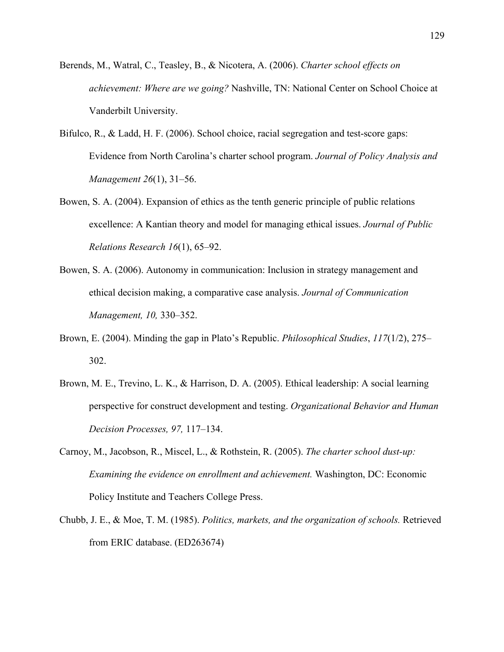- Berends, M., Watral, C., Teasley, B., & Nicotera, A. (2006). *Charter school effects on achievement: Where are we going?* Nashville, TN: National Center on School Choice at Vanderbilt University.
- Bifulco, R., & Ladd, H. F. (2006). School choice, racial segregation and test-score gaps: Evidence from North Carolina's charter school program. *Journal of Policy Analysis and Management 26*(1), 31–56.
- Bowen, S. A. (2004). Expansion of ethics as the tenth generic principle of public relations excellence: A Kantian theory and model for managing ethical issues. *Journal of Public Relations Research 16*(1), 65–92.
- Bowen, S. A. (2006). Autonomy in communication: Inclusion in strategy management and ethical decision making, a comparative case analysis. *Journal of Communication Management, 10,* 330–352.
- Brown, E. (2004). Minding the gap in Plato's Republic. *Philosophical Studies*, *117*(1/2), 275– 302.
- Brown, M. E., Trevino, L. K., & Harrison, D. A. (2005). Ethical leadership: A social learning perspective for construct development and testing. *Organizational Behavior and Human Decision Processes, 97,* 117–134.
- Carnoy, M., Jacobson, R., Miscel, L., & Rothstein, R. (2005). *The charter school dust-up: Examining the evidence on enrollment and achievement.* Washington, DC: Economic Policy Institute and Teachers College Press.
- Chubb, J. E., & Moe, T. M. (1985). *Politics, markets, and the organization of schools.* Retrieved from ERIC database. (ED263674)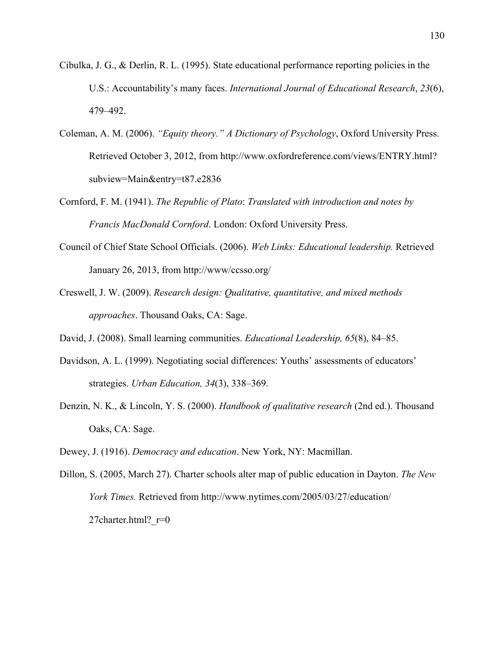- Cibulka, J. G., & Derlin, R. L. (1995). State educational performance reporting policies in the U.S.: Accountability's many faces. *International Journal of Educational Research*, *23*(6), 479–492.
- Coleman, A. M. (2006). *"Equity theory." A Dictionary of Psychology*, Oxford University Press. Retrieved October 3, 2012, from http://www.oxfordreference.com/views/ENTRY.html? subview=Main&entry=t87.e2836
- Cornford, F. M. (1941). *The Republic of Plato*: *Translated with introduction and notes by Francis MacDonald Cornford*. London: Oxford University Press.
- Council of Chief State School Officials. (2006). *Web Links: Educational leadership.* Retrieved January 26, 2013, from http://www/ccsso.org/
- Creswell, J. W. (2009). *Research design: Qualitative, quantitative, and mixed methods approaches*. Thousand Oaks, CA: Sage.
- David, J. (2008). Small learning communities. *Educational Leadership, 65*(8), 84–85.
- Davidson, A. L. (1999). Negotiating social differences: Youths' assessments of educators' strategies. *Urban Education, 34*(3), 338–369.
- Denzin, N. K., & Lincoln, Y. S. (2000). *Handbook of qualitative research* (2nd ed.). Thousand Oaks, CA: Sage.
- Dewey, J. (1916). *Democracy and education*. New York, NY: Macmillan.
- Dillon, S. (2005, March 27). Charter schools alter map of public education in Dayton. *The New York Times.* Retrieved from http://www.nytimes.com/2005/03/27/education/ 27charter.html? $r=0$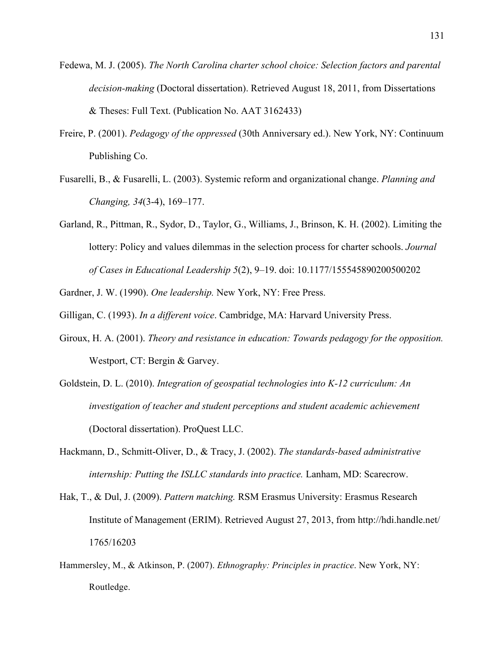- Fedewa, M. J. (2005). *The North Carolina charter school choice: Selection factors and parental decision-making* (Doctoral dissertation). Retrieved August 18, 2011, from Dissertations & Theses: Full Text. (Publication No. AAT 3162433)
- Freire, P. (2001). *Pedagogy of the oppressed* (30th Anniversary ed.). New York, NY: Continuum Publishing Co.
- Fusarelli, B., & Fusarelli, L. (2003). Systemic reform and organizational change. *Planning and Changing, 34*(3-4), 169–177.
- Garland, R., Pittman, R., Sydor, D., Taylor, G., Williams, J., Brinson, K. H. (2002). Limiting the lottery: Policy and values dilemmas in the selection process for charter schools. *Journal of Cases in Educational Leadership 5*(2), 9–19. doi: 10.1177/155545890200500202

Gardner, J. W. (1990). *One leadership.* New York, NY: Free Press.

Gilligan, C. (1993). *In a different voice*. Cambridge, MA: Harvard University Press.

- Giroux, H. A. (2001). *Theory and resistance in education: Towards pedagogy for the opposition.*  Westport, CT: Bergin & Garvey.
- Goldstein, D. L. (2010). *Integration of geospatial technologies into K-12 curriculum: An investigation of teacher and student perceptions and student academic achievement*  (Doctoral dissertation). ProQuest LLC.
- Hackmann, D., Schmitt-Oliver, D., & Tracy, J. (2002). *The standards-based administrative internship: Putting the ISLLC standards into practice.* Lanham, MD: Scarecrow.
- Hak, T., & Dul, J. (2009). *Pattern matching.* RSM Erasmus University: Erasmus Research Institute of Management (ERIM). Retrieved August 27, 2013, from http://hdi.handle.net/ 1765/16203
- Hammersley, M., & Atkinson, P. (2007). *Ethnography: Principles in practice*. New York, NY: Routledge.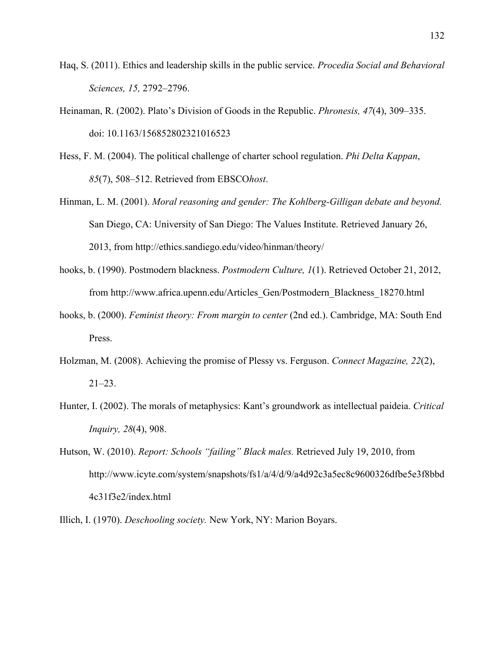- Haq, S. (2011). Ethics and leadership skills in the public service. *Procedia Social and Behavioral Sciences, 15,* 2792–2796.
- Heinaman, R. (2002). Plato's Division of Goods in the Republic. *Phronesis, 47*(4), 309–335. doi: 10.1163/156852802321016523
- Hess, F. M. (2004). The political challenge of charter school regulation. *Phi Delta Kappan*, *85*(7), 508–512. Retrieved from EBSCO*host*.
- Hinman, L. M. (2001). *Moral reasoning and gender: The Kohlberg-Gilligan debate and beyond.*  San Diego, CA: University of San Diego: The Values Institute. Retrieved January 26, 2013, from http://ethics.sandiego.edu/video/hinman/theory/
- hooks, b. (1990). Postmodern blackness. *Postmodern Culture, 1*(1). Retrieved October 21, 2012, from http://www.africa.upenn.edu/Articles\_Gen/Postmodern\_Blackness\_18270.html
- hooks, b. (2000). *Feminist theory: From margin to center* (2nd ed.). Cambridge, MA: South End Press.
- Holzman, M. (2008). Achieving the promise of Plessy vs. Ferguson. *Connect Magazine, 22*(2), 21–23.
- Hunter, I. (2002). The morals of metaphysics: Kant's groundwork as intellectual paideia. *Critical Inquiry, 28*(4), 908.
- Hutson, W. (2010). *Report: Schools "failing" Black males.* Retrieved July 19, 2010, from http://www.icyte.com/system/snapshots/fs1/a/4/d/9/a4d92c3a5ec8c9600326dfbe5e3f8bbd 4c31f3e2/index.html
- Illich, I. (1970). *Deschooling society.* New York, NY: Marion Boyars.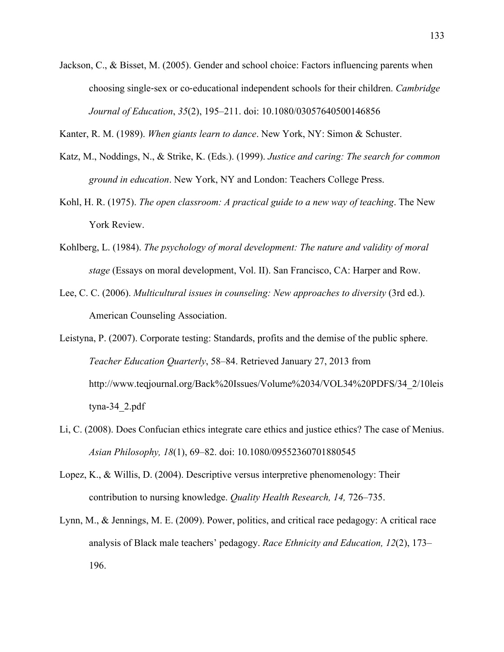Jackson, C., & Bisset, M. (2005). Gender and school choice: Factors influencing parents when choosing single-sex or co-educational independent schools for their children. *Cambridge Journal of Education*, *35*(2), 195–211. doi: 10.1080/03057640500146856

Kanter, R. M. (1989). *When giants learn to dance*. New York, NY: Simon & Schuster.

- Katz, M., Noddings, N., & Strike, K. (Eds.). (1999). *Justice and caring: The search for common ground in education*. New York, NY and London: Teachers College Press.
- Kohl, H. R. (1975). *The open classroom: A practical guide to a new way of teaching*. The New York Review.
- Kohlberg, L. (1984). *The psychology of moral development: The nature and validity of moral stage* (Essays on moral development, Vol. II). San Francisco, CA: Harper and Row.
- Lee, C. C. (2006). *Multicultural issues in counseling: New approaches to diversity* (3rd ed.). American Counseling Association.
- Leistyna, P. (2007). Corporate testing: Standards, profits and the demise of the public sphere. *Teacher Education Quarterly*, 58–84. Retrieved January 27, 2013 from http://www.teqjournal.org/Back%20Issues/Volume%2034/VOL34%20PDFS/34\_2/10leis tyna-34\_2.pdf
- Li, C. (2008). Does Confucian ethics integrate care ethics and justice ethics? The case of Menius. *Asian Philosophy, 18*(1), 69–82. doi: 10.1080/09552360701880545
- Lopez, K., & Willis, D. (2004). Descriptive versus interpretive phenomenology: Their contribution to nursing knowledge. *Quality Health Research, 14,* 726–735.
- Lynn, M., & Jennings, M. E. (2009). Power, politics, and critical race pedagogy: A critical race analysis of Black male teachers' pedagogy. *Race Ethnicity and Education, 12*(2), 173– 196.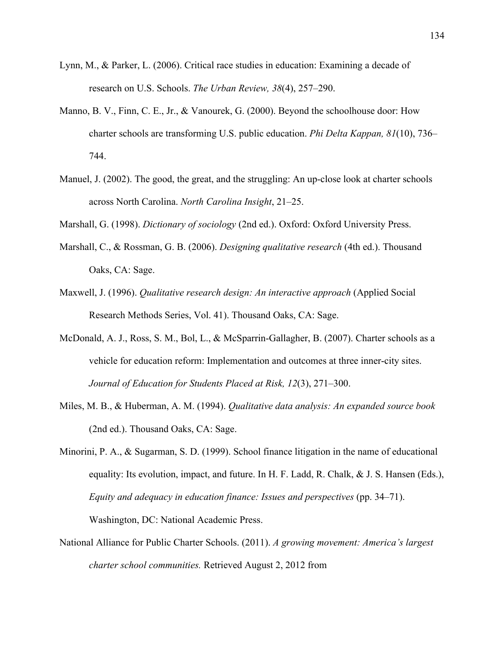- Lynn, M., & Parker, L. (2006). Critical race studies in education: Examining a decade of research on U.S. Schools. *The Urban Review, 38*(4), 257–290.
- Manno, B. V., Finn, C. E., Jr., & Vanourek, G. (2000). Beyond the schoolhouse door: How charter schools are transforming U.S. public education. *Phi Delta Kappan, 81*(10), 736– 744.
- Manuel, J. (2002). The good, the great, and the struggling: An up-close look at charter schools across North Carolina. *North Carolina Insight*, 21–25.

Marshall, G. (1998). *Dictionary of sociology* (2nd ed.). Oxford: Oxford University Press.

- Marshall, C., & Rossman, G. B. (2006). *Designing qualitative research* (4th ed.). Thousand Oaks, CA: Sage.
- Maxwell, J. (1996). *Qualitative research design: An interactive approach* (Applied Social Research Methods Series, Vol. 41). Thousand Oaks, CA: Sage.
- McDonald, A. J., Ross, S. M., Bol, L., & McSparrin-Gallagher, B. (2007). Charter schools as a vehicle for education reform: Implementation and outcomes at three inner-city sites. *Journal of Education for Students Placed at Risk, 12*(3), 271–300.
- Miles, M. B., & Huberman, A. M. (1994). *Qualitative data analysis: An expanded source book* (2nd ed.). Thousand Oaks, CA: Sage.
- Minorini, P. A., & Sugarman, S. D. (1999). School finance litigation in the name of educational equality: Its evolution, impact, and future. In H. F. Ladd, R. Chalk,  $\&$  J. S. Hansen (Eds.), *Equity and adequacy in education finance: Issues and perspectives* (pp. 34–71). Washington, DC: National Academic Press.
- National Alliance for Public Charter Schools. (2011). *A growing movement: America's largest charter school communities.* Retrieved August 2, 2012 from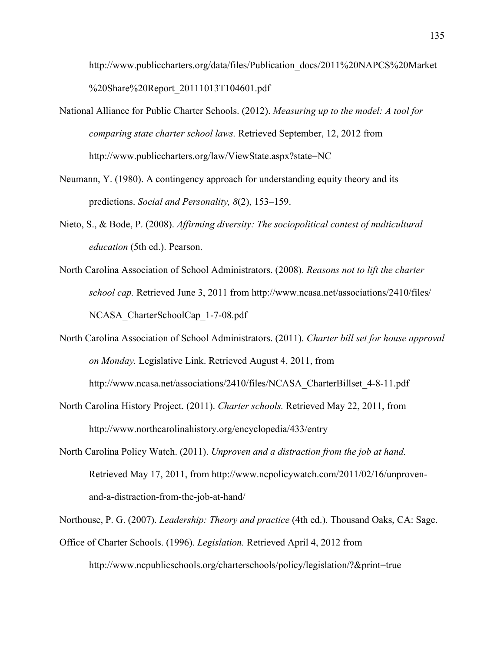http://www.publiccharters.org/data/files/Publication\_docs/2011%20NAPCS%20Market %20Share%20Report\_20111013T104601.pdf

- National Alliance for Public Charter Schools. (2012). *Measuring up to the model: A tool for comparing state charter school laws.* Retrieved September, 12, 2012 from http://www.publiccharters.org/law/ViewState.aspx?state=NC
- Neumann, Y. (1980). A contingency approach for understanding equity theory and its predictions. *Social and Personality, 8*(2), 153–159.
- Nieto, S., & Bode, P. (2008). *Affirming diversity: The sociopolitical contest of multicultural education* (5th ed.). Pearson.
- North Carolina Association of School Administrators. (2008). *Reasons not to lift the charter school cap.* Retrieved June 3, 2011 from http://www.ncasa.net/associations/2410/files/ NCASA\_CharterSchoolCap\_1-7-08.pdf
- North Carolina Association of School Administrators. (2011). *Charter bill set for house approval on Monday.* Legislative Link. Retrieved August 4, 2011, from http://www.ncasa.net/associations/2410/files/NCASA\_CharterBillset\_4-8-11.pdf
- North Carolina History Project. (2011). *Charter schools.* Retrieved May 22, 2011, from http://www.northcarolinahistory.org/encyclopedia/433/entry
- North Carolina Policy Watch. (2011). *Unproven and a distraction from the job at hand.*  Retrieved May 17, 2011, from http://www.ncpolicywatch.com/2011/02/16/unprovenand-a-distraction-from-the-job-at-hand/

Northouse, P. G. (2007). *Leadership: Theory and practice* (4th ed.). Thousand Oaks, CA: Sage. Office of Charter Schools. (1996). *Legislation.* Retrieved April 4, 2012 from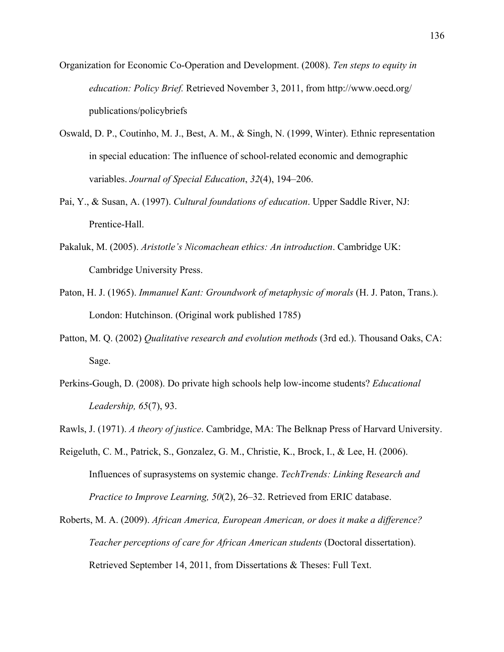- Organization for Economic Co-Operation and Development. (2008). *Ten steps to equity in education: Policy Brief.* Retrieved November 3, 2011, from http://www.oecd.org/ publications/policybriefs
- Oswald, D. P., Coutinho, M. J., Best, A. M., & Singh, N. (1999, Winter). Ethnic representation in special education: The influence of school-related economic and demographic variables. *Journal of Special Education*, *32*(4), 194–206.
- Pai, Y., & Susan, A. (1997). *Cultural foundations of education*. Upper Saddle River, NJ: Prentice-Hall.
- Pakaluk, M. (2005). *Aristotle's Nicomachean ethics: An introduction*. Cambridge UK: Cambridge University Press.
- Paton, H. J. (1965). *Immanuel Kant: Groundwork of metaphysic of morals* (H. J. Paton, Trans.). London: Hutchinson. (Original work published 1785)
- Patton, M. Q. (2002) *Qualitative research and evolution methods* (3rd ed.). Thousand Oaks, CA: Sage.
- Perkins-Gough, D. (2008). Do private high schools help low-income students? *Educational Leadership, 65*(7), 93.
- Rawls, J. (1971). *A theory of justice*. Cambridge, MA: The Belknap Press of Harvard University.
- Reigeluth, C. M., Patrick, S., Gonzalez, G. M., Christie, K., Brock, I., & Lee, H. (2006). Influences of suprasystems on systemic change. *TechTrends: Linking Research and Practice to Improve Learning, 50*(2), 26–32. Retrieved from ERIC database.
- Roberts, M. A. (2009). *African America, European American, or does it make a difference? Teacher perceptions of care for African American students* (Doctoral dissertation). Retrieved September 14, 2011, from Dissertations & Theses: Full Text.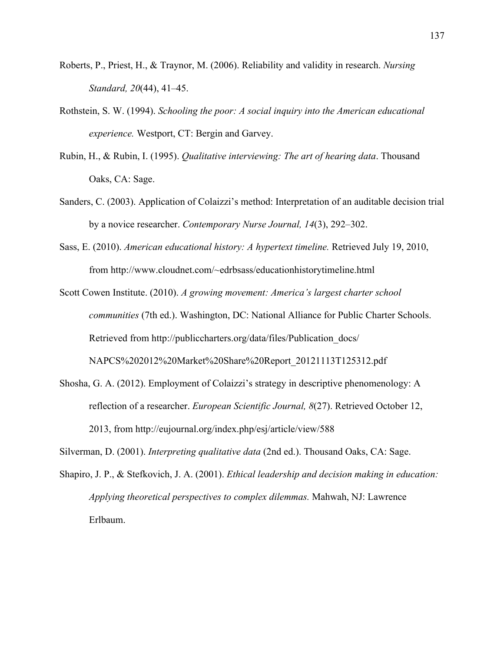- Roberts, P., Priest, H., & Traynor, M. (2006). Reliability and validity in research. *Nursing Standard, 20*(44), 41–45.
- Rothstein, S. W. (1994). *Schooling the poor: A social inquiry into the American educational experience.* Westport, CT: Bergin and Garvey.
- Rubin, H., & Rubin, I. (1995). *Qualitative interviewing: The art of hearing data*. Thousand Oaks, CA: Sage.
- Sanders, C. (2003). Application of Colaizzi's method: Interpretation of an auditable decision trial by a novice researcher. *Contemporary Nurse Journal, 14*(3), 292–302.
- Sass, E. (2010). *American educational history: A hypertext timeline.* Retrieved July 19, 2010, from http://www.cloudnet.com/~edrbsass/educationhistorytimeline.html

Scott Cowen Institute. (2010). *A growing movement: America's largest charter school communities* (7th ed.). Washington, DC: National Alliance for Public Charter Schools. Retrieved from http://publiccharters.org/data/files/Publication\_docs/ NAPCS%202012%20Market%20Share%20Report\_20121113T125312.pdf

Shosha, G. A. (2012). Employment of Colaizzi's strategy in descriptive phenomenology: A reflection of a researcher. *European Scientific Journal, 8*(27). Retrieved October 12, 2013, from http://eujournal.org/index.php/esj/article/view/588

Silverman, D. (2001). *Interpreting qualitative data* (2nd ed.). Thousand Oaks, CA: Sage.

Shapiro, J. P., & Stefkovich, J. A. (2001). *Ethical leadership and decision making in education: Applying theoretical perspectives to complex dilemmas.* Mahwah, NJ: Lawrence Erlbaum.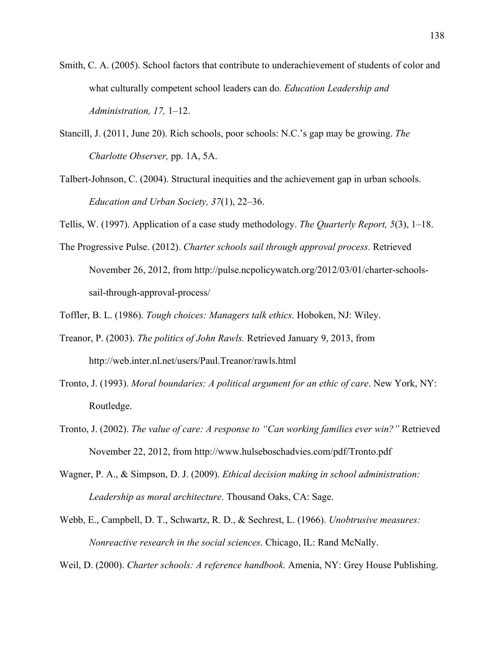- Smith, C. A. (2005). School factors that contribute to underachievement of students of color and what culturally competent school leaders can do*. Education Leadership and Administration, 17,* 1–12.
- Stancill, J. (2011, June 20). Rich schools, poor schools: N.C.'s gap may be growing. *The Charlotte Observer,* pp. 1A, 5A.
- Talbert-Johnson, C. (2004). Structural inequities and the achievement gap in urban schools. *Education and Urban Society, 37*(1), 22–36.

Tellis, W. (1997). Application of a case study methodology. *The Quarterly Report, 5*(3), 1–18.

- The Progressive Pulse. (2012). *Charter schools sail through approval process.* Retrieved November 26, 2012, from http://pulse.ncpolicywatch.org/2012/03/01/charter-schoolssail-through-approval-process/
- Toffler, B. L. (1986). *Tough choices: Managers talk ethics.* Hoboken, NJ: Wiley.
- Treanor, P. (2003). *The politics of John Rawls.* Retrieved January 9, 2013, from http://web.inter.nl.net/users/Paul.Treanor/rawls.html
- Tronto, J. (1993). *Moral boundaries: A political argument for an ethic of care*. New York, NY: Routledge.
- Tronto, J. (2002). *The value of care: A response to "Can working families ever win?"* Retrieved November 22, 2012, from http://www.hulseboschadvies.com/pdf/Tronto.pdf
- Wagner, P. A., & Simpson, D. J. (2009). *Ethical decision making in school administration: Leadership as moral architecture*. Thousand Oaks, CA: Sage.
- Webb, E., Campbell, D. T., Schwartz, R. D., & Sechrest, L. (1966). *Unobtrusive measures: Nonreactive research in the social sciences*. Chicago, IL: Rand McNally.

Weil, D. (2000). *Charter schools: A reference handbook.* Amenia, NY: Grey House Publishing.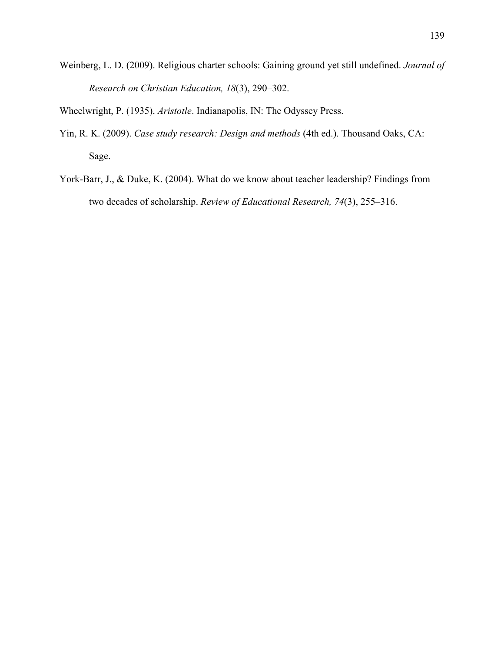Weinberg, L. D. (2009). Religious charter schools: Gaining ground yet still undefined. *Journal of Research on Christian Education, 18*(3), 290–302.

Wheelwright, P. (1935). *Aristotle*. Indianapolis, IN: The Odyssey Press.

- Yin, R. K. (2009). *Case study research: Design and methods* (4th ed.). Thousand Oaks, CA: Sage.
- York-Barr, J., & Duke, K. (2004). What do we know about teacher leadership? Findings from two decades of scholarship. *Review of Educational Research, 74*(3), 255–316.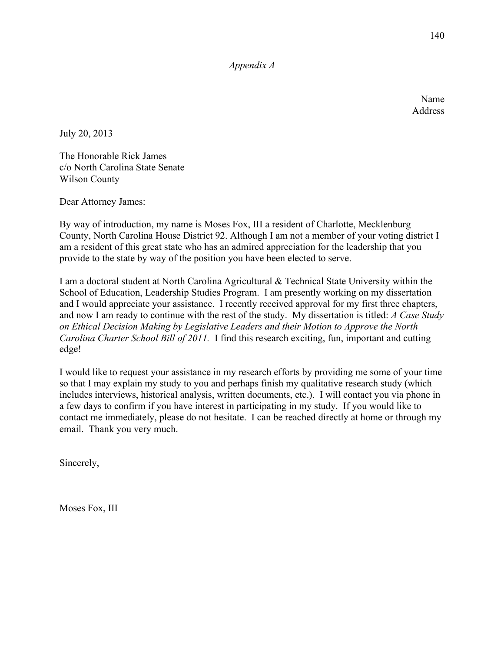*Appendix A*

Name Address

July 20, 2013

The Honorable Rick James c/o North Carolina State Senate Wilson County

Dear Attorney James:

By way of introduction, my name is Moses Fox, III a resident of Charlotte, Mecklenburg County, North Carolina House District 92. Although I am not a member of your voting district I am a resident of this great state who has an admired appreciation for the leadership that you provide to the state by way of the position you have been elected to serve.

I am a doctoral student at North Carolina Agricultural & Technical State University within the School of Education, Leadership Studies Program. I am presently working on my dissertation and I would appreciate your assistance. I recently received approval for my first three chapters, and now I am ready to continue with the rest of the study. My dissertation is titled: *A Case Study on Ethical Decision Making by Legislative Leaders and their Motion to Approve the North Carolina Charter School Bill of 2011.* I find this research exciting, fun, important and cutting edge!

I would like to request your assistance in my research efforts by providing me some of your time so that I may explain my study to you and perhaps finish my qualitative research study (which includes interviews, historical analysis, written documents, etc.). I will contact you via phone in a few days to confirm if you have interest in participating in my study. If you would like to contact me immediately, please do not hesitate. I can be reached directly at home or through my email. Thank you very much.

Sincerely,

Moses Fox, III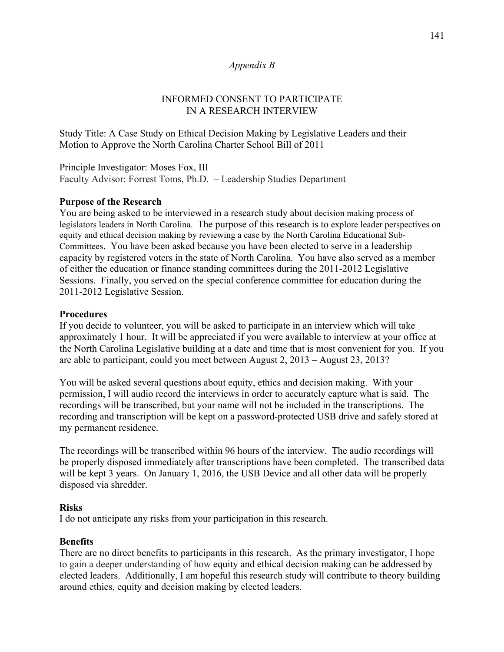### *Appendix B*

## INFORMED CONSENT TO PARTICIPATE IN A RESEARCH INTERVIEW

Study Title: A Case Study on Ethical Decision Making by Legislative Leaders and their Motion to Approve the North Carolina Charter School Bill of 2011

Principle Investigator: Moses Fox, III Faculty Advisor: Forrest Toms, Ph.D. – Leadership Studies Department

## **Purpose of the Research**

You are being asked to be interviewed in a research study about decision making process of legislators leaders in North Carolina. The purpose of this research is to explore leader perspectives on equity and ethical decision making by reviewing a case by the North Carolina Educational Sub-Committees. You have been asked because you have been elected to serve in a leadership capacity by registered voters in the state of North Carolina. You have also served as a member of either the education or finance standing committees during the 2011-2012 Legislative Sessions. Finally, you served on the special conference committee for education during the 2011-2012 Legislative Session.

### **Procedures**

If you decide to volunteer, you will be asked to participate in an interview which will take approximately 1 hour. It will be appreciated if you were available to interview at your office at the North Carolina Legislative building at a date and time that is most convenient for you. If you are able to participant, could you meet between August 2, 2013 – August 23, 2013?

You will be asked several questions about equity, ethics and decision making. With your permission, I will audio record the interviews in order to accurately capture what is said. The recordings will be transcribed, but your name will not be included in the transcriptions. The recording and transcription will be kept on a password-protected USB drive and safely stored at my permanent residence.

The recordings will be transcribed within 96 hours of the interview. The audio recordings will be properly disposed immediately after transcriptions have been completed. The transcribed data will be kept 3 years. On January 1, 2016, the USB Device and all other data will be properly disposed via shredder.

### **Risks**

I do not anticipate any risks from your participation in this research.

### **Benefits**

There are no direct benefits to participants in this research. As the primary investigator, I hope to gain a deeper understanding of how equity and ethical decision making can be addressed by elected leaders. Additionally, I am hopeful this research study will contribute to theory building around ethics, equity and decision making by elected leaders.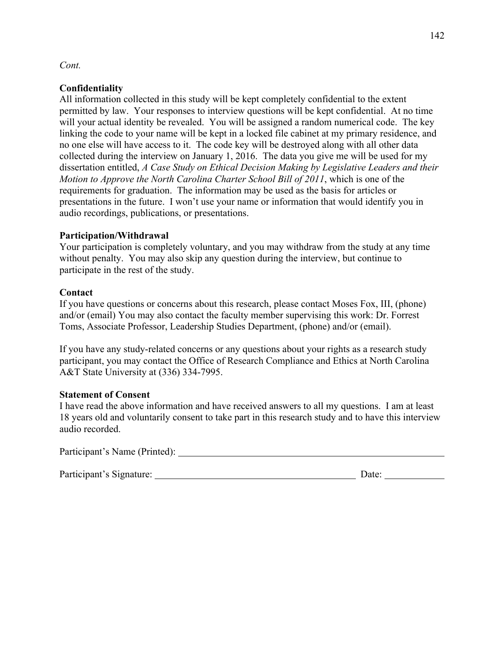### *Cont.*

### **Confidentiality**

All information collected in this study will be kept completely confidential to the extent permitted by law. Your responses to interview questions will be kept confidential. At no time will your actual identity be revealed. You will be assigned a random numerical code. The key linking the code to your name will be kept in a locked file cabinet at my primary residence, and no one else will have access to it. The code key will be destroyed along with all other data collected during the interview on January 1, 2016. The data you give me will be used for my dissertation entitled, *A Case Study on Ethical Decision Making by Legislative Leaders and their Motion to Approve the North Carolina Charter School Bill of 2011*, which is one of the requirements for graduation. The information may be used as the basis for articles or presentations in the future. I won't use your name or information that would identify you in audio recordings, publications, or presentations.

### **Participation/Withdrawal**

Your participation is completely voluntary, and you may withdraw from the study at any time without penalty. You may also skip any question during the interview, but continue to participate in the rest of the study.

## **Contact**

If you have questions or concerns about this research, please contact Moses Fox, III, (phone) and/or (email) You may also contact the faculty member supervising this work: Dr. Forrest Toms, Associate Professor, Leadership Studies Department, (phone) and/or (email).

If you have any study-related concerns or any questions about your rights as a research study participant, you may contact the Office of Research Compliance and Ethics at North Carolina A&T State University at (336) 334-7995.

### **Statement of Consent**

I have read the above information and have received answers to all my questions. I am at least 18 years old and voluntarily consent to take part in this research study and to have this interview audio recorded.

Participant's Name (Printed):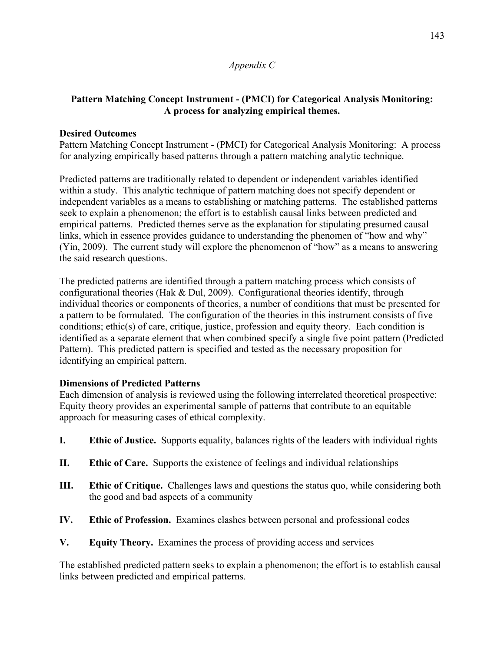## *Appendix C*

# **Pattern Matching Concept Instrument - (PMCI) for Categorical Analysis Monitoring: A process for analyzing empirical themes.**

# **Desired Outcomes**

Pattern Matching Concept Instrument - (PMCI) for Categorical Analysis Monitoring: A process for analyzing empirically based patterns through a pattern matching analytic technique.

Predicted patterns are traditionally related to dependent or independent variables identified within a study. This analytic technique of pattern matching does not specify dependent or independent variables as a means to establishing or matching patterns. The established patterns seek to explain a phenomenon; the effort is to establish causal links between predicted and empirical patterns. Predicted themes serve as the explanation for stipulating presumed causal links, which in essence provides guidance to understanding the phenomen of "how and why" (Yin, 2009). The current study will explore the phenomenon of "how" as a means to answering the said research questions.

The predicted patterns are identified through a pattern matching process which consists of configurational theories (Hak & Dul, 2009). Configurational theories identify, through individual theories or components of theories, a number of conditions that must be presented for a pattern to be formulated. The configuration of the theories in this instrument consists of five conditions; ethic(s) of care, critique, justice, profession and equity theory. Each condition is identified as a separate element that when combined specify a single five point pattern (Predicted Pattern). This predicted pattern is specified and tested as the necessary proposition for identifying an empirical pattern.

## **Dimensions of Predicted Patterns**

Each dimension of analysis is reviewed using the following interrelated theoretical prospective: Equity theory provides an experimental sample of patterns that contribute to an equitable approach for measuring cases of ethical complexity.

- **I. Ethic of Justice.** Supports equality, balances rights of the leaders with individual rights
- **II. Ethic of Care.** Supports the existence of feelings and individual relationships
- **III.** Ethic of Critique. Challenges laws and questions the status quo, while considering both the good and bad aspects of a community
- **IV. Ethic of Profession.** Examines clashes between personal and professional codes
- **V. Equity Theory.** Examines the process of providing access and services

The established predicted pattern seeks to explain a phenomenon; the effort is to establish causal links between predicted and empirical patterns.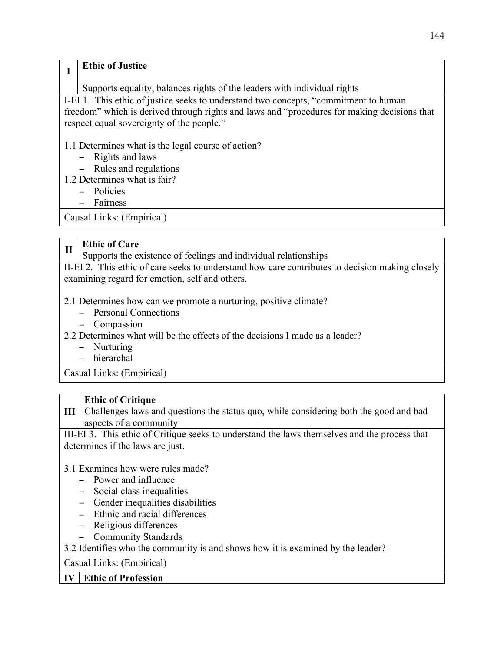# **<sup>I</sup> Ethic of Justice**

Supports equality, balances rights of the leaders with individual rights

I-EI 1. This ethic of justice seeks to understand two concepts, "commitment to human freedom" which is derived through rights and laws and "procedures for making decisions that respect equal sovereignty of the people."

# 1.1 Determines what is the legal course of action?

- − Rights and laws
- − Rules and regulations
- 1.2 Determines what is fair?
	- − Policies
	- − Fairness

Causal Links: (Empirical)

# **II Ethic of Care**

Supports the existence of feelings and individual relationships

II-EI 2. This ethic of care seeks to understand how care contributes to decision making closely examining regard for emotion, self and others.

- 2.1 Determines how can we promote a nurturing, positive climate?
	- − Personal Connections
	- − Compassion
- 2.2 Determines what will be the effects of the decisions I made as a leader?
	- − Nurturing
	- − hierarchal

Casual Links: (Empirical)

## **Ethic of Critique**

**III** Challenges laws and questions the status quo, while considering both the good and bad aspects of a community

III-EI 3. This ethic of Critique seeks to understand the laws themselves and the process that determines if the laws are just.

# 3.1 Examines how were rules made?

- − Power and influence
- − Social class inequalities
- − Gender inequalities disabilities
- − Ethnic and racial differences
- − Religious differences
- − Community Standards

3.2 Identifies who the community is and shows how it is examined by the leader?

Casual Links: (Empirical)

## **IV Ethic of Profession**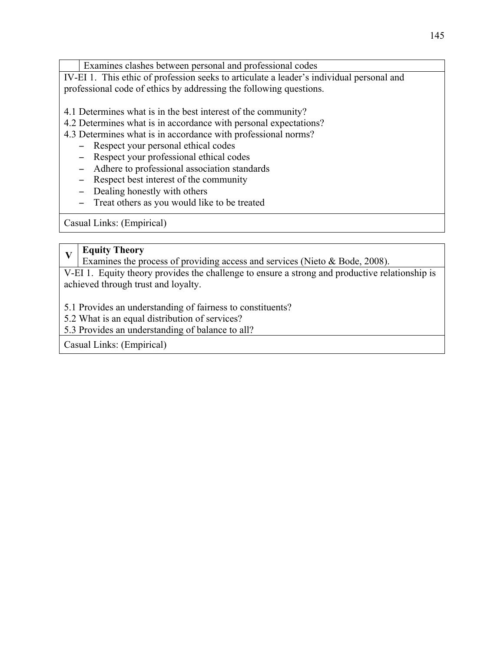IV-EI 1. This ethic of profession seeks to articulate a leader's individual personal and professional code of ethics by addressing the following questions.

4.1 Determines what is in the best interest of the community?

4.2 Determines what is in accordance with personal expectations?

4.3 Determines what is in accordance with professional norms?

- − Respect your personal ethical codes
- − Respect your professional ethical codes
- − Adhere to professional association standards
- − Respect best interest of the community
- − Dealing honestly with others
- − Treat others as you would like to be treated

Casual Links: (Empirical)

# **<sup>V</sup> Equity Theory**

Examines the process of providing access and services (Nieto & Bode, 2008).

V-EI 1. Equity theory provides the challenge to ensure a strong and productive relationship is achieved through trust and loyalty.

5.1 Provides an understanding of fairness to constituents?

5.2 What is an equal distribution of services?

5.3 Provides an understanding of balance to all?

Casual Links: (Empirical)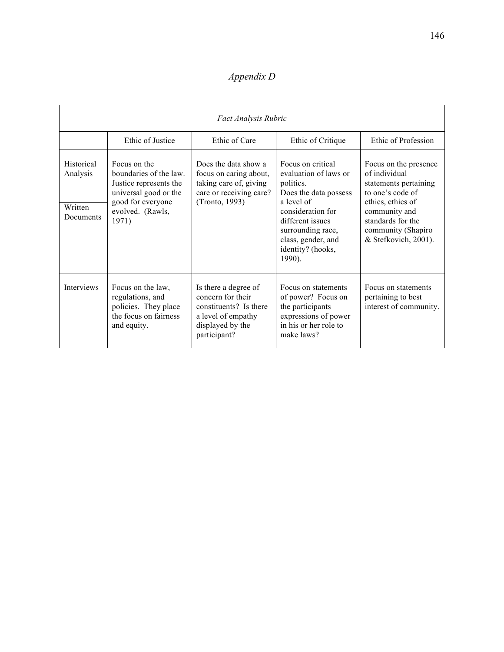# *Appendix D*

| Fact Analysis Rubric                           |                                                                                                                                             |                                                                                                                               |                                                                                                                                                                                                                   |                                                                                                                                                                                              |  |  |  |
|------------------------------------------------|---------------------------------------------------------------------------------------------------------------------------------------------|-------------------------------------------------------------------------------------------------------------------------------|-------------------------------------------------------------------------------------------------------------------------------------------------------------------------------------------------------------------|----------------------------------------------------------------------------------------------------------------------------------------------------------------------------------------------|--|--|--|
|                                                | Ethic of Justice                                                                                                                            | Ethic of Care                                                                                                                 | Ethic of Critique                                                                                                                                                                                                 | Ethic of Profession                                                                                                                                                                          |  |  |  |
| Historical<br>Analysis<br>Written<br>Documents | Focus on the<br>boundaries of the law.<br>Justice represents the<br>universal good or the<br>good for everyone<br>evolved. (Rawls,<br>1971) | Does the data show a<br>focus on caring about,<br>taking care of, giving<br>care or receiving care?<br>(Tronto, 1993)         | Focus on critical<br>evaluation of laws or<br>politics.<br>Does the data possess<br>a level of<br>consideration for<br>different issues<br>surrounding race,<br>class, gender, and<br>identity? (hooks,<br>1990). | Focus on the presence<br>of individual<br>statements pertaining<br>to one's code of<br>ethics, ethics of<br>community and<br>standards for the<br>community (Shapiro<br>& Stefkovich, 2001). |  |  |  |
| Interviews                                     | Focus on the law,<br>regulations, and<br>policies. They place<br>the focus on fairness<br>and equity.                                       | Is there a degree of<br>concern for their<br>constituents? Is there<br>a level of empathy<br>displayed by the<br>participant? | Focus on statements<br>of power? Focus on<br>the participants<br>expressions of power<br>in his or her role to<br>make laws?                                                                                      | Focus on statements<br>pertaining to best<br>interest of community.                                                                                                                          |  |  |  |